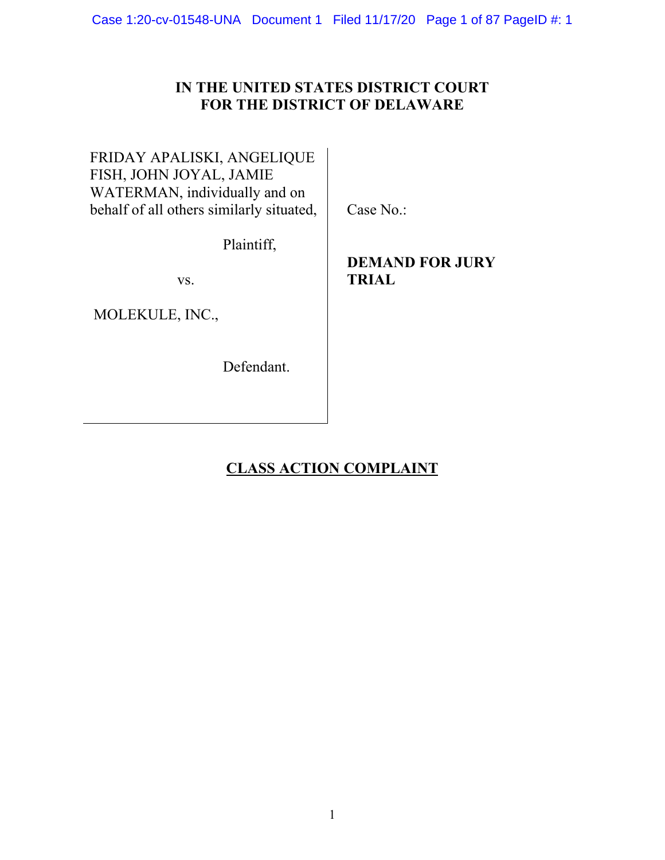# **IN THE UNITED STATES DISTRICT COURT FOR THE DISTRICT OF DELAWARE**

# FRIDAY APALISKI, ANGELIQUE FISH, JOHN JOYAL, JAMIE WATERMAN, individually and on behalf of all others similarly situated,

Case No.:

Plaintiff,

vs.

MOLEKULE, INC.,

Defendant.

# **DEMAND FOR JURY TRIAL**

# **CLASS ACTION COMPLAINT**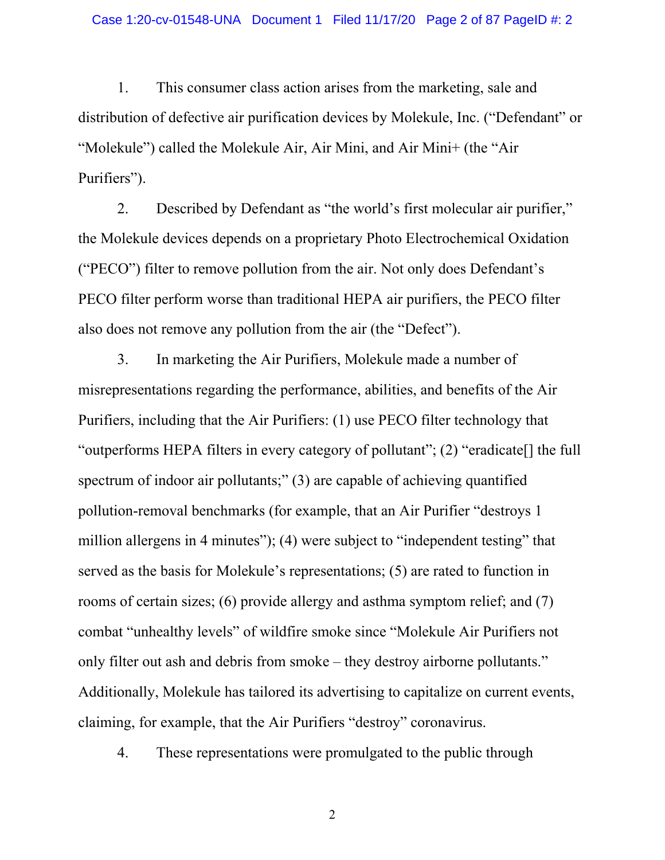1. This consumer class action arises from the marketing, sale and distribution of defective air purification devices by Molekule, Inc. ("Defendant" or "Molekule") called the Molekule Air, Air Mini, and Air Mini+ (the "Air Purifiers").

2. Described by Defendant as "the world's first molecular air purifier," the Molekule devices depends on a proprietary Photo Electrochemical Oxidation ("PECO") filter to remove pollution from the air. Not only does Defendant's PECO filter perform worse than traditional HEPA air purifiers, the PECO filter also does not remove any pollution from the air (the "Defect").

3. In marketing the Air Purifiers, Molekule made a number of misrepresentations regarding the performance, abilities, and benefits of the Air Purifiers, including that the Air Purifiers: (1) use PECO filter technology that "outperforms HEPA filters in every category of pollutant"; (2) "eradicate[] the full spectrum of indoor air pollutants;" (3) are capable of achieving quantified pollution-removal benchmarks (for example, that an Air Purifier "destroys 1 million allergens in 4 minutes"); (4) were subject to "independent testing" that served as the basis for Molekule's representations; (5) are rated to function in rooms of certain sizes; (6) provide allergy and asthma symptom relief; and (7) combat "unhealthy levels" of wildfire smoke since "Molekule Air Purifiers not only filter out ash and debris from smoke – they destroy airborne pollutants." Additionally, Molekule has tailored its advertising to capitalize on current events, claiming, for example, that the Air Purifiers "destroy" coronavirus.

4. These representations were promulgated to the public through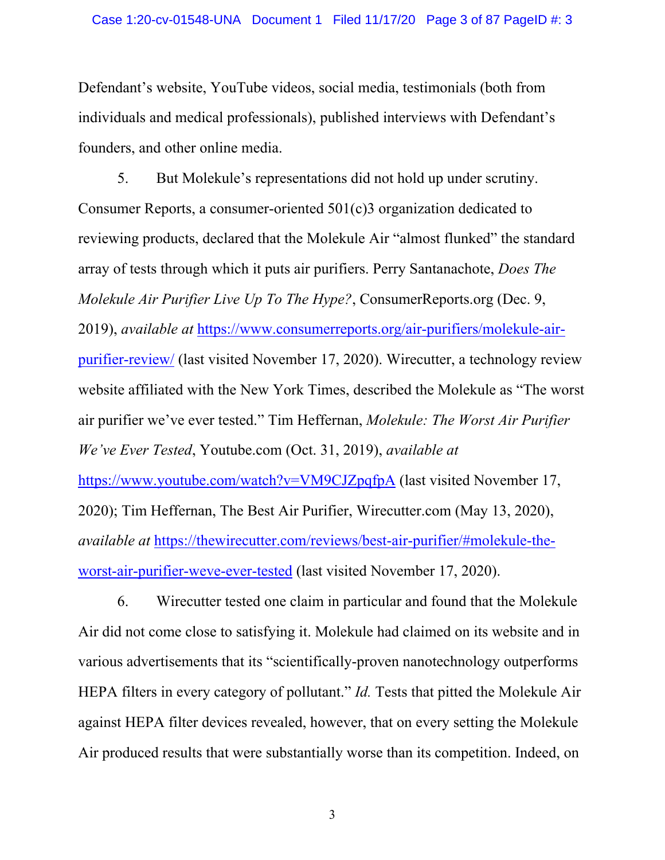Defendant's website, YouTube videos, social media, testimonials (both from individuals and medical professionals), published interviews with Defendant's founders, and other online media.

5. But Molekule's representations did not hold up under scrutiny. Consumer Reports, a consumer-oriented 501(c)3 organization dedicated to reviewing products, declared that the Molekule Air "almost flunked" the standard array of tests through which it puts air purifiers. Perry Santanachote, *Does The Molekule Air Purifier Live Up To The Hype?*, ConsumerReports.org (Dec. 9, 2019), *available at* https://www.consumerreports.org/air-purifiers/molekule-airpurifier-review/ (last visited November 17, 2020). Wirecutter, a technology review website affiliated with the New York Times, described the Molekule as "The worst air purifier we've ever tested." Tim Heffernan, *Molekule: The Worst Air Purifier We've Ever Tested*, Youtube.com (Oct. 31, 2019), *available at*  https://www.youtube.com/watch?v=VM9CJZpqfpA (last visited November 17, 2020); Tim Heffernan, The Best Air Purifier, Wirecutter.com (May 13, 2020), *available at* https://thewirecutter.com/reviews/best-air-purifier/#molekule-theworst-air-purifier-weve-ever-tested (last visited November 17, 2020).

6. Wirecutter tested one claim in particular and found that the Molekule Air did not come close to satisfying it. Molekule had claimed on its website and in various advertisements that its "scientifically-proven nanotechnology outperforms HEPA filters in every category of pollutant." *Id.* Tests that pitted the Molekule Air against HEPA filter devices revealed, however, that on every setting the Molekule Air produced results that were substantially worse than its competition. Indeed, on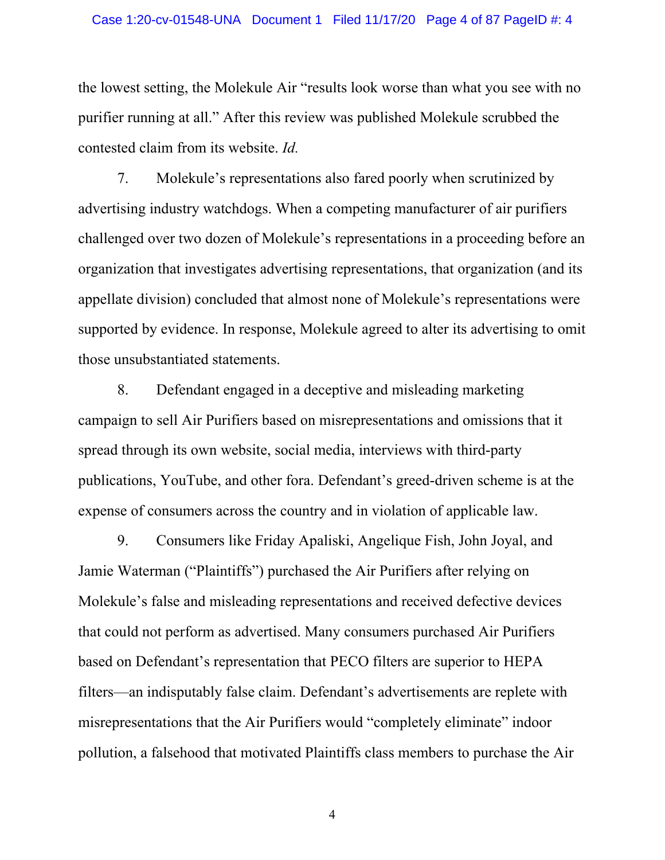the lowest setting, the Molekule Air "results look worse than what you see with no purifier running at all." After this review was published Molekule scrubbed the contested claim from its website. *Id.*

7. Molekule's representations also fared poorly when scrutinized by advertising industry watchdogs. When a competing manufacturer of air purifiers challenged over two dozen of Molekule's representations in a proceeding before an organization that investigates advertising representations, that organization (and its appellate division) concluded that almost none of Molekule's representations were supported by evidence. In response, Molekule agreed to alter its advertising to omit those unsubstantiated statements.

8. Defendant engaged in a deceptive and misleading marketing campaign to sell Air Purifiers based on misrepresentations and omissions that it spread through its own website, social media, interviews with third-party publications, YouTube, and other fora. Defendant's greed-driven scheme is at the expense of consumers across the country and in violation of applicable law.

9. Consumers like Friday Apaliski, Angelique Fish, John Joyal, and Jamie Waterman ("Plaintiffs") purchased the Air Purifiers after relying on Molekule's false and misleading representations and received defective devices that could not perform as advertised. Many consumers purchased Air Purifiers based on Defendant's representation that PECO filters are superior to HEPA filters—an indisputably false claim. Defendant's advertisements are replete with misrepresentations that the Air Purifiers would "completely eliminate" indoor pollution, a falsehood that motivated Plaintiffs class members to purchase the Air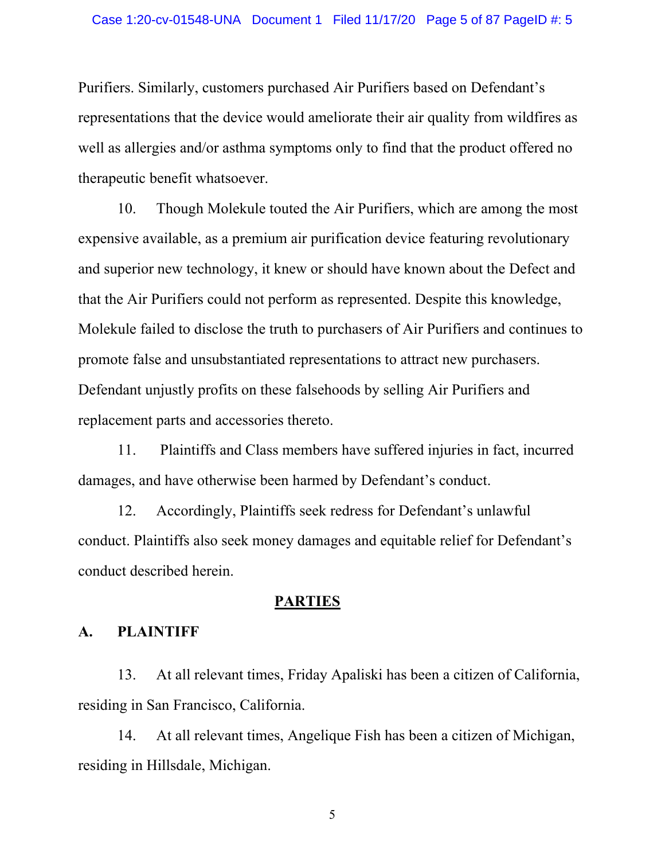Purifiers. Similarly, customers purchased Air Purifiers based on Defendant's representations that the device would ameliorate their air quality from wildfires as well as allergies and/or asthma symptoms only to find that the product offered no therapeutic benefit whatsoever.

10. Though Molekule touted the Air Purifiers, which are among the most expensive available, as a premium air purification device featuring revolutionary and superior new technology, it knew or should have known about the Defect and that the Air Purifiers could not perform as represented. Despite this knowledge, Molekule failed to disclose the truth to purchasers of Air Purifiers and continues to promote false and unsubstantiated representations to attract new purchasers. Defendant unjustly profits on these falsehoods by selling Air Purifiers and replacement parts and accessories thereto.

11. Plaintiffs and Class members have suffered injuries in fact, incurred damages, and have otherwise been harmed by Defendant's conduct.

12. Accordingly, Plaintiffs seek redress for Defendant's unlawful conduct. Plaintiffs also seek money damages and equitable relief for Defendant's conduct described herein.

# **PARTIES**

### **A. PLAINTIFF**

13. At all relevant times, Friday Apaliski has been a citizen of California, residing in San Francisco, California.

14. At all relevant times, Angelique Fish has been a citizen of Michigan, residing in Hillsdale, Michigan.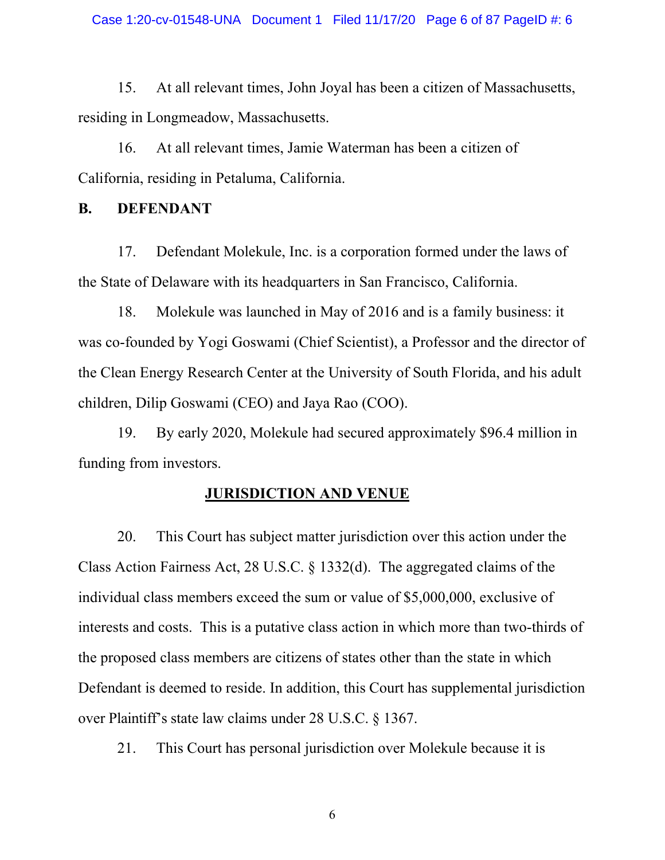15. At all relevant times, John Joyal has been a citizen of Massachusetts, residing in Longmeadow, Massachusetts.

16. At all relevant times, Jamie Waterman has been a citizen of California, residing in Petaluma, California.

# **B. DEFENDANT**

17. Defendant Molekule, Inc. is a corporation formed under the laws of the State of Delaware with its headquarters in San Francisco, California.

18. Molekule was launched in May of 2016 and is a family business: it was co-founded by Yogi Goswami (Chief Scientist), a Professor and the director of the Clean Energy Research Center at the University of South Florida, and his adult children, Dilip Goswami (CEO) and Jaya Rao (COO).

19. By early 2020, Molekule had secured approximately \$96.4 million in funding from investors.

### **JURISDICTION AND VENUE**

20. This Court has subject matter jurisdiction over this action under the Class Action Fairness Act, [28 U.S.C. § 1332\(d\)](http://www.google.com/search?q=28++u.s.c.++++1332(d)). The aggregated claims of the individual class members exceed the sum or value of \$5,000,000, exclusive of interests and costs. This is a putative class action in which more than two-thirds of the proposed class members are citizens of states other than the state in which Defendant is deemed to reside. In addition, this Court has supplemental jurisdiction over Plaintiff's state law claims under [28 U.S.C. § 1367](http://www.google.com/search?q=28++u.s.c.++++1367).

21. This Court has personal jurisdiction over Molekule because it is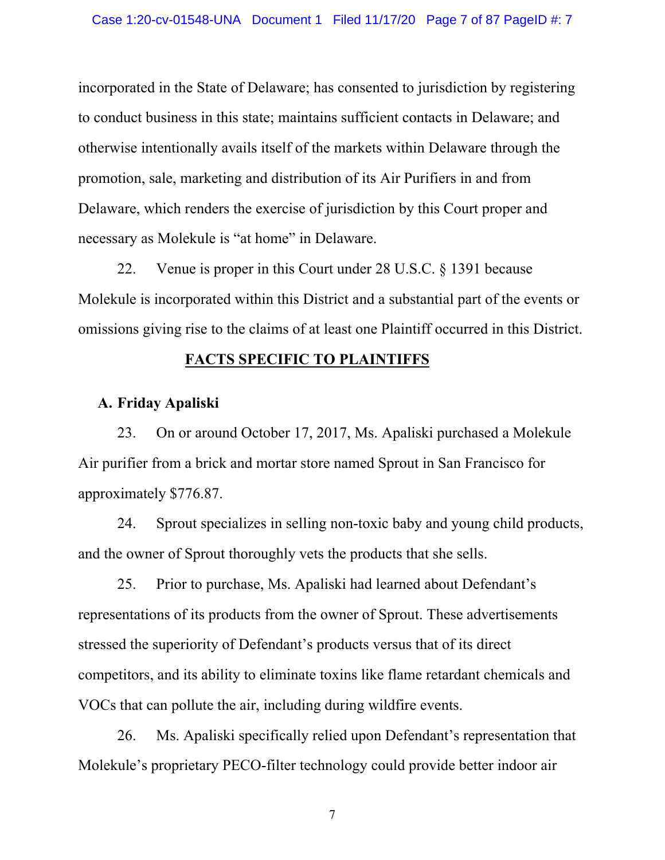incorporated in the State of Delaware; has consented to jurisdiction by registering to conduct business in this state; maintains sufficient contacts in Delaware; and otherwise intentionally avails itself of the markets within Delaware through the promotion, sale, marketing and distribution of its Air Purifiers in and from Delaware, which renders the exercise of jurisdiction by this Court proper and necessary as Molekule is "at home" in Delaware.

22. Venue is proper in this Court under [28 U.S.C. § 1391](http://www.google.com/search?q=28++u.s.c.++++1391) because Molekule is incorporated within this District and a substantial part of the events or omissions giving rise to the claims of at least one Plaintiff occurred in this District.

# **FACTS SPECIFIC TO PLAINTIFFS**

## **A. Friday Apaliski**

23. On or around October 17, 2017, Ms. Apaliski purchased a Molekule Air purifier from a brick and mortar store named Sprout in San Francisco for approximately \$776.87.

24. Sprout specializes in selling non-toxic baby and young child products, and the owner of Sprout thoroughly vets the products that she sells.

25. Prior to purchase, Ms. Apaliski had learned about Defendant's representations of its products from the owner of Sprout. These advertisements stressed the superiority of Defendant's products versus that of its direct competitors, and its ability to eliminate toxins like flame retardant chemicals and VOCs that can pollute the air, including during wildfire events.

26. Ms. Apaliski specifically relied upon Defendant's representation that Molekule's proprietary PECO-filter technology could provide better indoor air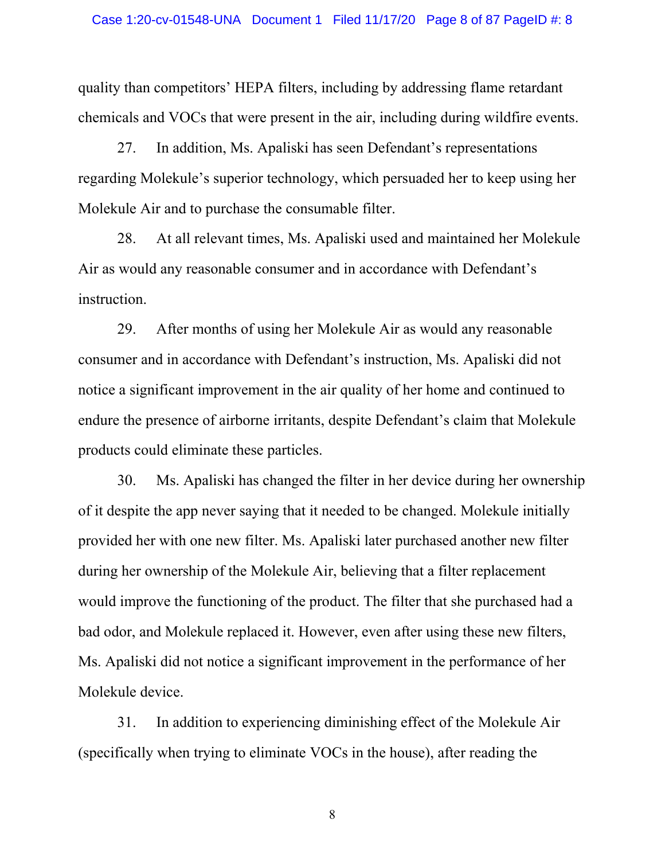quality than competitors' HEPA filters, including by addressing flame retardant chemicals and VOCs that were present in the air, including during wildfire events.

27. In addition, Ms. Apaliski has seen Defendant's representations regarding Molekule's superior technology, which persuaded her to keep using her Molekule Air and to purchase the consumable filter.

28. At all relevant times, Ms. Apaliski used and maintained her Molekule Air as would any reasonable consumer and in accordance with Defendant's instruction.

29. After months of using her Molekule Air as would any reasonable consumer and in accordance with Defendant's instruction, Ms. Apaliski did not notice a significant improvement in the air quality of her home and continued to endure the presence of airborne irritants, despite Defendant's claim that Molekule products could eliminate these particles.

30. Ms. Apaliski has changed the filter in her device during her ownership of it despite the app never saying that it needed to be changed. Molekule initially provided her with one new filter. Ms. Apaliski later purchased another new filter during her ownership of the Molekule Air, believing that a filter replacement would improve the functioning of the product. The filter that she purchased had a bad odor, and Molekule replaced it. However, even after using these new filters, Ms. Apaliski did not notice a significant improvement in the performance of her Molekule device.

31. In addition to experiencing diminishing effect of the Molekule Air (specifically when trying to eliminate VOCs in the house), after reading the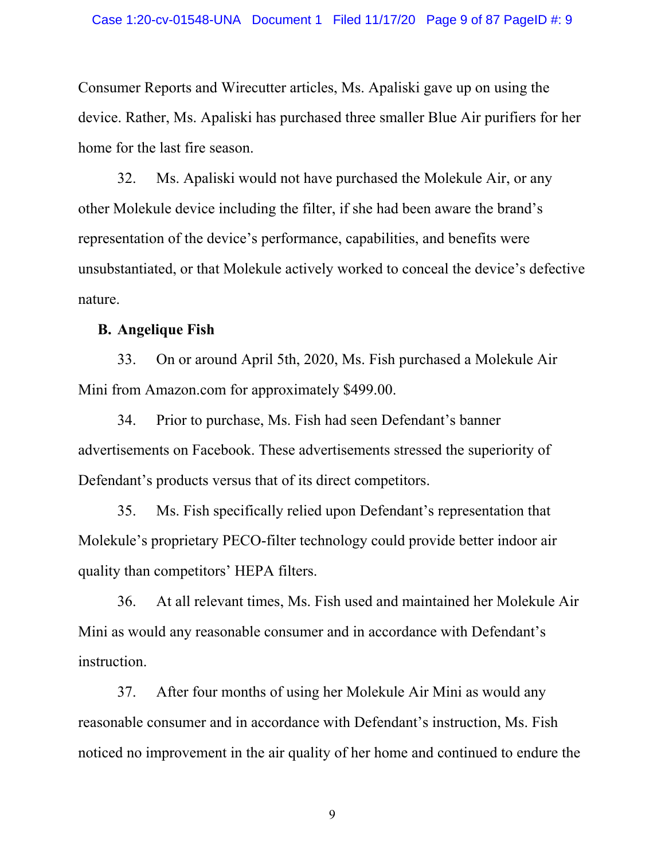Consumer Reports and Wirecutter articles, Ms. Apaliski gave up on using the device. Rather, Ms. Apaliski has purchased three smaller Blue Air purifiers for her home for the last fire season.

32. Ms. Apaliski would not have purchased the Molekule Air, or any other Molekule device including the filter, if she had been aware the brand's representation of the device's performance, capabilities, and benefits were unsubstantiated, or that Molekule actively worked to conceal the device's defective nature.

### **B. Angelique Fish**

33. On or around April 5th, 2020, Ms. Fish purchased a Molekule Air Mini from Amazon.com for approximately \$499.00.

34. Prior to purchase, Ms. Fish had seen Defendant's banner advertisements on Facebook. These advertisements stressed the superiority of Defendant's products versus that of its direct competitors.

35. Ms. Fish specifically relied upon Defendant's representation that Molekule's proprietary PECO-filter technology could provide better indoor air quality than competitors' HEPA filters.

36. At all relevant times, Ms. Fish used and maintained her Molekule Air Mini as would any reasonable consumer and in accordance with Defendant's instruction.

37. After four months of using her Molekule Air Mini as would any reasonable consumer and in accordance with Defendant's instruction, Ms. Fish noticed no improvement in the air quality of her home and continued to endure the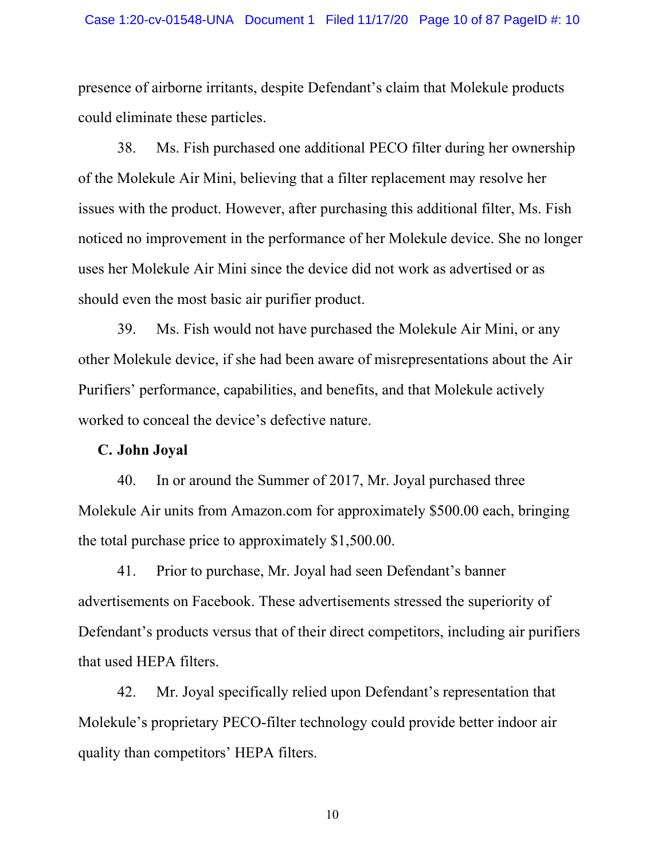#### Case 1:20-cv-01548-UNA Document 1 Filed 11/17/20 Page 10 of 87 PageID #: 10

presence of airborne irritants, despite Defendant's claim that Molekule products could eliminate these particles.

38. Ms. Fish purchased one additional PECO filter during her ownership of the Molekule Air Mini, believing that a filter replacement may resolve her issues with the product. However, after purchasing this additional filter, Ms. Fish noticed no improvement in the performance of her Molekule device. She no longer uses her Molekule Air Mini since the device did not work as advertised or as should even the most basic air purifier product.

39. Ms. Fish would not have purchased the Molekule Air Mini, or any other Molekule device, if she had been aware of misrepresentations about the Air Purifiers' performance, capabilities, and benefits, and that Molekule actively worked to conceal the device's defective nature.

#### **C. John Joyal**

40. In or around the Summer of 2017, Mr. Joyal purchased three Molekule Air units from Amazon.com for approximately \$500.00 each, bringing the total purchase price to approximately \$1,500.00.

41. Prior to purchase, Mr. Joyal had seen Defendant's banner advertisements on Facebook. These advertisements stressed the superiority of Defendant's products versus that of their direct competitors, including air purifiers that used HEPA filters.

42. Mr. Joyal specifically relied upon Defendant's representation that Molekule's proprietary PECO-filter technology could provide better indoor air quality than competitors' HEPA filters.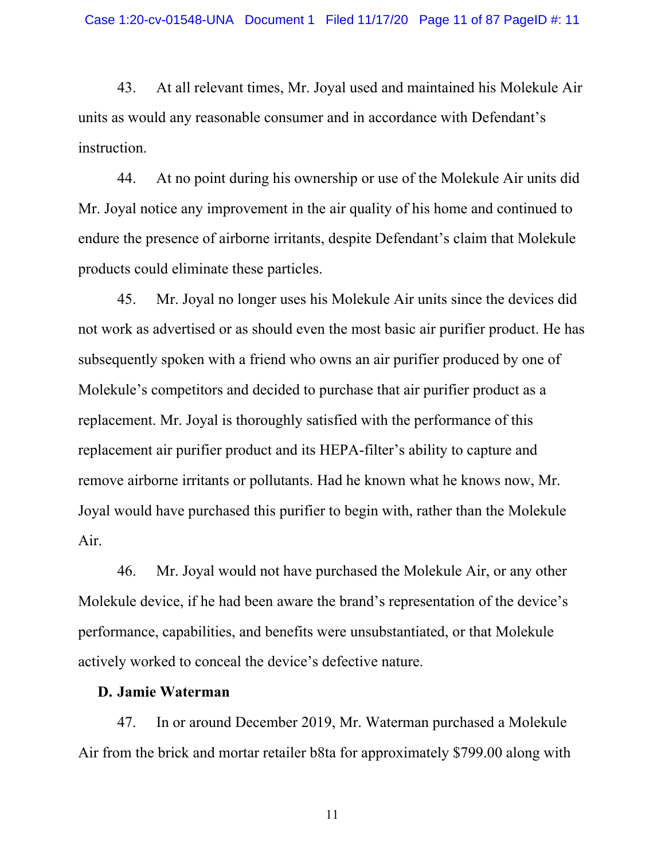43. At all relevant times, Mr. Joyal used and maintained his Molekule Air units as would any reasonable consumer and in accordance with Defendant's instruction.

44. At no point during his ownership or use of the Molekule Air units did Mr. Joyal notice any improvement in the air quality of his home and continued to endure the presence of airborne irritants, despite Defendant's claim that Molekule products could eliminate these particles.

45. Mr. Joyal no longer uses his Molekule Air units since the devices did not work as advertised or as should even the most basic air purifier product. He has subsequently spoken with a friend who owns an air purifier produced by one of Molekule's competitors and decided to purchase that air purifier product as a replacement. Mr. Joyal is thoroughly satisfied with the performance of this replacement air purifier product and its HEPA-filter's ability to capture and remove airborne irritants or pollutants. Had he known what he knows now, Mr. Joyal would have purchased this purifier to begin with, rather than the Molekule Air.

46. Mr. Joyal would not have purchased the Molekule Air, or any other Molekule device, if he had been aware the brand's representation of the device's performance, capabilities, and benefits were unsubstantiated, or that Molekule actively worked to conceal the device's defective nature.

### **D. Jamie Waterman**

47. In or around December 2019, Mr. Waterman purchased a Molekule Air from the brick and mortar retailer b8ta for approximately \$799.00 along with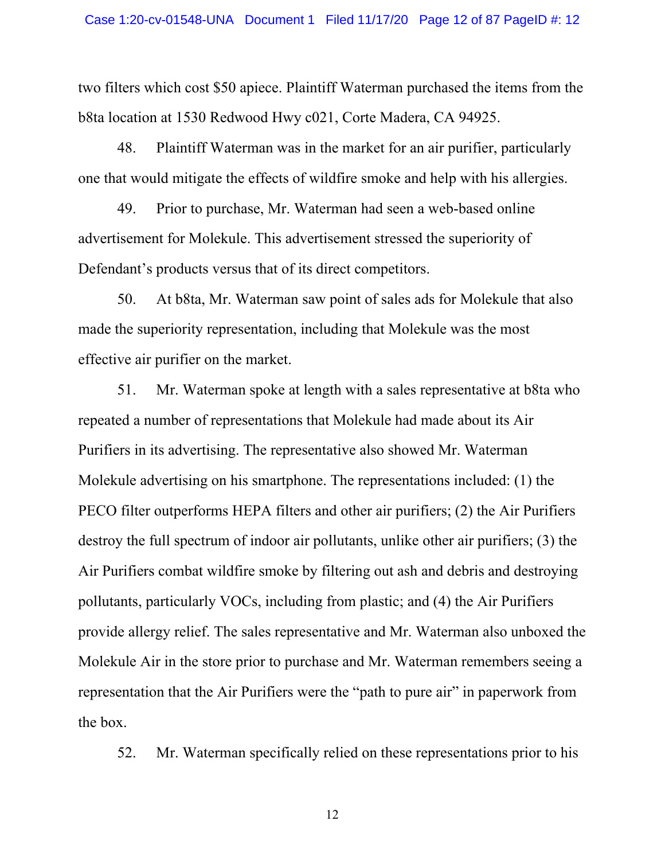two filters which cost \$50 apiece. Plaintiff Waterman purchased the items from the b8ta location at 1530 Redwood Hwy c021, Corte Madera, CA 94925.

48. Plaintiff Waterman was in the market for an air purifier, particularly one that would mitigate the effects of wildfire smoke and help with his allergies.

49. Prior to purchase, Mr. Waterman had seen a web-based online advertisement for Molekule. This advertisement stressed the superiority of Defendant's products versus that of its direct competitors.

50. At b8ta, Mr. Waterman saw point of sales ads for Molekule that also made the superiority representation, including that Molekule was the most effective air purifier on the market.

51. Mr. Waterman spoke at length with a sales representative at b8ta who repeated a number of representations that Molekule had made about its Air Purifiers in its advertising. The representative also showed Mr. Waterman Molekule advertising on his smartphone. The representations included: (1) the PECO filter outperforms HEPA filters and other air purifiers; (2) the Air Purifiers destroy the full spectrum of indoor air pollutants, unlike other air purifiers; (3) the Air Purifiers combat wildfire smoke by filtering out ash and debris and destroying pollutants, particularly VOCs, including from plastic; and (4) the Air Purifiers provide allergy relief. The sales representative and Mr. Waterman also unboxed the Molekule Air in the store prior to purchase and Mr. Waterman remembers seeing a representation that the Air Purifiers were the "path to pure air" in paperwork from the box.

52. Mr. Waterman specifically relied on these representations prior to his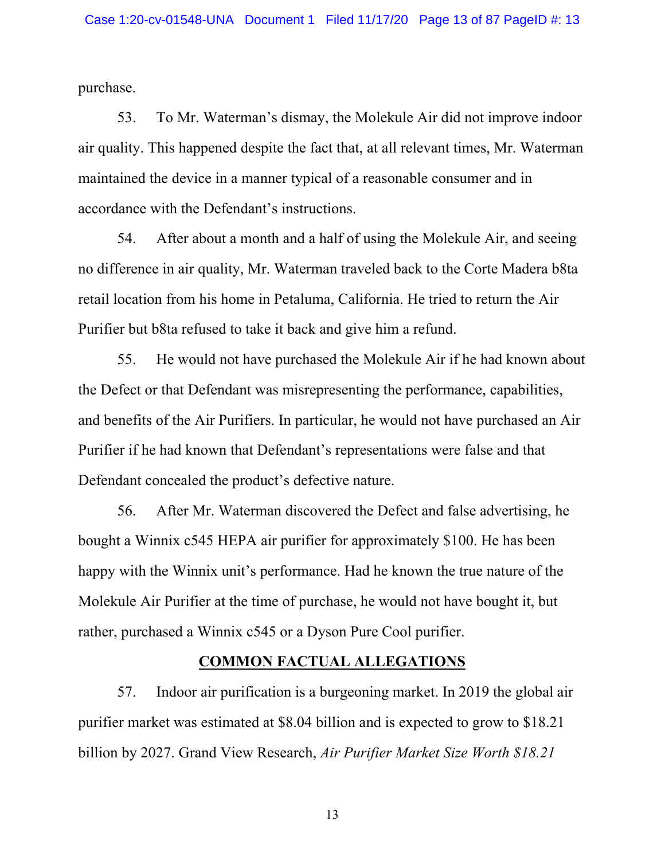purchase.

53. To Mr. Waterman's dismay, the Molekule Air did not improve indoor air quality. This happened despite the fact that, at all relevant times, Mr. Waterman maintained the device in a manner typical of a reasonable consumer and in accordance with the Defendant's instructions.

54. After about a month and a half of using the Molekule Air, and seeing no difference in air quality, Mr. Waterman traveled back to the Corte Madera b8ta retail location from his home in Petaluma, California. He tried to return the Air Purifier but b8ta refused to take it back and give him a refund.

55. He would not have purchased the Molekule Air if he had known about the Defect or that Defendant was misrepresenting the performance, capabilities, and benefits of the Air Purifiers. In particular, he would not have purchased an Air Purifier if he had known that Defendant's representations were false and that Defendant concealed the product's defective nature.

56. After Mr. Waterman discovered the Defect and false advertising, he bought a Winnix c545 HEPA air purifier for approximately \$100. He has been happy with the Winnix unit's performance. Had he known the true nature of the Molekule Air Purifier at the time of purchase, he would not have bought it, but rather, purchased a Winnix c545 or a Dyson Pure Cool purifier.

# **COMMON FACTUAL ALLEGATIONS**

57. Indoor air purification is a burgeoning market. In 2019 the global air purifier market was estimated at \$8.04 billion and is expected to grow to \$18.21 billion by 2027. Grand View Research, *Air Purifier Market Size Worth \$18.21*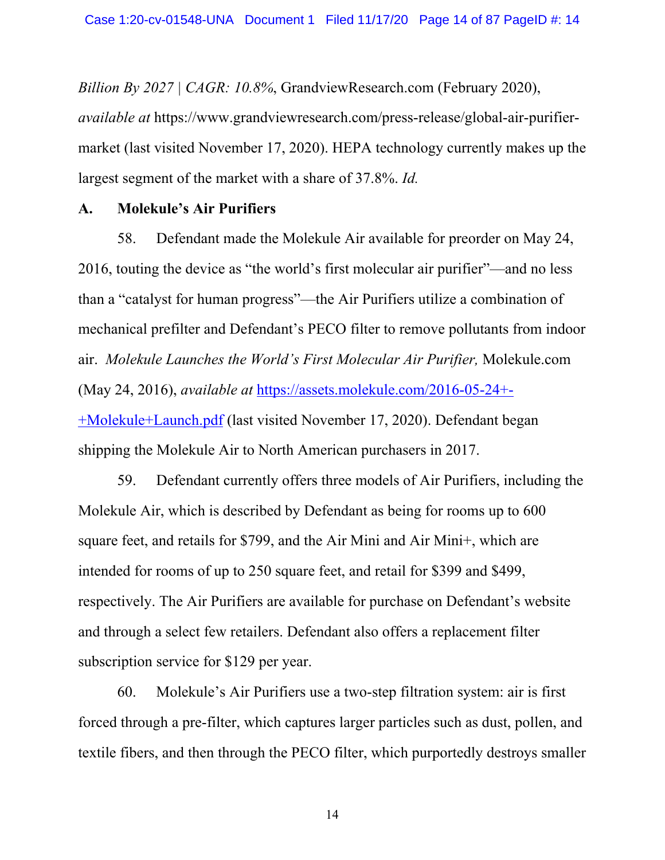*Billion By 2027 | CAGR: 10.8%*, GrandviewResearch.com (February 2020), *available at* https://www.grandviewresearch.com/press-release/global-air-purifiermarket (last visited November 17, 2020). HEPA technology currently makes up the largest segment of the market with a share of 37.8%. *Id.*

# **A. Molekule's Air Purifiers**

58. Defendant made the Molekule Air available for preorder on May 24, 2016, touting the device as "the world's first molecular air purifier"—and no less than a "catalyst for human progress"—the Air Purifiers utilize a combination of mechanical prefilter and Defendant's PECO filter to remove pollutants from indoor air. *Molekule Launches the World's First Molecular Air Purifier,* Molekule.com (May 24, 2016), *available at* https://assets.molekule.com/2016-05-24+- +Molekule+Launch.pdf (last visited November 17, 2020). Defendant began shipping the Molekule Air to North American purchasers in 2017.

59. Defendant currently offers three models of Air Purifiers, including the Molekule Air, which is described by Defendant as being for rooms up to 600 square feet, and retails for \$799, and the Air Mini and Air Mini+, which are intended for rooms of up to 250 square feet, and retail for \$399 and \$499, respectively. The Air Purifiers are available for purchase on Defendant's website and through a select few retailers. Defendant also offers a replacement filter subscription service for \$129 per year.

60. Molekule's Air Purifiers use a two-step filtration system: air is first forced through a pre-filter, which captures larger particles such as dust, pollen, and textile fibers, and then through the PECO filter, which purportedly destroys smaller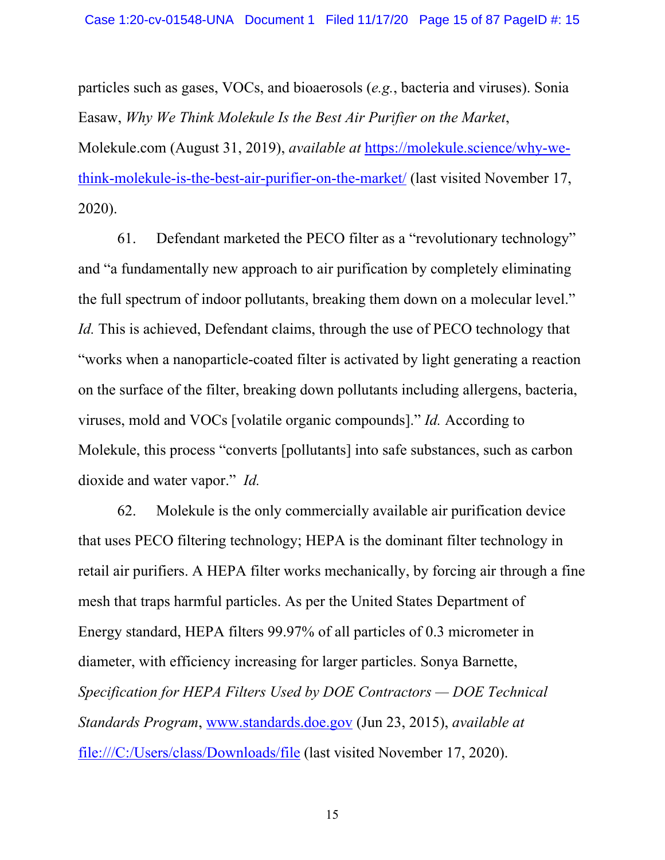particles such as gases, VOCs, and bioaerosols (*e.g.*, bacteria and viruses). Sonia Easaw, *Why We Think Molekule Is the Best Air Purifier on the Market*, Molekule.com (August 31, 2019), *available at* https://molekule.science/why-wethink-molekule-is-the-best-air-purifier-on-the-market/ (last visited November 17, 2020).

61. Defendant marketed the PECO filter as a "revolutionary technology" and "a fundamentally new approach to air purification by completely eliminating the full spectrum of indoor pollutants, breaking them down on a molecular level." *Id.* This is achieved, Defendant claims, through the use of PECO technology that "works when a nanoparticle-coated filter is activated by light generating a reaction on the surface of the filter, breaking down pollutants including allergens, bacteria, viruses, mold and VOCs [volatile organic compounds]." *Id.* According to Molekule, this process "converts [pollutants] into safe substances, such as carbon dioxide and water vapor." *Id.*

62. Molekule is the only commercially available air purification device that uses PECO filtering technology; HEPA is the dominant filter technology in retail air purifiers. A HEPA filter works mechanically, by forcing air through a fine mesh that traps harmful particles. As per the United States Department of Energy standard, HEPA filters 99.97% of all particles of 0.3 micrometer in diameter, with efficiency increasing for larger particles. Sonya Barnette, *Specification for HEPA Filters Used by DOE Contractors — DOE Technical Standards Program*, www.standards.doe.gov (Jun 23, 2015), *available at*  file:///C:/Users/class/Downloads/file (last visited November 17, 2020).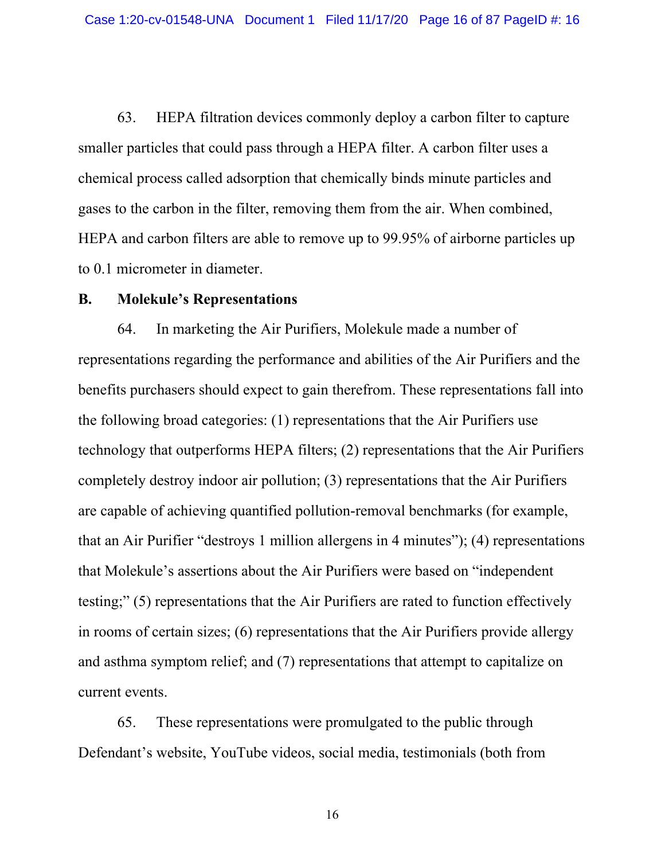63. HEPA filtration devices commonly deploy a carbon filter to capture smaller particles that could pass through a HEPA filter. A carbon filter uses a chemical process called adsorption that chemically binds minute particles and gases to the carbon in the filter, removing them from the air. When combined, HEPA and carbon filters are able to remove up to 99.95% of airborne particles up to 0.1 micrometer in diameter.

#### **B. Molekule's Representations**

64. In marketing the Air Purifiers, Molekule made a number of representations regarding the performance and abilities of the Air Purifiers and the benefits purchasers should expect to gain therefrom. These representations fall into the following broad categories: (1) representations that the Air Purifiers use technology that outperforms HEPA filters; (2) representations that the Air Purifiers completely destroy indoor air pollution; (3) representations that the Air Purifiers are capable of achieving quantified pollution-removal benchmarks (for example, that an Air Purifier "destroys 1 million allergens in 4 minutes"); (4) representations that Molekule's assertions about the Air Purifiers were based on "independent testing;" (5) representations that the Air Purifiers are rated to function effectively in rooms of certain sizes; (6) representations that the Air Purifiers provide allergy and asthma symptom relief; and (7) representations that attempt to capitalize on current events.

65. These representations were promulgated to the public through Defendant's website, YouTube videos, social media, testimonials (both from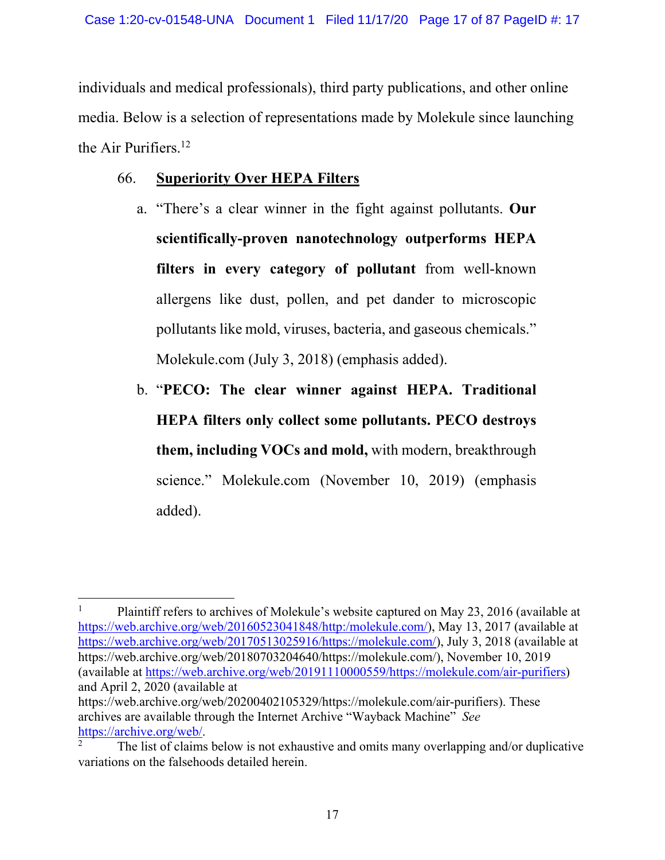individuals and medical professionals), third party publications, and other online media. Below is a selection of representations made by Molekule since launching the Air Purifiers.<sup>12</sup>

# 66. **Superiority Over HEPA Filters**

- a. "There's a clear winner in the fight against pollutants. **Our scientifically-proven nanotechnology outperforms HEPA filters in every category of pollutant** from well-known allergens like dust, pollen, and pet dander to microscopic pollutants like mold, viruses, bacteria, and gaseous chemicals." Molekule.com (July 3, 2018) (emphasis added).
- b. "**PECO: The clear winner against HEPA. Traditional HEPA filters only collect some pollutants. PECO destroys them, including VOCs and mold,** with modern, breakthrough science." Molekule.com (November 10, 2019) (emphasis added).

<sup>1</sup> Plaintiff refers to archives of Molekule's website captured on May 23, 2016 (available at https://web.archive.org/web/20160523041848/http:/molekule.com/), May 13, 2017 (available at https://web.archive.org/web/20170513025916/https://molekule.com/), July 3, 2018 (available at https://web.archive.org/web/20180703204640/https://molekule.com/), November 10, 2019 (available at https://web.archive.org/web/20191110000559/https://molekule.com/air-purifiers) and April 2, 2020 (available at

https://web.archive.org/web/20200402105329/https://molekule.com/air-purifiers). These archives are available through the Internet Archive "Wayback Machine" *See* https://archive.org/web/. 2

The list of claims below is not exhaustive and omits many overlapping and/or duplicative variations on the falsehoods detailed herein.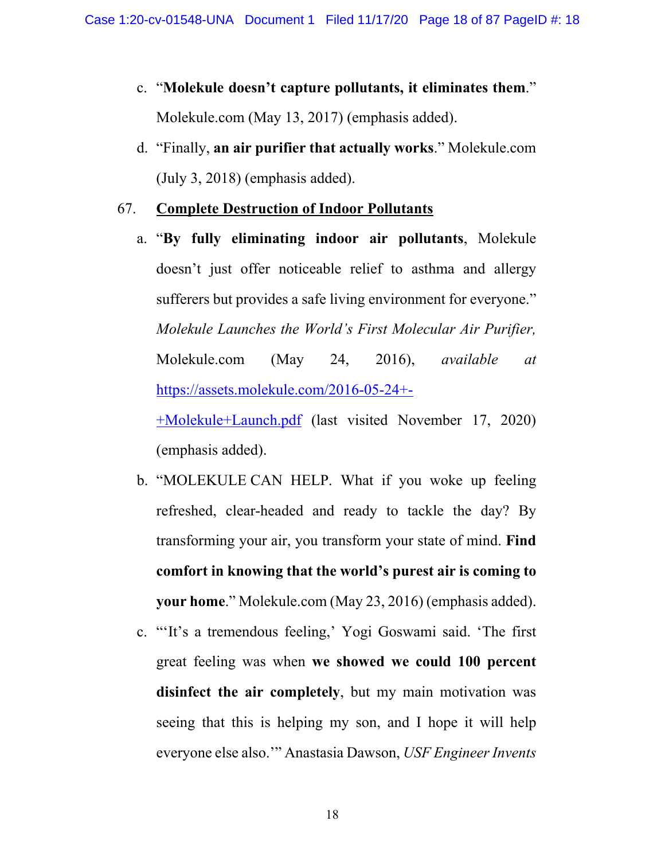- c. "**Molekule doesn't capture pollutants, it eliminates them**." Molekule.com (May 13, 2017) (emphasis added).
- d. "Finally, **an air purifier that actually works**." Molekule.com (July 3, 2018) (emphasis added).

# 67. **Complete Destruction of Indoor Pollutants**

a. "**By fully eliminating indoor air pollutants**, Molekule doesn't just offer noticeable relief to asthma and allergy sufferers but provides a safe living environment for everyone." *Molekule Launches the World's First Molecular Air Purifier,*  Molekule.com (May 24, 2016), *available at*  https://assets.molekule.com/2016-05-24+- +Molekule+Launch.pdf (last visited November 17, 2020)

(emphasis added).

- b. "MOLEKULE CAN HELP. What if you woke up feeling refreshed, clear-headed and ready to tackle the day? By transforming your air, you transform your state of mind. **Find comfort in knowing that the world's purest air is coming to your home**." Molekule.com (May 23, 2016) (emphasis added).
- c. "'It's a tremendous feeling,' Yogi Goswami said. 'The first great feeling was when **we showed we could 100 percent disinfect the air completely**, but my main motivation was seeing that this is helping my son, and I hope it will help everyone else also.'" Anastasia Dawson, *USF Engineer Invents*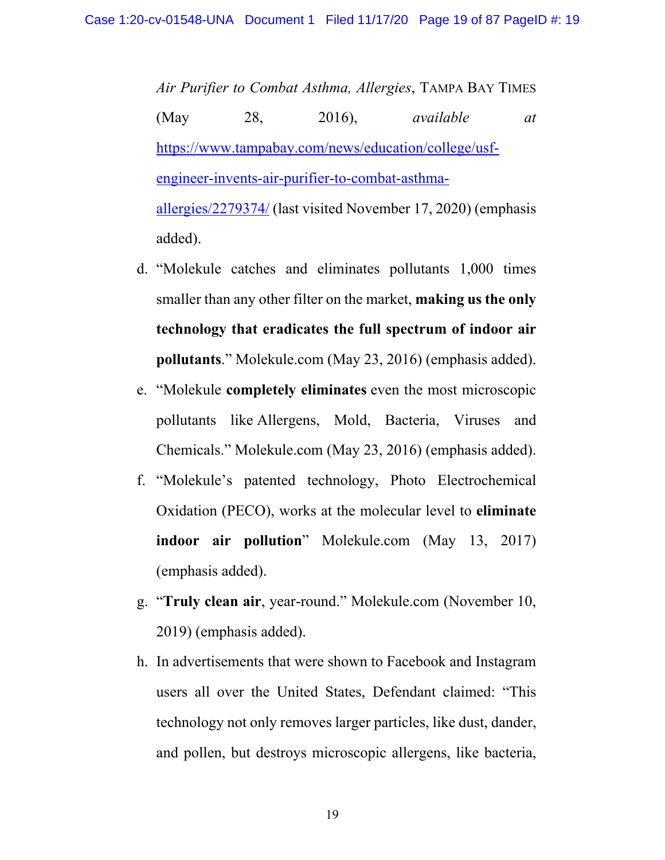*Air Purifier to Combat Asthma, Allergies*, TAMPA BAY TIMES (May 28, 2016), *available at* https://www.tampabay.com/news/education/college/usfengineer-invents-air-purifier-to-combat-asthmaallergies/2279374/ (last visited November 17, 2020) (emphasis added).

- d. "Molekule catches and eliminates pollutants 1,000 times smaller than any other filter on the market, **making us the only technology that eradicates the full spectrum of indoor air pollutants**." Molekule.com (May 23, 2016) (emphasis added).
- e. "Molekule **completely eliminates** even the most microscopic pollutants like Allergens, Mold, Bacteria, Viruses and Chemicals." Molekule.com (May 23, 2016) (emphasis added).
- f. "Molekule's patented technology, Photo Electrochemical Oxidation (PECO), works at the molecular level to **eliminate indoor air pollution**" Molekule.com (May 13, 2017) (emphasis added).
- g. "**Truly clean air**, year-round." Molekule.com (November 10, 2019) (emphasis added).
- h. In advertisements that were shown to Facebook and Instagram users all over the United States, Defendant claimed: "This technology not only removes larger particles, like dust, dander, and pollen, but destroys microscopic allergens, like bacteria,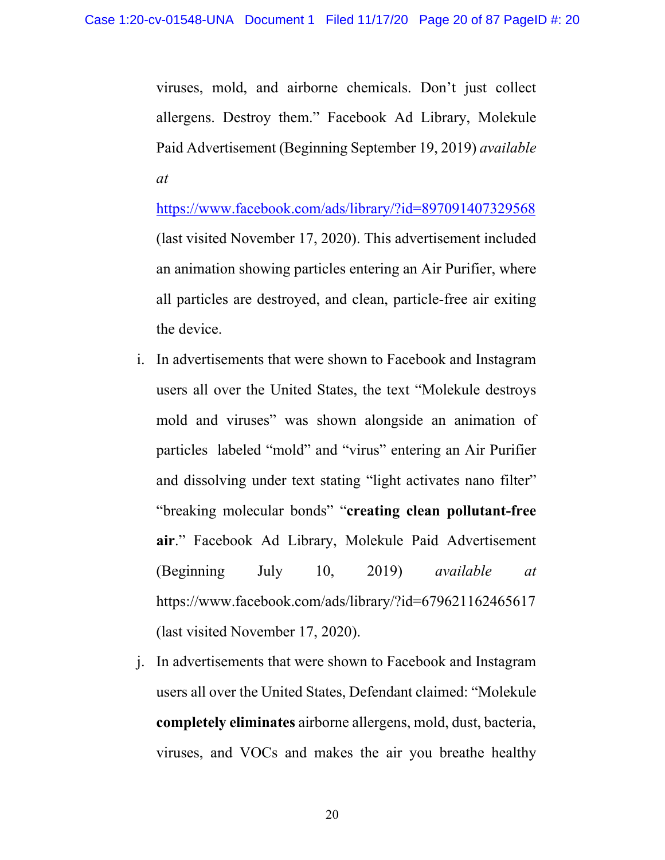viruses, mold, and airborne chemicals. Don't just collect allergens. Destroy them." Facebook Ad Library, Molekule Paid Advertisement (Beginning September 19, 2019) *available at* 

https://www.facebook.com/ads/library/?id=897091407329568 (last visited November 17, 2020). This advertisement included an animation showing particles entering an Air Purifier, where all particles are destroyed, and clean, particle-free air exiting the device.

- i. In advertisements that were shown to Facebook and Instagram users all over the United States, the text "Molekule destroys mold and viruses" was shown alongside an animation of particles labeled "mold" and "virus" entering an Air Purifier and dissolving under text stating "light activates nano filter" "breaking molecular bonds" "**creating clean pollutant-free air**." Facebook Ad Library, Molekule Paid Advertisement (Beginning July 10, 2019) *available at*  https://www.facebook.com/ads/library/?id=679621162465617 (last visited November 17, 2020).
- j. In advertisements that were shown to Facebook and Instagram users all over the United States, Defendant claimed: "Molekule **completely eliminates** airborne allergens, mold, dust, bacteria, viruses, and VOCs and makes the air you breathe healthy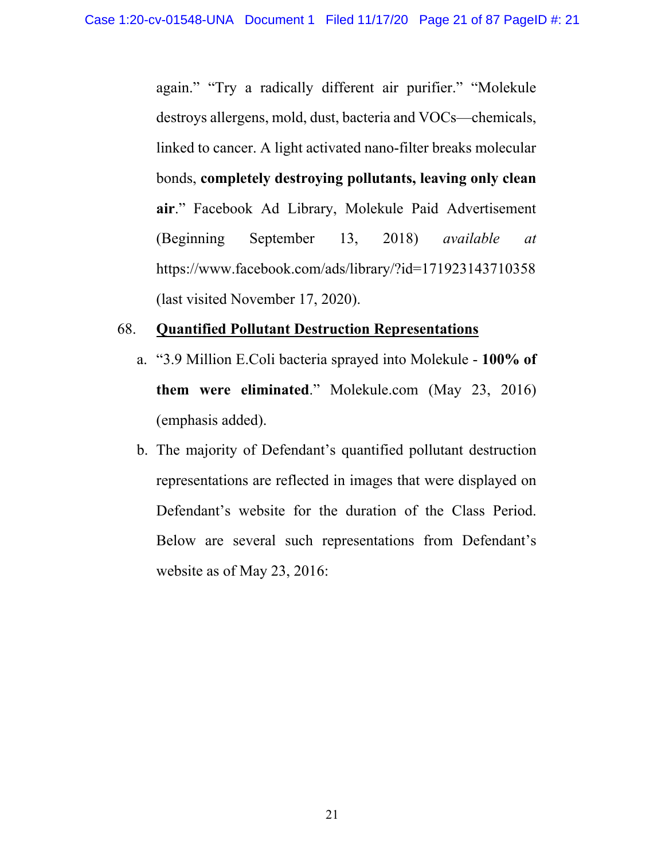again." "Try a radically different air purifier." "Molekule destroys allergens, mold, dust, bacteria and VOCs—chemicals, linked to cancer. A light activated nano-filter breaks molecular bonds, **completely destroying pollutants, leaving only clean air**." Facebook Ad Library, Molekule Paid Advertisement (Beginning September 13, 2018) *available at*  https://www.facebook.com/ads/library/?id=171923143710358 (last visited November 17, 2020).

### 68. **Quantified Pollutant Destruction Representations**

- a. "3.9 Million E.Coli bacteria sprayed into Molekule **100% of them were eliminated**." Molekule.com (May 23, 2016) (emphasis added).
- b. The majority of Defendant's quantified pollutant destruction representations are reflected in images that were displayed on Defendant's website for the duration of the Class Period. Below are several such representations from Defendant's website as of May 23, 2016: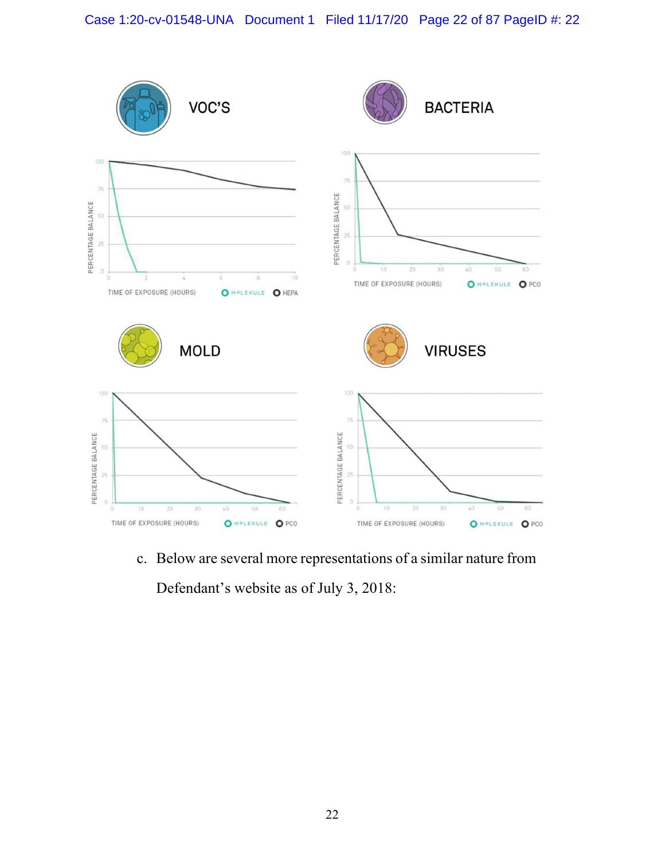

c. Below are several more representations of a similar nature from

Defendant's website as of July 3, 2018: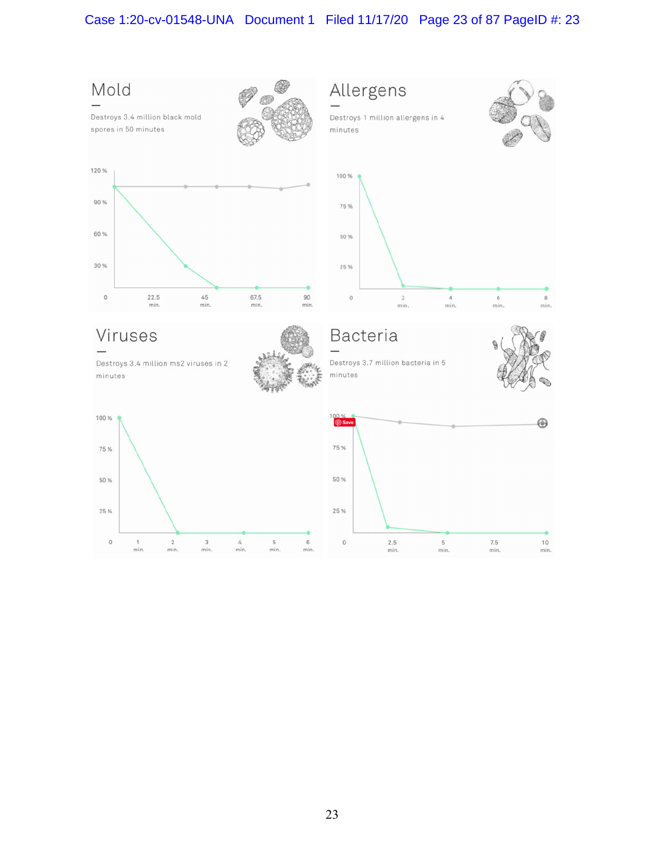# Case 1:20-cv-01548-UNA Document 1 Filed 11/17/20 Page 23 of 87 PageID #: 23

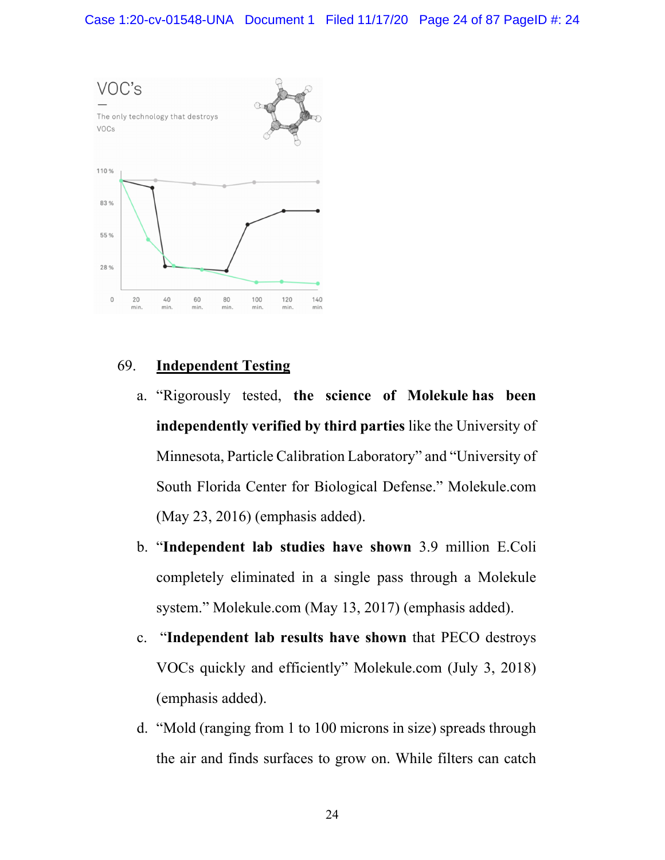

# 69. **Independent Testing**

- a. "Rigorously tested, **the science of Molekule has been independently verified by third parties** like the University of Minnesota, Particle Calibration Laboratory" and "University of South Florida Center for Biological Defense." Molekule.com (May 23, 2016) (emphasis added).
- b. "**Independent lab studies have shown** 3.9 million E.Coli completely eliminated in a single pass through a Molekule system." Molekule.com (May 13, 2017) (emphasis added).
- c. "**Independent lab results have shown** that PECO destroys VOCs quickly and efficiently" Molekule.com (July 3, 2018) (emphasis added).
- d. "Mold (ranging from 1 to 100 microns in size) spreads through the air and finds surfaces to grow on. While filters can catch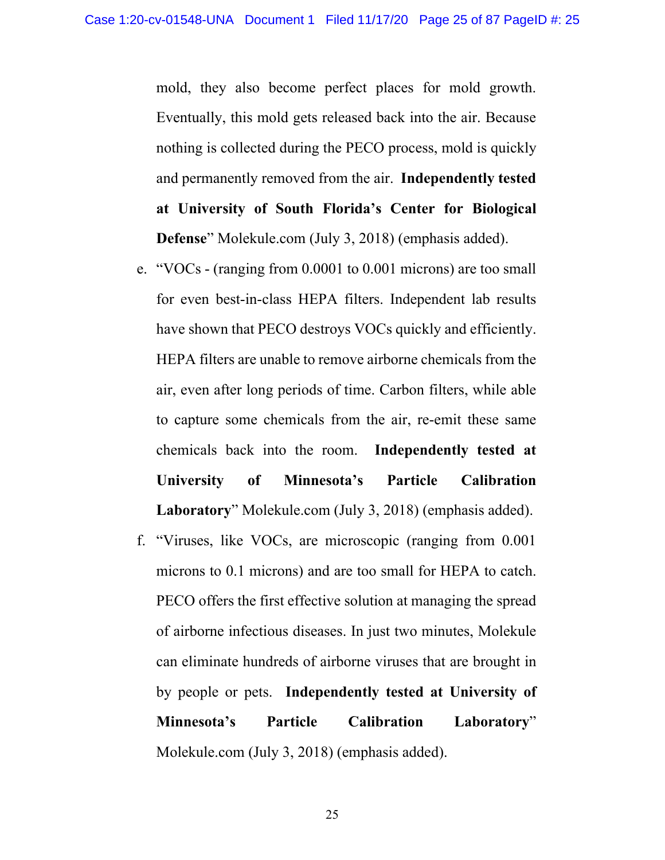mold, they also become perfect places for mold growth. Eventually, this mold gets released back into the air. Because nothing is collected during the PECO process, mold is quickly and permanently removed from the air.**Independently tested at University of South Florida's Center for Biological Defense**" Molekule.com (July 3, 2018) (emphasis added).

- e. "VOCs (ranging from 0.0001 to 0.001 microns) are too small for even best-in-class HEPA filters. Independent lab results have shown that PECO destroys VOCs quickly and efficiently. HEPA filters are unable to remove airborne chemicals from the air, even after long periods of time. Carbon filters, while able to capture some chemicals from the air, re-emit these same chemicals back into the room.**Independently tested at University of Minnesota's Particle Calibration Laboratory**" Molekule.com (July 3, 2018) (emphasis added).
- f. "Viruses, like VOCs, are microscop[ic \(](http://www.google.com/search?q=ic++()ranging from 0.001 microns to 0.1 microns) and are too small for HEPA to catch. PECO offers the first effective solution at managing the spread of airborne infectious diseases. In just two minutes, Molekule can eliminate hundreds of airborne viruses that are brought in by people or pets.**Independently tested at University of Minnesota's Particle Calibration Laboratory**" Molekule.com (July 3, 2018) (emphasis added).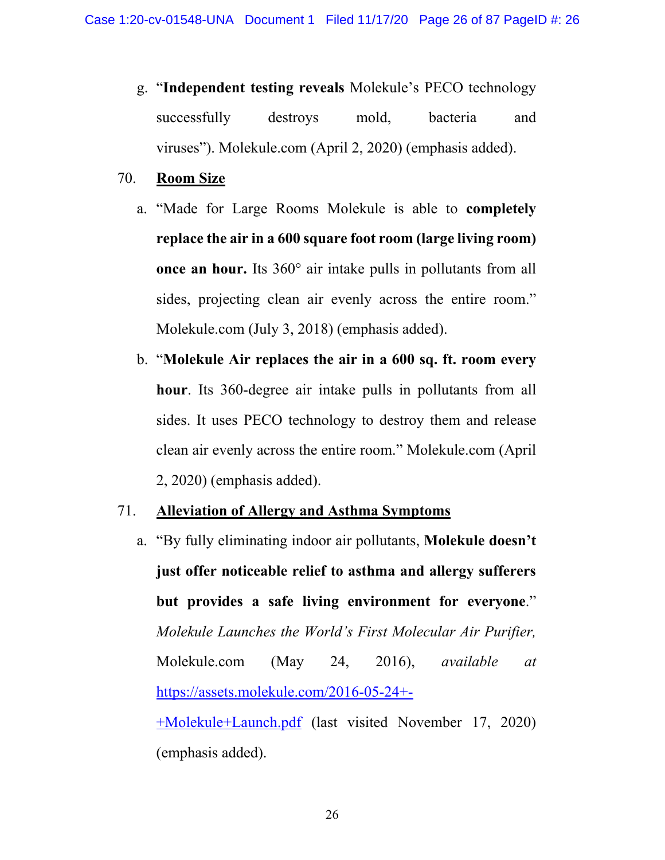- g. "**Independent testing reveals** Molekule's PECO technology successfully destroys mold, bacteria and viruses"). Molekule.com (April 2, 2020) (emphasis added).
- 70. **Room Size** 
	- a. "Made for Large Rooms Molekule is able to **completely replace the air in a 600 square foot room (large living room) once an hour.** Its 360° air intake pulls in pollutants from all sides, projecting clean air evenly across the entire room." Molekule.com (July 3, 2018) (emphasis added).
	- b. "**Molekule Air replaces the air in a 600 sq. ft. room every hour**. Its 360-degree air intake pulls in pollutants from all sides. It uses PECO technology to destroy them and release clean air evenly across the entire room." Molekule.com (April 2, 2020) (emphasis added).

# 71. **Alleviation of Allergy and Asthma Symptoms**

a. "By fully eliminating indoor air pollutants, **Molekule doesn't just offer noticeable relief to asthma and allergy sufferers but provides a safe living environment for everyone**." *Molekule Launches the World's First Molecular Air Purifier,*  Molekule.com (May 24, 2016), *available at*  https://assets.molekule.com/2016-05-24+- +Molekule+Launch.pdf (last visited November 17, 2020) (emphasis added).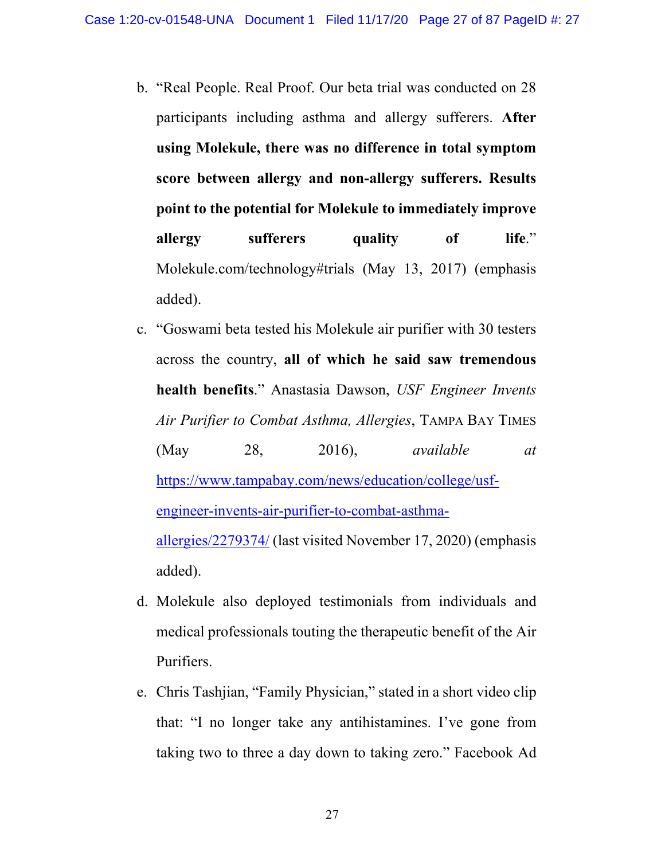- b. "Real People. Real Proof. Our beta trial was conducted on 28 participants including asthma and allergy sufferers. **After using Molekule, there was no difference in total symptom score between allergy and non-allergy sufferers. Results point to the potential for Molekule to immediately improve allergy** sufferers quality of life." Molekule.com/technology#trials (May 13, 2017) (emphasis added).
- c. "Goswami beta tested his Molekule air purifier with 30 testers across the country, **all of which he said saw tremendous health benefits**." Anastasia Dawson, *USF Engineer Invents Air Purifier to Combat Asthma, Allergies*, TAMPA BAY TIMES (May 28, 2016), *available at* https://www.tampabay.com/news/education/college/usfengineer-invents-air-purifier-to-combat-asthmaallergies/2279374/ (last visited November 17, 2020) (emphasis added).
- d. Molekule also deployed testimonials from individuals and medical professionals touting the therapeutic benefit of the Air Purifiers.
- e. Chris Tashjian, "Family Physician," stated in a short video clip that: "I no longer take any antihistamines. I've gone from taking two to three a day down to taking zero." Facebook Ad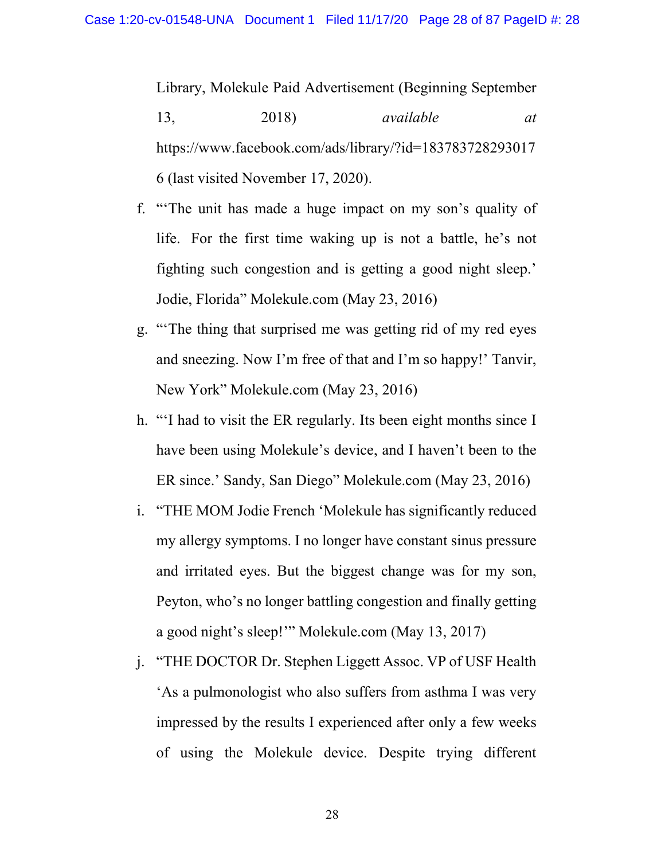Library, Molekule Paid Advertisement (Beginning September 13, 2018) *available at*  https://www.facebook.com/ads/library/?id=183783728293017 6 (last visited November 17, 2020).

- f. "'The unit has made a huge impact on my son's quality of life. For the first time waking up is not a battle, he's not fighting such congestion and is getting a good night sleep.' Jodie, Florida" Molekule.com (May 23, 2016)
- g. "'The thing that surprised me was getting rid of my red eyes and sneezing. Now I'm free of that and I'm so happy!' Tanvir, New York" Molekule.com (May 23, 2016)
- h. "'I had to visit the ER regularly. Its been eight months since I have been using Molekule's device, and I haven't been to the ER since.' Sandy, San Diego" Molekule.com (May 23, 2016)
- i. "THE MOM Jodie French 'Molekule has significantly reduced my allergy symptoms. I no longer have constant sinus pressure and irritated eyes. But the biggest change was for my son, Peyton, who's no longer battling congestion and finally getting a good night's sleep!'" Molekule.com (May 13, 2017)
- j. "THE DOCTOR Dr. Stephen Liggett Assoc. VP of USF Health 'As a pulmonologist who also suffers from asthma I was very impressed by the results I experienced after only a few weeks of using the Molekule device. Despite trying different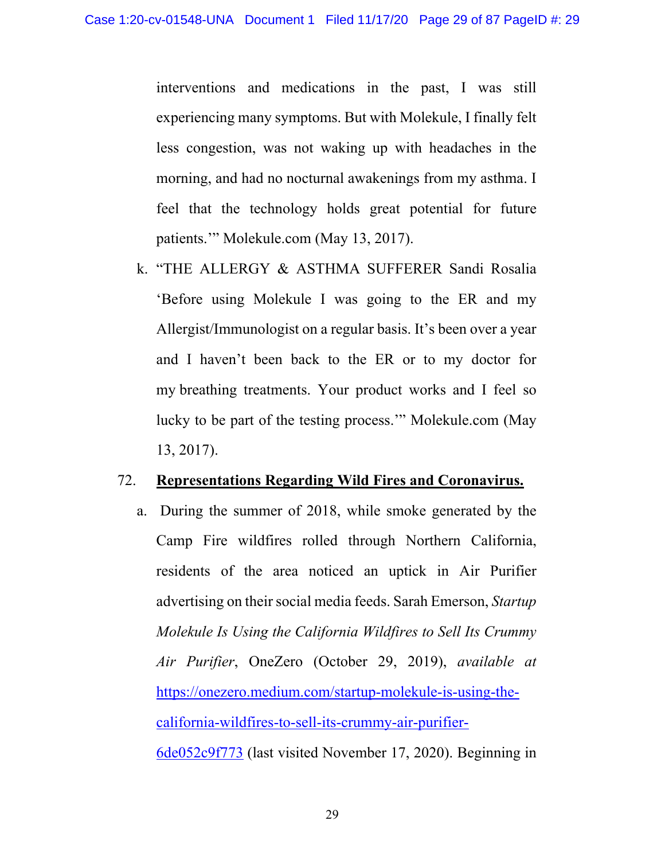interventions and medications in the past, I was still experiencing many symptoms. But with Molekule, I finally felt less congestion, was not waking up with headaches in the morning, and had no nocturnal awakenings from my asthma. I feel that the technology holds great potential for future patients.'" Molekule.com (May 13, 2017).

k. "THE ALLERGY & ASTHMA SUFFERER Sandi Rosalia 'Before using Molekule I was going to the ER and my Allergist/Immunologist on a regular basis. It's been over a year and I haven't been back to the ER or to my doctor for my breathing treatments. Your product works and I feel so lucky to be part of the testing process.'" Molekule.com (May 13, 2017).

### 72. **Representations Regarding Wild Fires and Coronavirus.**

a. During the summer of 2018, while smoke generated by the Camp Fire wildfires rolled through Northern California, residents of the area noticed an uptick in Air Purifier advertising on their social media feeds. Sarah Emerson, *Startup Molekule Is Using the California Wildfires to Sell Its Crummy Air Purifier*, OneZero (October 29, 2019), *available at* https://onezero.medium.com/startup-molekule-is-using-thecalifornia-wildfires-to-sell-its-crummy-air-purifier-6de052c9f773 (last visited November 17, 2020). Beginning in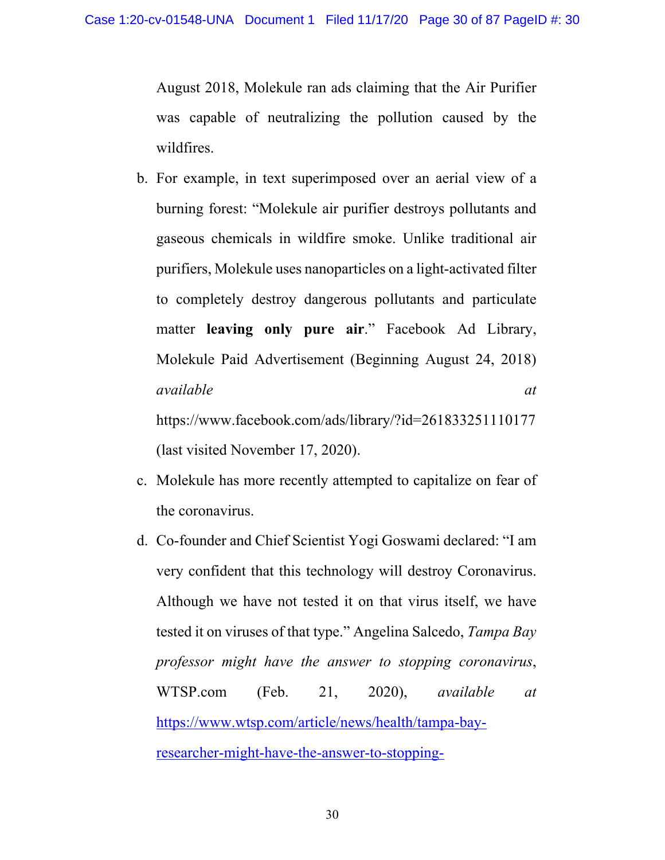August 2018, Molekule ran ads claiming that the Air Purifier was capable of neutralizing the pollution caused by the wildfires.

- b. For example, in text superimposed over an aerial view of a burning forest: "Molekule air purifier destroys pollutants and gaseous chemicals in wildfire smoke. Unlike traditional air purifiers, Molekule uses nanoparticles on a light-activated filter to completely destroy dangerous pollutants and particulate matter **leaving only pure air**." Facebook Ad Library, Molekule Paid Advertisement (Beginning August 24, 2018) *available at* https://www.facebook.com/ads/library/?id=261833251110177 (last visited November 17, 2020).
- c. Molekule has more recently attempted to capitalize on fear of the coronavirus.
- d. Co-founder and Chief Scientist Yogi Goswami declared: "I am very confident that this technology will destroy Coronavirus. Although we have not tested it on that virus itself, we have tested it on viruses of that type." Angelina Salcedo, *Tampa Bay professor might have the answer to stopping coronavirus*, WTSP.com (Feb. 21, 2020), *available at* https://www.wtsp.com/article/news/health/tampa-bayresearcher-might-have-the-answer-to-stopping-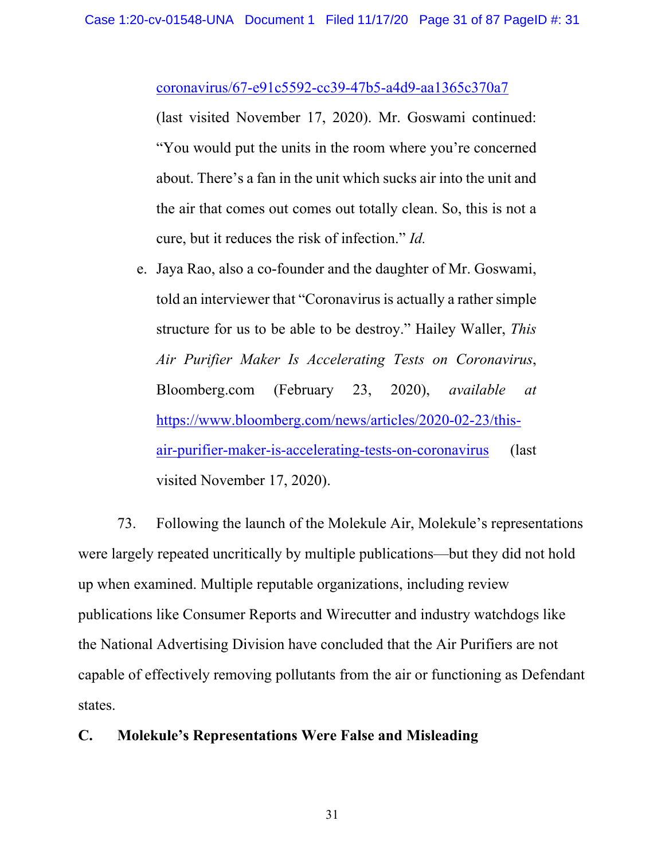#### coronavirus/67-e91c5592-cc39-47b5-a4d9-aa1365c370a7

(last visited November 17, 2020). Mr. Goswami continued: "You would put the units in the room where you're concerned about. There's a fan in the unit which sucks air into the unit and the air that comes out comes out totally clean. So, this is not a cure, but it reduces the risk of infection." *Id.*

e. Jaya Rao, also a co-founder and the daughter of Mr. Goswami, told an interviewer that "Coronavirus is actually a rather simple structure for us to be able to be destroy." Hailey Waller, *This Air Purifier Maker Is Accelerating Tests on Coronavirus*, Bloomberg.com (February 23, 2020), *available at* https://www.bloomberg.com/news/articles/2020-02-23/thisair-purifier-maker-is-accelerating-tests-on-coronavirus (last visited November 17, 2020).

73. Following the launch of the Molekule Air, Molekule's representations were largely repeated uncritically by multiple publications—but they did not hold up when examined. Multiple reputable organizations, including review publications like Consumer Reports and Wirecutter and industry watchdogs like the National Advertising Division have concluded that the Air Purifiers are not capable of effectively removing pollutants from the air or functioning as Defendant states.

## **C. Molekule's Representations Were False and Misleading**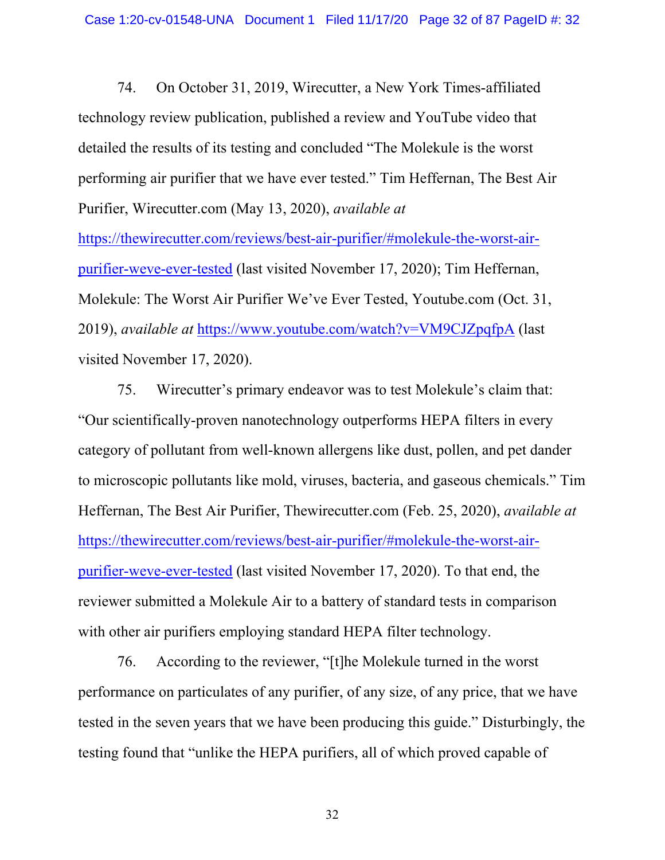74. On October 31, 2019, Wirecutter, a New York Times-affiliated technology review publication, published a review and YouTube video that detailed the results of its testing and concluded "The Molekule is the worst performing air purifier that we have ever tested." Tim Heffernan, The Best Air Purifier, Wirecutter.com (May 13, 2020), *available at*

https://thewirecutter.com/reviews/best-air-purifier/#molekule-the-worst-airpurifier-weve-ever-tested (last visited November 17, 2020); Tim Heffernan, Molekule: The Worst Air Purifier We've Ever Tested, Youtube.com (Oct. 31, 2019), *available at* https://www.youtube.com/watch?v=VM9CJZpqfpA (last visited November 17, 2020).

75. Wirecutter's primary endeavor was to test Molekule's claim that: "Our scientifically-proven nanotechnology outperforms HEPA filters in every category of pollutant from well-known allergens like dust, pollen, and pet dander to microscopic pollutants like mold, viruses, bacteria, and gaseous chemicals." Tim Heffernan, The Best Air Purifier, Thewirecutter.com (Feb. 25, 2020), *available at*  https://thewirecutter.com/reviews/best-air-purifier/#molekule-the-worst-airpurifier-weve-ever-tested (last visited November 17, 2020). To that end, the reviewer submitted a Molekule Air to a battery of standard tests in comparison with other air purifiers employing standard HEPA filter technology.

76. According to the reviewer, "[t]he Molekule turned in the worst performance on particulates of any purifier, of any size, of any price, that we have tested in the seven years that we have been producing this guide." Disturbingly, the testing found that "unlike the HEPA purifiers, all of which proved capable of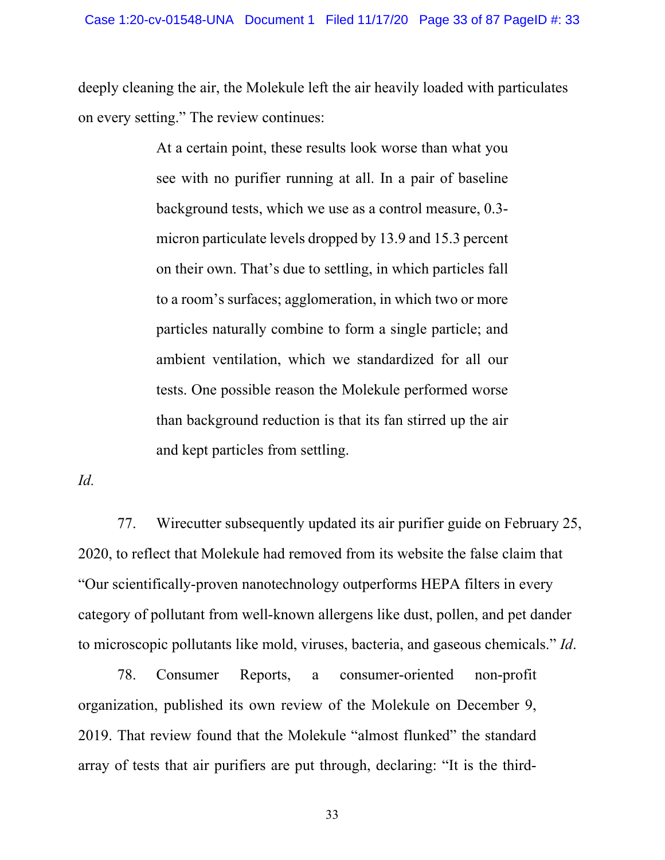deeply cleaning the air, the Molekule left the air heavily loaded with particulates on every setting." The review continues:

> At a certain point, these results look worse than what you see with no purifier running at all. In a pair of baseline background tests, which we use as a control measure, 0.3 micron particulate levels dropped by 13.9 and 15.3 percent on their own. That's due to settling, in which particles fall to a room's surfaces; agglomeration, in which two or more particles naturally combine to form a single particle; and ambient ventilation, which we standardized for all our tests. One possible reason the Molekule performed worse than background reduction is that its fan stirred up the air and kept particles from settling.

*Id.*

77. Wirecutter subsequently updated its air purifier guide on February 25, 2020, to reflect that Molekule had removed from its website the false claim that "Our scientifically-proven nanotechnology outperforms HEPA filters in every category of pollutant from well-known allergens like dust, pollen, and pet dander to microscopic pollutants like mold, viruses, bacteria, and gaseous chemicals." *Id*.

78. Consumer Reports, a consumer-oriented non-profit organization, published its own review of the Molekule on December 9, 2019. That review found that the Molekule "almost flunked" the standard array of tests that air purifiers are put through, declaring: "It is the third-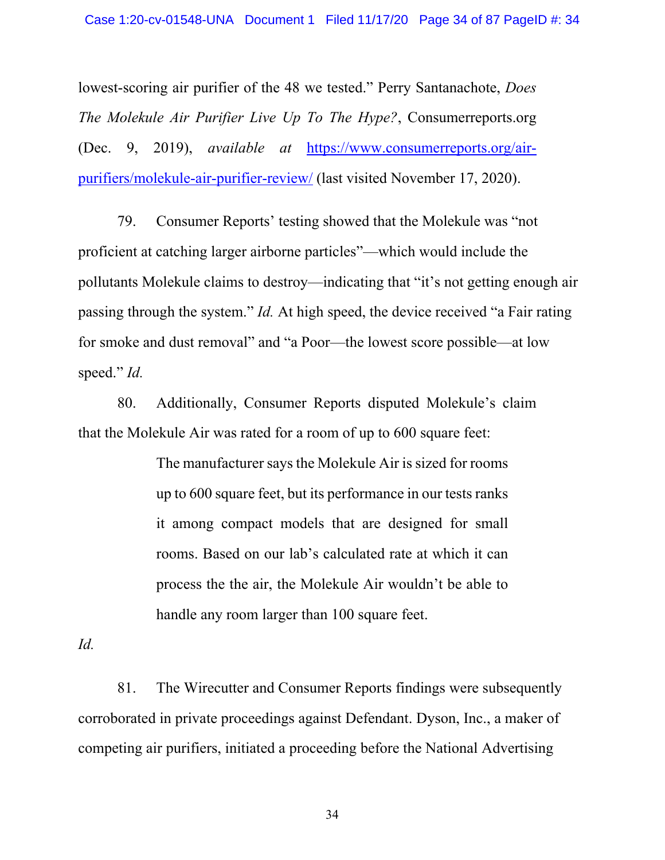lowest-scoring air purifier of the 48 we tested." Perry Santanachote, *Does The Molekule Air Purifier Live Up To The Hype?*, Consumerreports.org (Dec. 9, 2019), *available at* https://www.consumerreports.org/airpurifiers/molekule-air-purifier-review/ (last visited November 17, 2020).

79. Consumer Reports' testing showed that the Molekule was "not proficient at catching larger airborne particles"—which would include the pollutants Molekule claims to destroy—indicating that "it's not getting enough air passing through the system." *Id.* At high speed, the device received "a Fair rating for smoke and dust removal" and "a Poor—the lowest score possible—at low speed." *Id.*

80. Additionally, Consumer Reports disputed Molekule's claim that the Molekule Air was rated for a room of up to 600 square feet:

> The manufacturer says the Molekule Air is sized for rooms up to 600 square feet, but its performance in our tests ranks it among compact models that are designed for small rooms. Based on our lab's calculated rate at which it can process the the air, the Molekule Air wouldn't be able to handle any room larger than 100 square feet.

*Id.* 

81. The Wirecutter and Consumer Reports findings were subsequently corroborated in private proceedings against Defendant. Dyson, Inc., a maker of competing air purifiers, initiated a proceeding before the National Advertising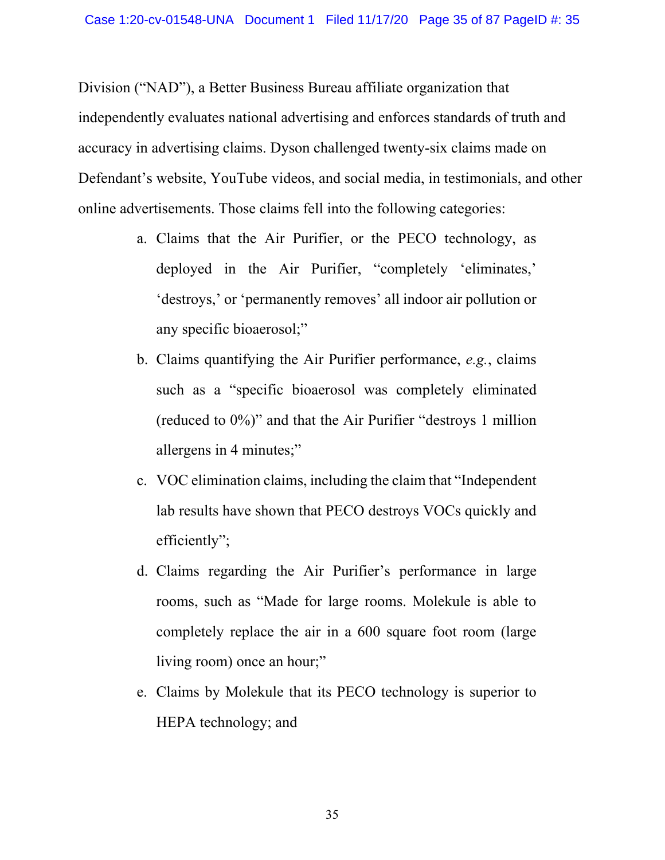Division ("NAD"), a Better Business Bureau affiliate organization that independently evaluates national advertising and enforces standards of truth and accuracy in advertising claims. Dyson challenged twenty-six claims made on Defendant's website, YouTube videos, and social media, in testimonials, and other online advertisements. Those claims fell into the following categories:

- a. Claims that the Air Purifier, or the PECO technology, as deployed in the Air Purifier, "completely 'eliminates,' 'destroys,' or 'permanently removes' all indoor air pollution or any specific bioaerosol;"
- b. Claims quantifying the Air Purifier performance, *e.g.*, claims such as a "specific bioaerosol was completely eliminated (reduced to 0%)" and that the Air Purifier "destroys 1 million allergens in 4 minutes;"
- c. VOC elimination claims, including the claim that "Independent lab results have shown that PECO destroys VOCs quickly and efficiently";
- d. Claims regarding the Air Purifier's performance in large rooms, such as "Made for large rooms. Molekule is able to completely replace the air in a 600 square foot room (large living room) once an hour;"
- e. Claims by Molekule that its PECO technology is superior to HEPA technology; and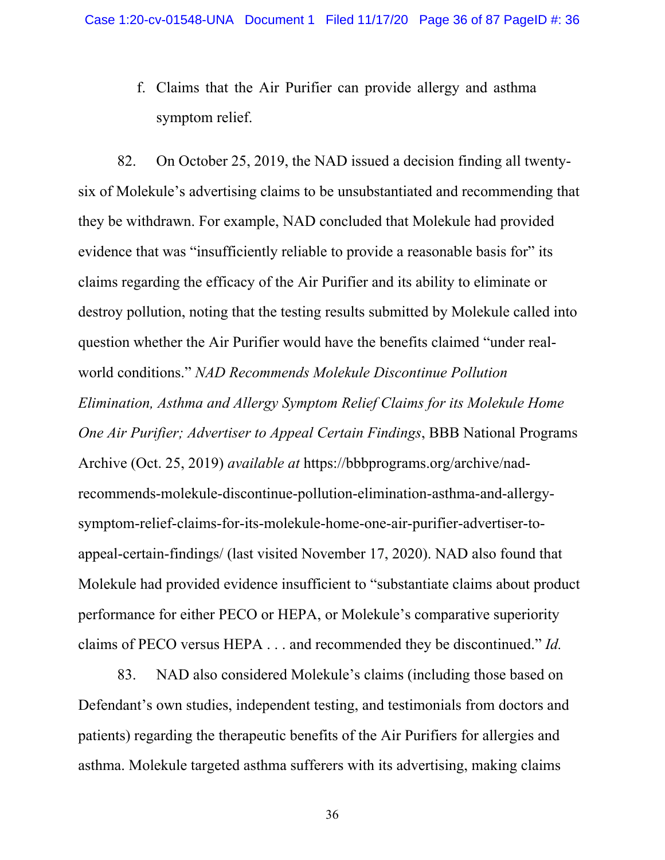f. Claims that the Air Purifier can provide allergy and asthma symptom relief.

82. On October 25, 2019, the NAD issued a decision finding all twentysix of Molekule's advertising claims to be unsubstantiated and recommending that they be withdrawn. For example, NAD concluded that Molekule had provided evidence that was "insufficiently reliable to provide a reasonable basis for" its claims regarding the efficacy of the Air Purifier and its ability to eliminate or destroy pollution, noting that the testing results submitted by Molekule called into question whether the Air Purifier would have the benefits claimed "under realworld conditions." *NAD Recommends Molekule Discontinue Pollution Elimination, Asthma and Allergy Symptom Relief Claims for its Molekule Home One Air Purifier; Advertiser to Appeal Certain Findings*, BBB National Programs Archive (Oct. 25, 2019) *available at* https://bbbprograms.org/archive/nadrecommends-molekule-discontinue-pollution-elimination-asthma-and-allergysymptom-relief-claims-for-its-molekule-home-one-air-purifier-advertiser-toappeal-certain-findings/ (last visited November 17, 2020). NAD also found that Molekule had provided evidence insufficient to "substantiate claims about product performance for either PECO or HEPA, or Molekule's comparative superiority claims of PECO versus HEPA . . . and recommended they be discontinued." *Id.*

83. NAD also considered Molekule's claims (including those based on Defendant's own studies, independent testing, and testimonials from doctors and patients) regarding the therapeutic benefits of the Air Purifiers for allergies and asthma. Molekule targeted asthma sufferers with its advertising, making claims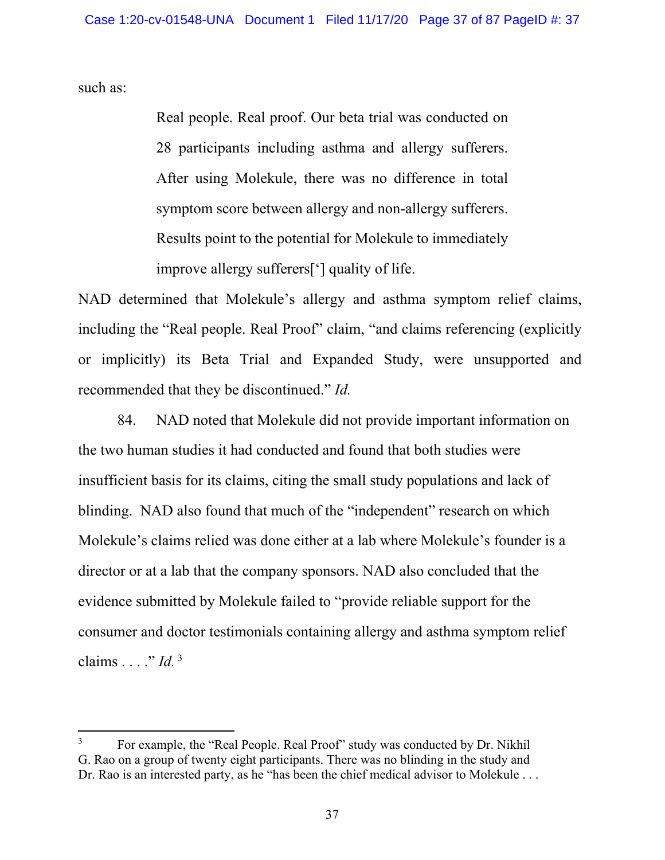such as:

Real people. Real proof. Our beta trial was conducted on 28 participants including asthma and allergy sufferers. After using Molekule, there was no difference in total symptom score between allergy and non-allergy sufferers. Results point to the potential for Molekule to immediately improve allergy sufferers['] quality of life.

NAD determined that Molekule's allergy and asthma symptom relief claims, including the "Real people. Real Proof" claim, "and claims referencing (explicitly or implicitly) its Beta Trial and Expanded Study, were unsupported and recommended that they be discontinued." *Id.*

84. NAD noted that Molekule did not provide important information on the two human studies it had conducted and found that both studies were insufficient basis for its claims, citing the small study populations and lack of blinding. NAD also found that much of the "independent" research on which Molekule's claims relied was done either at a lab where Molekule's founder is a director or at a lab that the company sponsors. NAD also concluded that the evidence submitted by Molekule failed to "provide reliable support for the consumer and doctor testimonials containing allergy and asthma symptom relief claims . . . ." *Id.*<sup>3</sup>

<sup>3</sup> For example, the "Real People. Real Proof" study was conducted by Dr. Nikhil G. Rao on a group of twenty eight participants. There was no blinding in the study and Dr. Rao is an interested party, as he "has been the chief medical advisor to Molekule . . .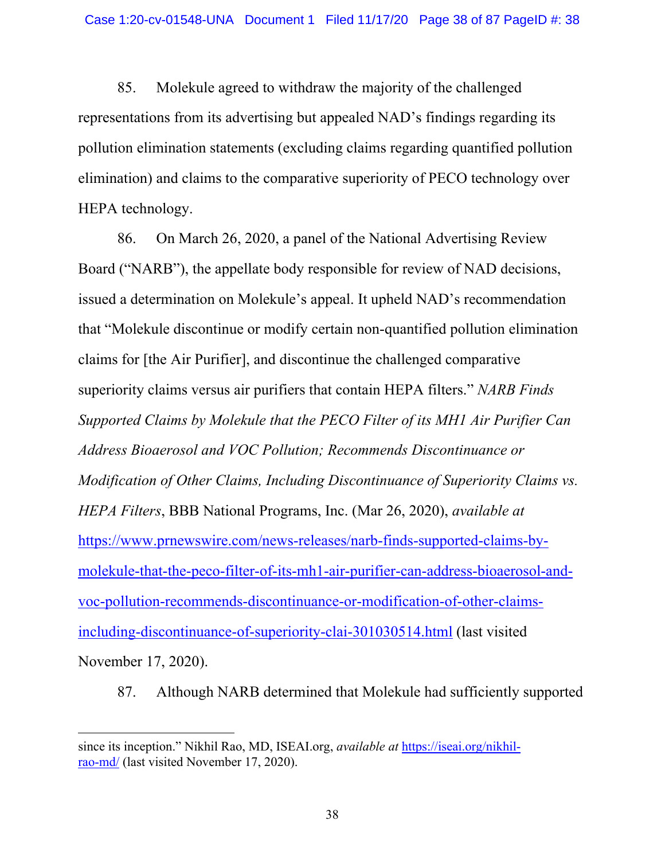85. Molekule agreed to withdraw the majority of the challenged representations from its advertising but appealed NAD's findings regarding its pollution elimination statements (excluding claims regarding quantified pollution elimination) and claims to the comparative superiority of PECO technology over HEPA technology.

86. On March 26, 2020, a panel of the National Advertising Review Board ("NARB"), the appellate body responsible for review of NAD decisions, issued a determination on Molekule's appeal. It upheld NAD's recommendation that "Molekule discontinue or modify certain non-quantified pollution elimination claims for [the Air Purifier], and discontinue the challenged comparative superiority claims versus air purifiers that contain HEPA filters." *NARB Finds Supported Claims by Molekule that the PECO Filter of its MH1 Air Purifier Can Address Bioaerosol and VOC Pollution; Recommends Discontinuance or Modification of Other Claims, Including Discontinuance of Superiority Claims vs. HEPA Filters*, BBB National Programs, Inc. (Mar 26, 2020), *available at* https://www.prnewswire.com/news-releases/narb-finds-supported-claims-bymolekule-that-the-peco-filter-of-its-mh1-air-purifier-can-address-bioaerosol-andvoc-pollution-recommends-discontinuance-or-modification-of-other-claimsincluding-discontinuance-of-superiority-clai-301030514.html (last visited November 17, 2020).

87. Although NARB determined that Molekule had sufficiently supported

since its inception." Nikhil Rao, MD, ISEAI.org, *available at* https://iseai.org/nikhilrao-md/ (last visited November 17, 2020).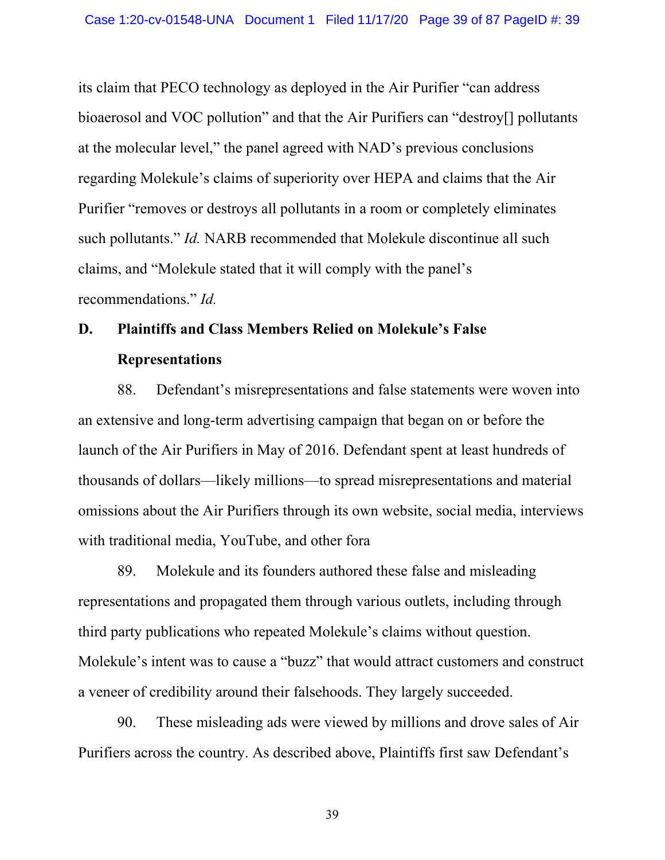its claim that PECO technology as deployed in the Air Purifier "can address bioaerosol and VOC pollution" and that the Air Purifiers can "destroy[] pollutants at the molecular level," the panel agreed with NAD's previous conclusions regarding Molekule's claims of superiority over HEPA and claims that the Air Purifier "removes or destroys all pollutants in a room or completely eliminates such pollutants." *Id.* NARB recommended that Molekule discontinue all such claims, and "Molekule stated that it will comply with the panel's recommendations." *Id.* 

# **D. Plaintiffs and Class Members Relied on Molekule's False Representations**

88. Defendant's misrepresentations and false statements were woven into an extensive and long-term advertising campaign that began on or before the launch of the Air Purifiers in May of 2016. Defendant spent at least hundreds of thousands of dollars—likely millions—to spread misrepresentations and material omissions about the Air Purifiers through its own website, social media, interviews with traditional media, YouTube, and other fora

89. Molekule and its founders authored these false and misleading representations and propagated them through various outlets, including through third party publications who repeated Molekule's claims without question. Molekule's intent was to cause a "buzz" that would attract customers and construct a veneer of credibility around their falsehoods. They largely succeeded.

90. These misleading ads were viewed by millions and drove sales of Air Purifiers across the country. As described above, Plaintiffs first saw Defendant's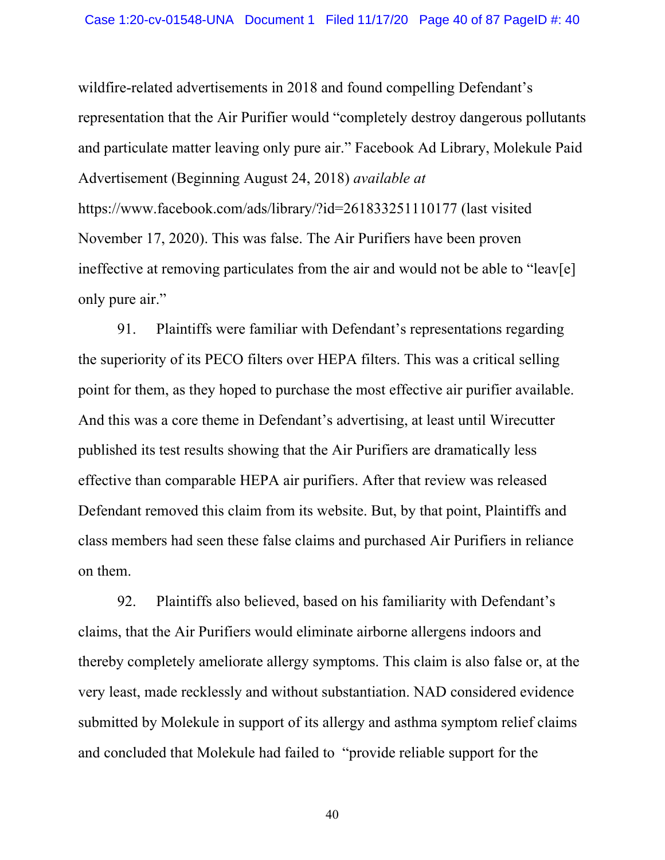wildfire-related advertisements in 2018 and found compelling Defendant's representation that the Air Purifier would "completely destroy dangerous pollutants and particulate matter leaving only pure air." Facebook Ad Library, Molekule Paid Advertisement (Beginning August 24, 2018) *available at* https://www.facebook.com/ads/library/?id=261833251110177 (last visited November 17, 2020). This was false. The Air Purifiers have been proven ineffective at removing particulates from the air and would not be able to "leav[e] only pure air."

91. Plaintiffs were familiar with Defendant's representations regarding the superiority of its PECO filters over HEPA filters. This was a critical selling point for them, as they hoped to purchase the most effective air purifier available. And this was a core theme in Defendant's advertising, at least until Wirecutter published its test results showing that the Air Purifiers are dramatically less effective than comparable HEPA air purifiers. After that review was released Defendant removed this claim from its website. But, by that point, Plaintiffs and class members had seen these false claims and purchased Air Purifiers in reliance on them.

92. Plaintiffs also believed, based on his familiarity with Defendant's claims, that the Air Purifiers would eliminate airborne allergens indoors and thereby completely ameliorate allergy symptoms. This claim is also false or, at the very least, made recklessly and without substantiation. NAD considered evidence submitted by Molekule in support of its allergy and asthma symptom relief claims and concluded that Molekule had failed to "provide reliable support for the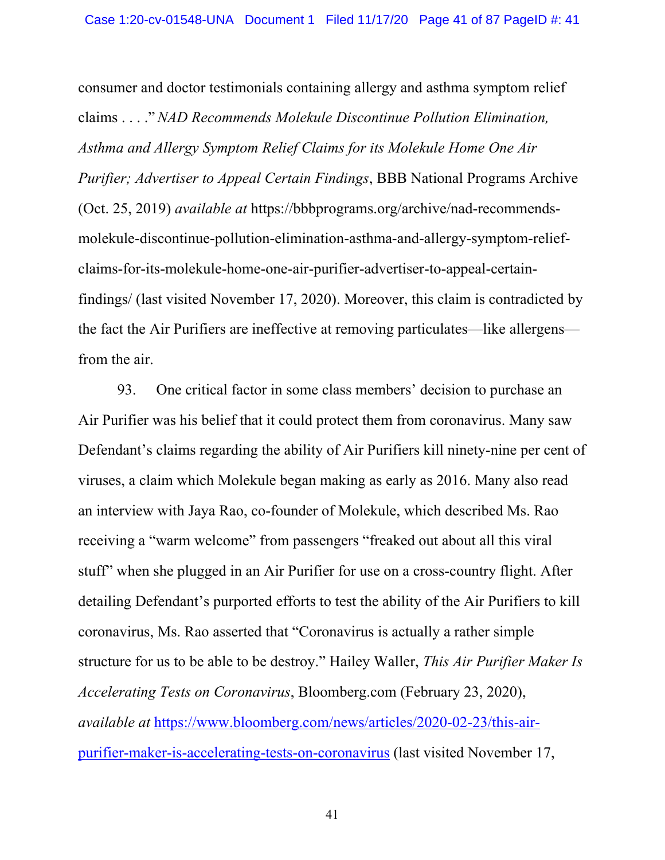consumer and doctor testimonials containing allergy and asthma symptom relief claims . . . ."*NAD Recommends Molekule Discontinue Pollution Elimination, Asthma and Allergy Symptom Relief Claims for its Molekule Home One Air Purifier; Advertiser to Appeal Certain Findings*, BBB National Programs Archive (Oct. 25, 2019) *available at* https://bbbprograms.org/archive/nad-recommendsmolekule-discontinue-pollution-elimination-asthma-and-allergy-symptom-reliefclaims-for-its-molekule-home-one-air-purifier-advertiser-to-appeal-certainfindings/ (last visited November 17, 2020). Moreover, this claim is contradicted by the fact the Air Purifiers are ineffective at removing particulates—like allergens from the air.

93. One critical factor in some class members' decision to purchase an Air Purifier was his belief that it could protect them from coronavirus. Many saw Defendant's claims regarding the ability of Air Purifiers kill ninety-nine per cent of viruses, a claim which Molekule began making as early as 2016. Many also read an interview with Jaya Rao, co-founder of Molekule, which described Ms. Rao receiving a "warm welcome" from passengers "freaked out about all this viral stuff" when she plugged in an Air Purifier for use on a cross-country flight. After detailing Defendant's purported efforts to test the ability of the Air Purifiers to kill coronavirus, Ms. Rao asserted that "Coronavirus is actually a rather simple structure for us to be able to be destroy." Hailey Waller, *This Air Purifier Maker Is Accelerating Tests on Coronavirus*, Bloomberg.com (February 23, 2020), *available at* https://www.bloomberg.com/news/articles/2020-02-23/this-airpurifier-maker-is-accelerating-tests-on-coronavirus (last visited November 17,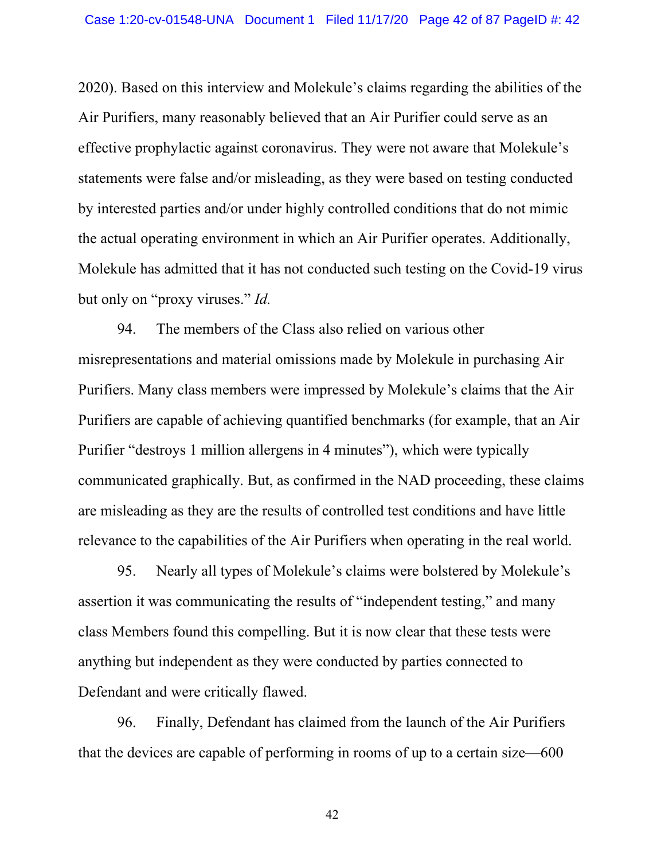2020). Based on this interview and Molekule's claims regarding the abilities of the Air Purifiers, many reasonably believed that an Air Purifier could serve as an effective prophylactic against coronavirus. They were not aware that Molekule's statements were false and/or misleading, as they were based on testing conducted by interested parties and/or under highly controlled conditions that do not mimic the actual operating environment in which an Air Purifier operates. Additionally, Molekule has admitted that it has not conducted such testing on the Covid-19 virus but only on "proxy viruses." *Id.*

94. The members of the Class also relied on various other misrepresentations and material omissions made by Molekule in purchasing Air Purifiers. Many class members were impressed by Molekule's claims that the Air Purifiers are capable of achieving quantified benchmarks (for example, that an Air Purifier "destroys 1 million allergens in 4 minutes"), which were typically communicated graphically. But, as confirmed in the NAD proceeding, these claims are misleading as they are the results of controlled test conditions and have little relevance to the capabilities of the Air Purifiers when operating in the real world.

95. Nearly all types of Molekule's claims were bolstered by Molekule's assertion it was communicating the results of "independent testing," and many class Members found this compelling. But it is now clear that these tests were anything but independent as they were conducted by parties connected to Defendant and were critically flawed.

96. Finally, Defendant has claimed from the launch of the Air Purifiers that the devices are capable of performing in rooms of up to a certain size—600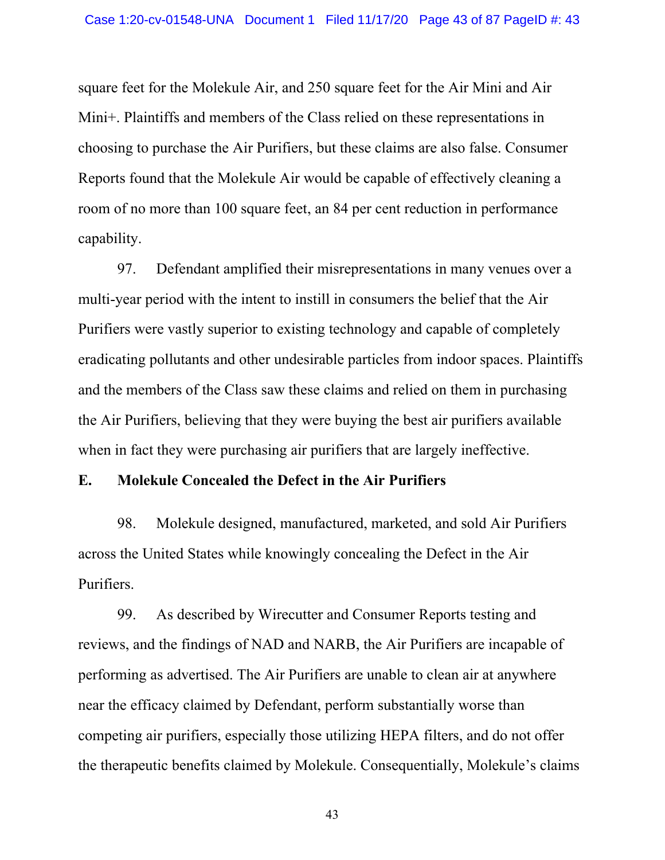square feet for the Molekule Air, and 250 square feet for the Air Mini and Air Mini+. Plaintiffs and members of the Class relied on these representations in choosing to purchase the Air Purifiers, but these claims are also false. Consumer Reports found that the Molekule Air would be capable of effectively cleaning a room of no more than 100 square feet, an 84 per cent reduction in performance capability.

97. Defendant amplified their misrepresentations in many venues over a multi-year period with the intent to instill in consumers the belief that the Air Purifiers were vastly superior to existing technology and capable of completely eradicating pollutants and other undesirable particles from indoor spaces. Plaintiffs and the members of the Class saw these claims and relied on them in purchasing the Air Purifiers, believing that they were buying the best air purifiers available when in fact they were purchasing air purifiers that are largely ineffective.

# **E. Molekule Concealed the Defect in the Air Purifiers**

98. Molekule designed, manufactured, marketed, and sold Air Purifiers across the United States while knowingly concealing the Defect in the Air Purifiers.

99. As described by Wirecutter and Consumer Reports testing and reviews, and the findings of NAD and NARB, the Air Purifiers are incapable of performing as advertised. The Air Purifiers are unable to clean air at anywhere near the efficacy claimed by Defendant, perform substantially worse than competing air purifiers, especially those utilizing HEPA filters, and do not offer the therapeutic benefits claimed by Molekule. Consequentially, Molekule's claims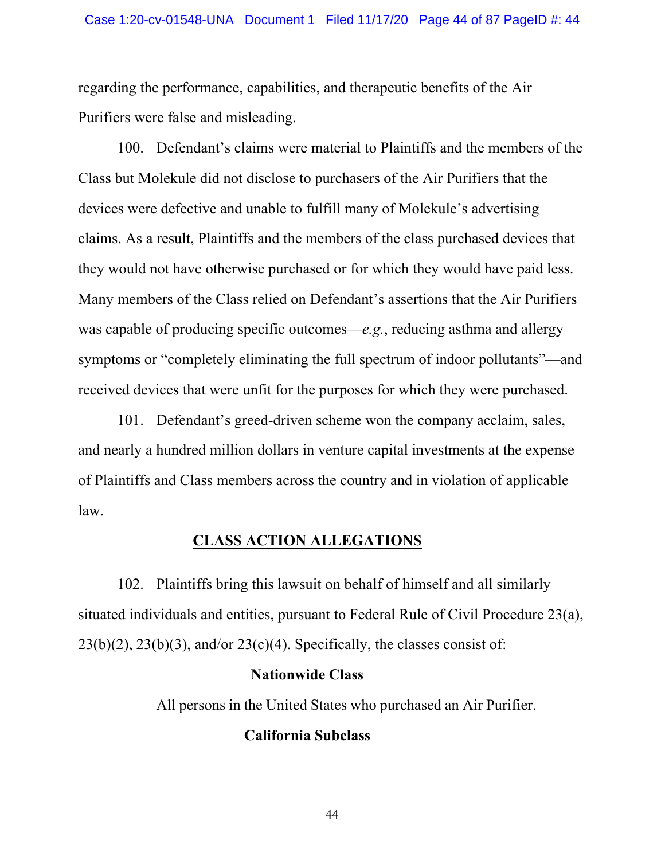regarding the performance, capabilities, and therapeutic benefits of the Air Purifiers were false and misleading.

100. Defendant's claims were material to Plaintiffs and the members of the Class but Molekule did not disclose to purchasers of the Air Purifiers that the devices were defective and unable to fulfill many of Molekule's advertising claims. As a result, Plaintiffs and the members of the class purchased devices that they would not have otherwise purchased or for which they would have paid less. Many members of the Class relied on Defendant's assertions that the Air Purifiers was capable of producing specific outcomes—*e.g.*, reducing asthma and allergy symptoms or "completely eliminating the full spectrum of indoor pollutants"—and received devices that were unfit for the purposes for which they were purchased.

101. Defendant's greed-driven scheme won the company acclaim, sales, and nearly a hundred million dollars in venture capital investments at the expense of Plaintiffs and Class members across the country and in violation of applicable law.

# **CLASS ACTION ALLEGATIONS**

102. Plaintiffs bring this lawsuit on behalf of himself and all similarly situated individuals and entities, pursuant to [Federal Rule of Civil Procedure 23\(a\),](http://www.google.com/search?q=FRCP++23(a))  $23(b)(2)$ ,  $23(b)(3)$ , and/or  $23(c)(4)$ . Specifically, the classes consist of:

### **Nationwide Class**

All persons in the United States who purchased an Air Purifier.

# **California Subclass**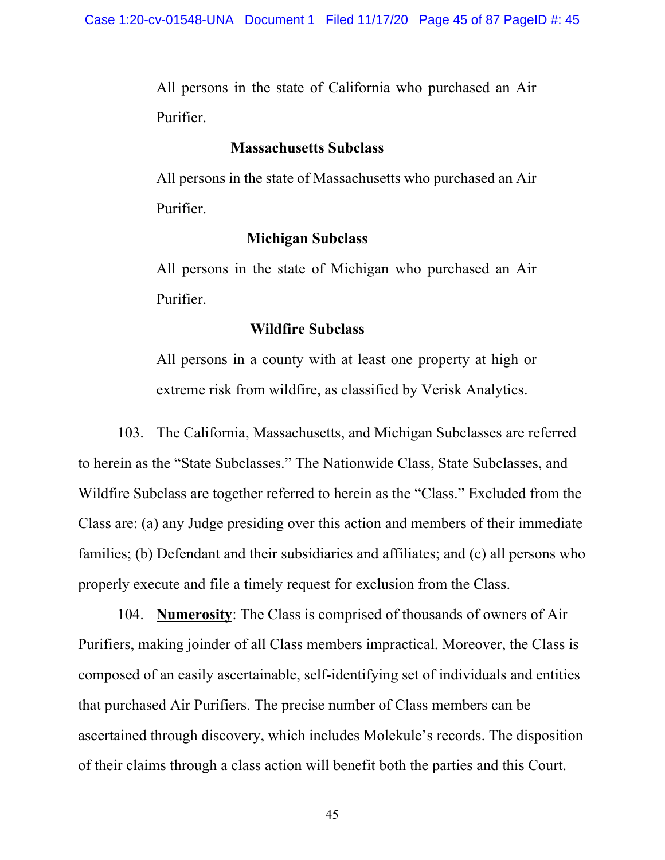All persons in the state of California who purchased an Air Purifier.

#### **Massachusetts Subclass**

All persons in the state of Massachusetts who purchased an Air Purifier.

### **Michigan Subclass**

All persons in the state of Michigan who purchased an Air Purifier.

### **Wildfire Subclass**

All persons in a county with at least one property at high or extreme risk from wildfire, as classified by Verisk Analytics.

103. The California, Massachusetts, and Michigan Subclasses are referred to herein as the "State Subclasses." The Nationwide Class, State Subclasses, and Wildfire Subclass are together referred to herein as the "Class." Excluded from the Class are: (a) any Judge presiding over this action and members of their immediate families; (b) Defendant and their subsidiaries and affiliates; and (c) all persons who properly execute and file a timely request for exclusion from the Class.

104. **Numerosity**: The Class is comprised of thousands of owners of Air Purifiers, making joinder of all Class members impractical. Moreover, the Class is composed of an easily ascertainable, self-identifying set of individuals and entities that purchased Air Purifiers. The precise number of Class members can be ascertained through discovery, which includes Molekule's records. The disposition of their claims through a class action will benefit both the parties and this Court.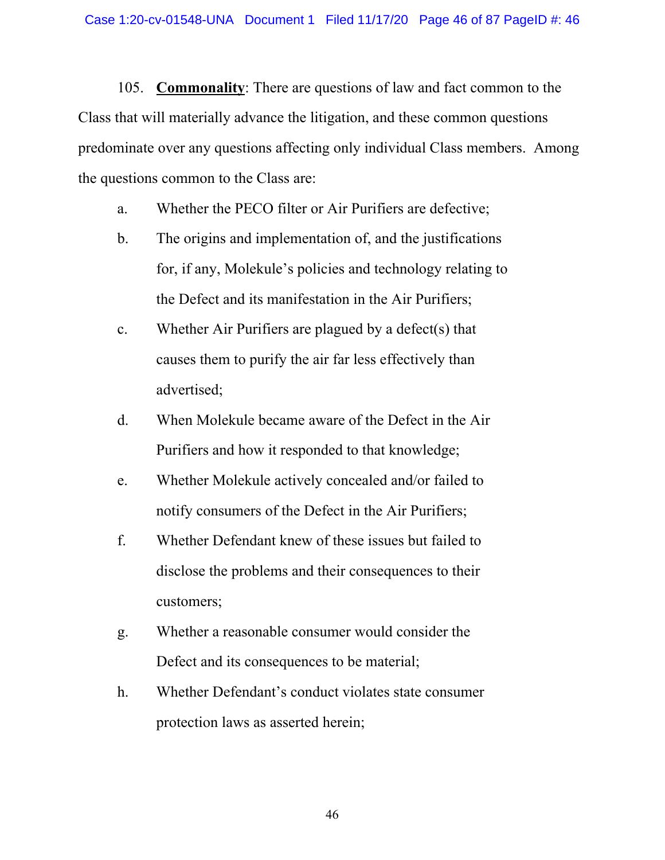105. **Commonality**: There are questions of law and fact common to the Class that will materially advance the litigation, and these common questions predominate over any questions affecting only individual Class members. Among the questions common to the Class are:

- a. Whether the PECO filter or Air Purifiers are defective;
- b. The origins and implementation of, and the justifications for, if any, Molekule's policies and technology relating to the Defect and its manifestation in the Air Purifiers;
- c. Whether Air Purifiers are plagued by a defect(s) that causes them to purify the air far less effectively than advertised;
- d. When Molekule became aware of the Defect in the Air Purifiers and how it responded to that knowledge;
- e. Whether Molekule actively concealed and/or failed to notify consumers of the Defect in the Air Purifiers;
- f. Whether Defendant knew of these issues but failed to disclose the problems and their consequences to their customers;
- g. Whether a reasonable consumer would consider the Defect and its consequences to be material;
- h. Whether Defendant's conduct violates state consumer protection laws as asserted herein;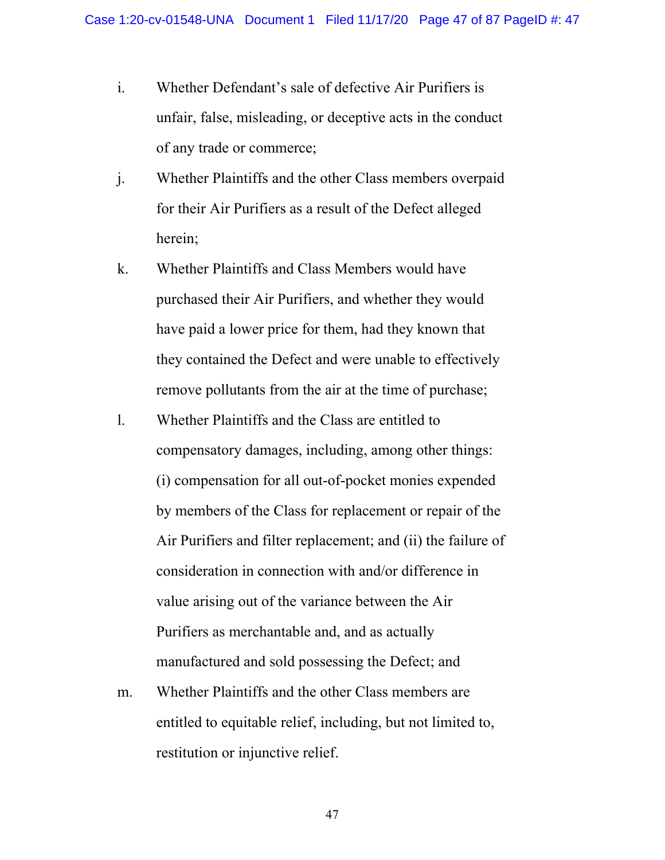- i. Whether Defendant's sale of defective Air Purifiers is unfair, false, misleading, or deceptive acts in the conduct of any trade or commerce;
- j. Whether Plaintiffs and the other Class members overpaid for their Air Purifiers as a result of the Defect alleged herein;
- k. Whether Plaintiffs and Class Members would have purchased their Air Purifiers, and whether they would have paid a lower price for them, had they known that they contained the Defect and were unable to effectively remove pollutants from the air at the time of purchase;
- l. Whether Plaintiffs and the Class are entitled to compensatory damages, including, among other things: (i) compensation for all out-of-pocket monies expended by members of the Class for replacement or repair of the Air Purifiers and filter replacement; and (ii) the failure of consideration in connection with and/or difference in value arising out of the variance between the Air Purifiers as merchantable and, and as actually manufactured and sold possessing the Defect; and
- m. Whether Plaintiffs and the other Class members are entitled to equitable relief, including, but not limited to, restitution or injunctive relief.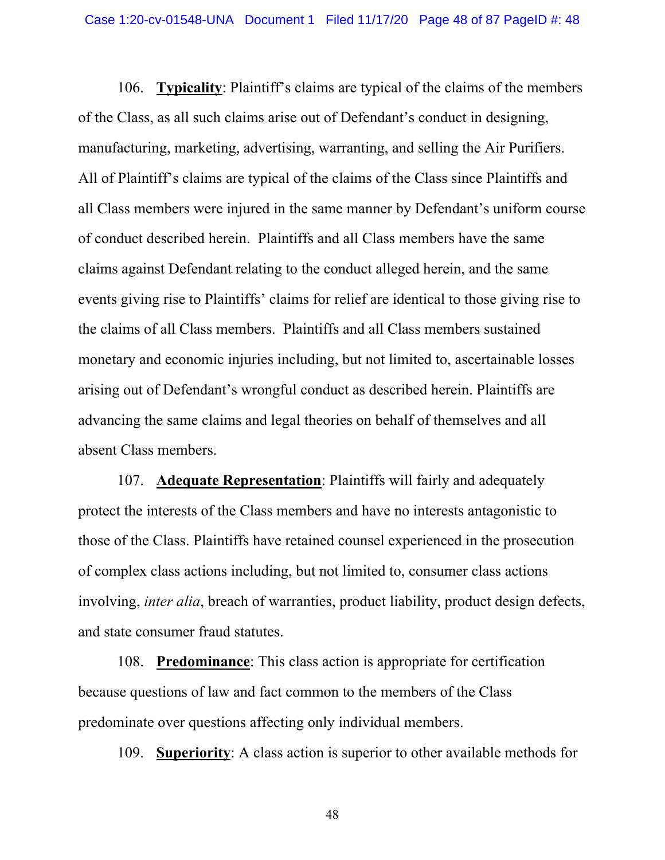106. **Typicality**: Plaintiff's claims are typical of the claims of the members of the Class, as all such claims arise out of Defendant's conduct in designing, manufacturing, marketing, advertising, warranting, and selling the Air Purifiers. All of Plaintiff's claims are typical of the claims of the Class since Plaintiffs and all Class members were injured in the same manner by Defendant's uniform course of conduct described herein. Plaintiffs and all Class members have the same claims against Defendant relating to the conduct alleged herein, and the same events giving rise to Plaintiffs' claims for relief are identical to those giving rise to the claims of all Class members. Plaintiffs and all Class members sustained monetary and economic injuries including, but not limited to, ascertainable losses arising out of Defendant's wrongful conduct as described herein. Plaintiffs are advancing the same claims and legal theories on behalf of themselves and all absent Class members.

107. **Adequate Representation**: Plaintiffs will fairly and adequately protect the interests of the Class members and have no interests antagonistic to those of the Class. Plaintiffs have retained counsel experienced in the prosecution of complex class actions including, but not limited to, consumer class actions involving, *inter alia*, breach of warranties, product liability, product design defects, and state consumer fraud statutes.

108. **Predominance**: This class action is appropriate for certification because questions of law and fact common to the members of the Class predominate over questions affecting only individual members.

109. **Superiority**: A class action is superior to other available methods for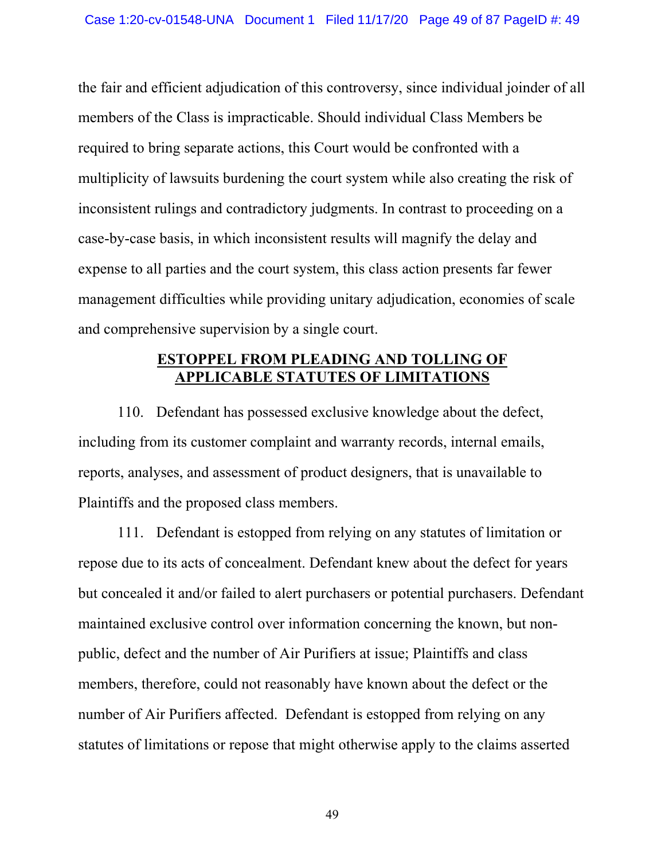the fair and efficient adjudication of this controversy, since individual joinder of all members of the Class is impracticable. Should individual Class Members be required to bring separate actions, this Court would be confronted with a multiplicity of lawsuits burdening the court system while also creating the risk of inconsistent rulings and contradictory judgments. In contrast to proceeding on a case-by-case basis, in which inconsistent results will magnify the delay and expense to all parties and the court system, this class action presents far fewer management difficulties while providing unitary adjudication, economies of scale and comprehensive supervision by a single court.

# **ESTOPPEL FROM PLEADING AND TOLLING OF APPLICABLE STATUTES OF LIMITATIONS**

110. Defendant has possessed exclusive knowledge about the defect, including from its customer complaint and warranty records, internal emails, reports, analyses, and assessment of product designers, that is unavailable to Plaintiffs and the proposed class members.

111. Defendant is estopped from relying on any statutes of limitation or repose due to its acts of concealment. Defendant knew about the defect for years but concealed it and/or failed to alert purchasers or potential purchasers. Defendant maintained exclusive control over information concerning the known, but nonpublic, defect and the number of Air Purifiers at issue; Plaintiffs and class members, therefore, could not reasonably have known about the defect or the number of Air Purifiers affected. Defendant is estopped from relying on any statutes of limitations or repose that might otherwise apply to the claims asserted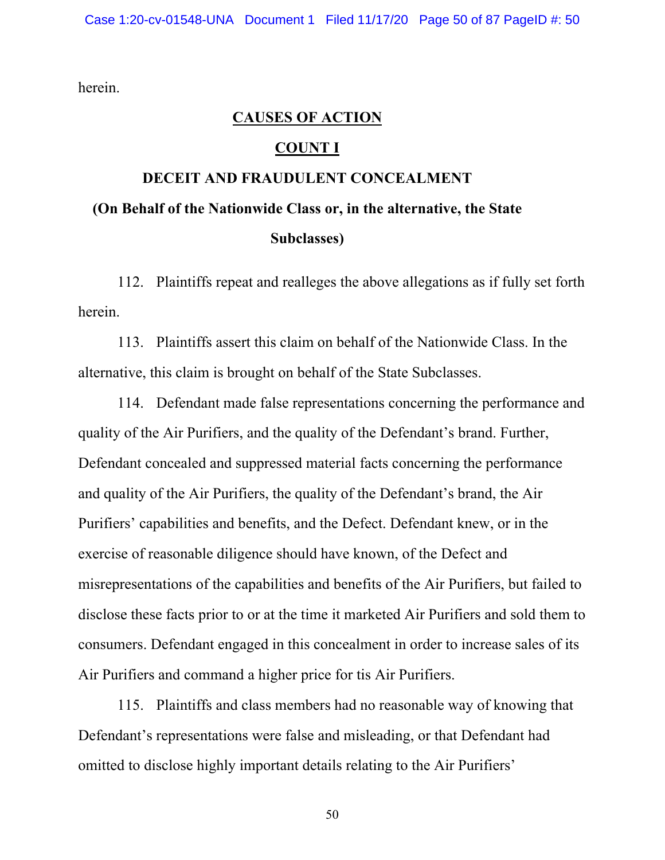herein.

#### **CAUSES OF ACTION**

## **COUNT I**

# **DECEIT AND FRAUDULENT CONCEALMENT (On Behalf of the Nationwide Class or, in the alternative, the State Subclasses)**

112. Plaintiffs repeat and realleges the above allegations as if fully set forth herein.

113. Plaintiffs assert this claim on behalf of the Nationwide Class. In the alternative, this claim is brought on behalf of the State Subclasses.

114. Defendant made false representations concerning the performance and quality of the Air Purifiers, and the quality of the Defendant's brand. Further, Defendant concealed and suppressed material facts concerning the performance and quality of the Air Purifiers, the quality of the Defendant's brand, the Air Purifiers' capabilities and benefits, and the Defect. Defendant knew, or in the exercise of reasonable diligence should have known, of the Defect and misrepresentations of the capabilities and benefits of the Air Purifiers, but failed to disclose these facts prior to or at the time it marketed Air Purifiers and sold them to consumers. Defendant engaged in this concealment in order to increase sales of its Air Purifiers and command a higher price for tis Air Purifiers.

115. Plaintiffs and class members had no reasonable way of knowing that Defendant's representations were false and misleading, or that Defendant had omitted to disclose highly important details relating to the Air Purifiers'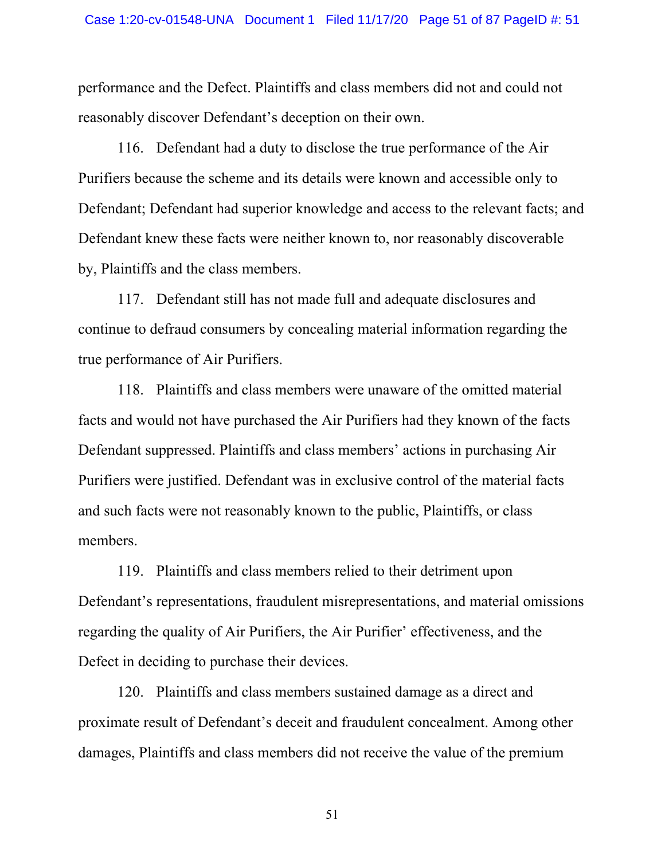performance and the Defect. Plaintiffs and class members did not and could not reasonably discover Defendant's deception on their own.

116. Defendant had a duty to disclose the true performance of the Air Purifiers because the scheme and its details were known and accessible only to Defendant; Defendant had superior knowledge and access to the relevant facts; and Defendant knew these facts were neither known to, nor reasonably discoverable by, Plaintiffs and the class members.

117. Defendant still has not made full and adequate disclosures and continue to defraud consumers by concealing material information regarding the true performance of Air Purifiers.

118. Plaintiffs and class members were unaware of the omitted material facts and would not have purchased the Air Purifiers had they known of the facts Defendant suppressed. Plaintiffs and class members' actions in purchasing Air Purifiers were justified. Defendant was in exclusive control of the material facts and such facts were not reasonably known to the public, Plaintiffs, or class members.

119. Plaintiffs and class members relied to their detriment upon Defendant's representations, fraudulent misrepresentations, and material omissions regarding the quality of Air Purifiers, the Air Purifier' effectiveness, and the Defect in deciding to purchase their devices.

120. Plaintiffs and class members sustained damage as a direct and proximate result of Defendant's deceit and fraudulent concealment. Among other damages, Plaintiffs and class members did not receive the value of the premium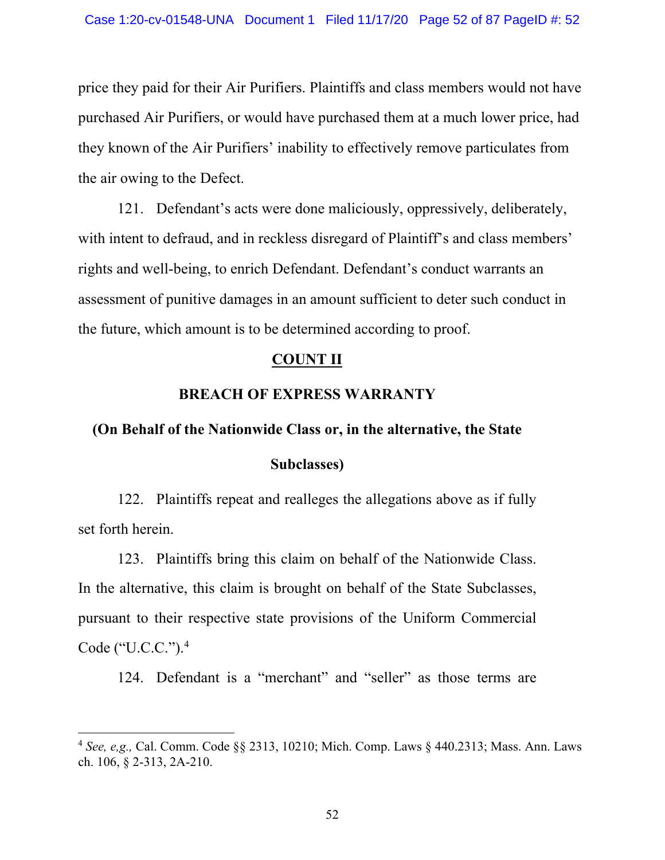price they paid for their Air Purifiers. Plaintiffs and class members would not have purchased Air Purifiers, or would have purchased them at a much lower price, had they known of the Air Purifiers' inability to effectively remove particulates from the air owing to the Defect.

121. Defendant's acts were done maliciously, oppressively, deliberately, with intent to defraud, and in reckless disregard of Plaintiff's and class members' rights and well-being, to enrich Defendant. Defendant's conduct warrants an assessment of punitive damages in an amount sufficient to deter such conduct in the future, which amount is to be determined according to proof.

### **COUNT II**

### **BREACH OF EXPRESS WARRANTY**

### **(On Behalf of the Nationwide Class or, in the alternative, the State**

# **Subclasses)**

122. Plaintiffs repeat and realleges the allegations above as if fully set forth herein.

123. Plaintiffs bring this claim on behalf of the Nationwide Class. In the alternative, this claim is brought on behalf of the State Subclasses, pursuant to their respective state provisions of the Uniform Commercial Code ("U.C.C.").4

124. Defendant is a "merchant" and "seller" as those terms are

<sup>4</sup> *See, e,g.,* [Cal. Comm. Code §§ 2313,](http://www.google.com/search?q=ca+s+coml+2313) [10210;](http://www.google.com/search?q=cal.+comm.+code10210) [Mich. Comp. Laws § 440.2313;](http://www.google.com/search?q=mich.+comp.+laws++440.2313) Mass. Ann. Laws ch. 106, § 2-313, 2A-210.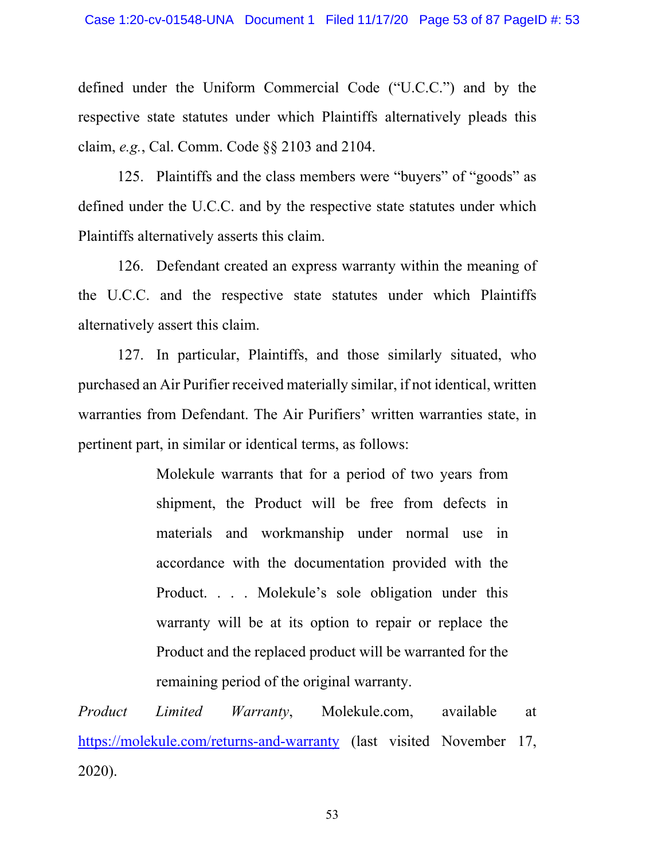defined under the Uniform Commercial Code ("U.C.C.") and by the respective state statutes under which Plaintiffs alternatively pleads this claim, *e.g.*, [Cal. Comm. Code §§ 2103](http://www.google.com/search?q=ca+s+coml+2103) and [2104.](http://www.google.com/search?q=cal.++comm.++code2104)

125. Plaintiffs and the class members were "buyers" of "goods" as defined under the U.C.C. and by the respective state statutes under which Plaintiffs alternatively asserts this claim.

126. Defendant created an express warranty within the meaning of the U.C.C. and the respective state statutes under which Plaintiffs alternatively assert this claim.

127. In particular, Plaintiffs, and those similarly situated, who purchased an Air Purifier received materially similar, if not identical, written warranties from Defendant. The Air Purifiers' written warranties state, in pertinent part, in similar or identical terms, as follows:

> Molekule warrants that for a period of two years from shipment, the Product will be free from defects in materials and workmanship under normal use in accordance with the documentation provided with the Product. . . . Molekule's sole obligation under this warranty will be at its option to repair or replace the Product and the replaced product will be warranted for the remaining period of the original warranty.

*Product Limited Warranty*, Molekule.com, available at https://molekule.com/returns-and-warranty (last visited November 17, 2020).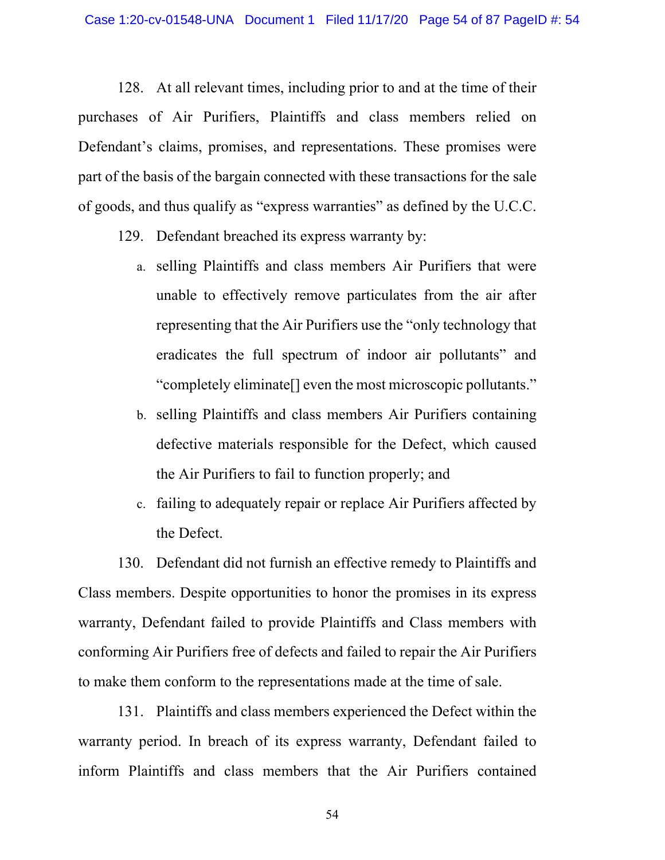128. At all relevant times, including prior to and at the time of their purchases of Air Purifiers, Plaintiffs and class members relied on Defendant's claims, promises, and representations. These promises were part of the basis of the bargain connected with these transactions for the sale of goods, and thus qualify as "express warranties" as defined by the U.C.C.

- 129. Defendant breached its express warranty by:
	- a. selling Plaintiffs and class members Air Purifiers that were unable to effectively remove particulates from the air after representing that the Air Purifiers use the "only technology that eradicates the full spectrum of indoor air pollutants" and "completely eliminate[] even the most microscopic pollutants."
	- b. selling Plaintiffs and class members Air Purifiers containing defective materials responsible for the Defect, which caused the Air Purifiers to fail to function properly; and
	- c. failing to adequately repair or replace Air Purifiers affected by the Defect.

130. Defendant did not furnish an effective remedy to Plaintiffs and Class members. Despite opportunities to honor the promises in its express warranty, Defendant failed to provide Plaintiffs and Class members with conforming Air Purifiers free of defects and failed to repair the Air Purifiers to make them conform to the representations made at the time of sale.

131. Plaintiffs and class members experienced the Defect within the warranty period. In breach of its express warranty, Defendant failed to inform Plaintiffs and class members that the Air Purifiers contained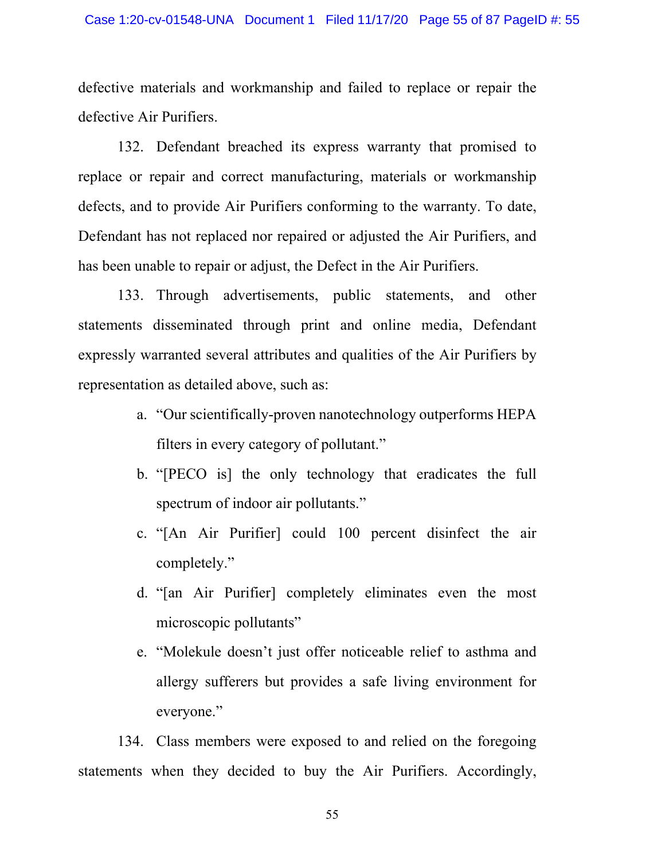defective materials and workmanship and failed to replace or repair the defective Air Purifiers.

132. Defendant breached its express warranty that promised to replace or repair and correct manufacturing, materials or workmanship defects, and to provide Air Purifiers conforming to the warranty. To date, Defendant has not replaced nor repaired or adjusted the Air Purifiers, and has been unable to repair or adjust, the Defect in the Air Purifiers.

133. Through advertisements, public statements, and other statements disseminated through print and online media, Defendant expressly warranted several attributes and qualities of the Air Purifiers by representation as detailed above, such as:

- a. "Our scientifically-proven nanotechnology outperforms HEPA filters in every category of pollutant."
- b. "[PECO is] the only technology that eradicates the full spectrum of indoor air pollutants."
- c. "[An Air Purifier] could 100 percent disinfect the air completely."
- d. "[an Air Purifier] completely eliminates even the most microscopic pollutants"
- e. "Molekule doesn't just offer noticeable relief to asthma and allergy sufferers but provides a safe living environment for everyone."

134. Class members were exposed to and relied on the foregoing statements when they decided to buy the Air Purifiers. Accordingly,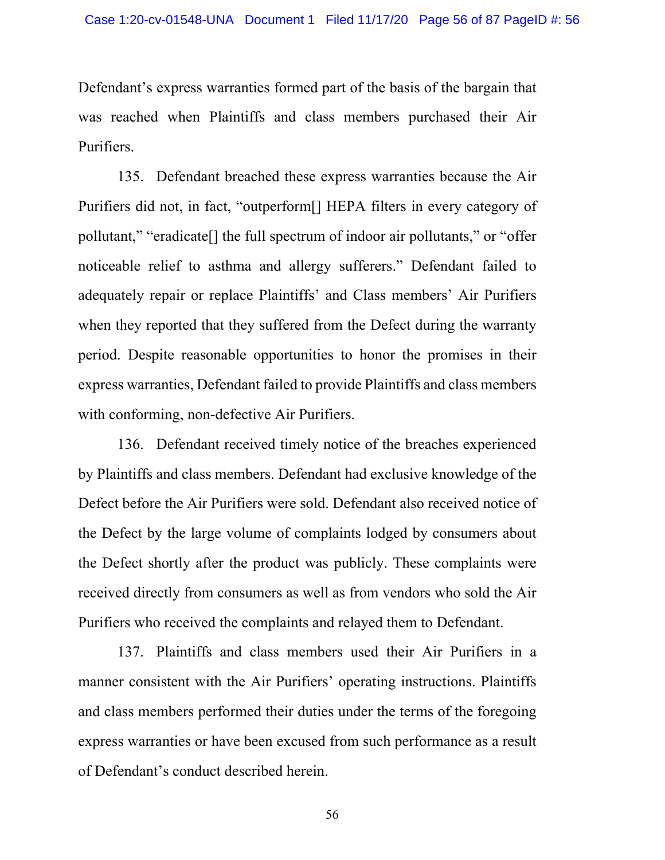Defendant's express warranties formed part of the basis of the bargain that was reached when Plaintiffs and class members purchased their Air Purifiers.

135. Defendant breached these express warranties because the Air Purifiers did not, in fact, "outperform[] HEPA filters in every category of pollutant," "eradicate[] the full spectrum of indoor air pollutants," or "offer noticeable relief to asthma and allergy sufferers." Defendant failed to adequately repair or replace Plaintiffs' and Class members' Air Purifiers when they reported that they suffered from the Defect during the warranty period. Despite reasonable opportunities to honor the promises in their express warranties, Defendant failed to provide Plaintiffs and class members with conforming, non-defective Air Purifiers.

136. Defendant received timely notice of the breaches experienced by Plaintiffs and class members. Defendant had exclusive knowledge of the Defect before the Air Purifiers were sold. Defendant also received notice of the Defect by the large volume of complaints lodged by consumers about the Defect shortly after the product was publicly. These complaints were received directly from consumers as well as from vendors who sold the Air Purifiers who received the complaints and relayed them to Defendant.

137. Plaintiffs and class members used their Air Purifiers in a manner consistent with the Air Purifiers' operating instructions. Plaintiffs and class members performed their duties under the terms of the foregoing express warranties or have been excused from such performance as a result of Defendant's conduct described herein.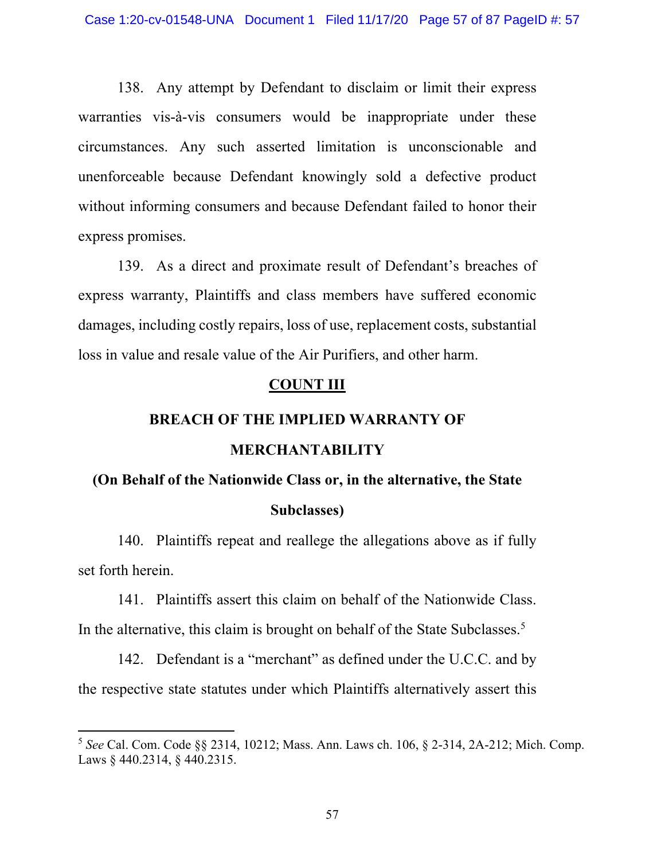138. Any attempt by Defendant to disclaim or limit their express warranties vis-à-vis consumers would be inappropriate under these circumstances. Any such asserted limitation is unconscionable and unenforceable because Defendant knowingly sold a defective product without informing consumers and because Defendant failed to honor their express promises.

139. As a direct and proximate result of Defendant's breaches of express warranty, Plaintiffs and class members have suffered economic damages, including costly repairs, loss of use, replacement costs, substantial loss in value and resale value of the Air Purifiers, and other harm.

### **COUNT III**

# **BREACH OF THE IMPLIED WARRANTY OF MERCHANTABILITY**

# **(On Behalf of the Nationwide Class or, in the alternative, the State Subclasses)**

140. Plaintiffs repeat and reallege the allegations above as if fully set forth herein.

141. Plaintiffs assert this claim on behalf of the Nationwide Class. In the alternative, this claim is brought on behalf of the State Subclasses.<sup>5</sup>

142. Defendant is a "merchant" as defined under the U.C.C. and by the respective state statutes under which Plaintiffs alternatively assert this

<sup>5</sup> *See* [Cal. Com. Code §§ 2314](http://www.google.com/search?q=ca+s+coml+2314), [10212](http://www.google.com/search?q=cal.+com.+code10212); Mass. Ann. Laws ch. 106, § 2-314, 2A-212; [Mich. Comp.](http://www.google.com/search?q=mich.+comp.+laws++++440.2314) [Laws § 440.2314,](http://www.google.com/search?q=mich.+comp.+laws++++440.2314) § 440.2315.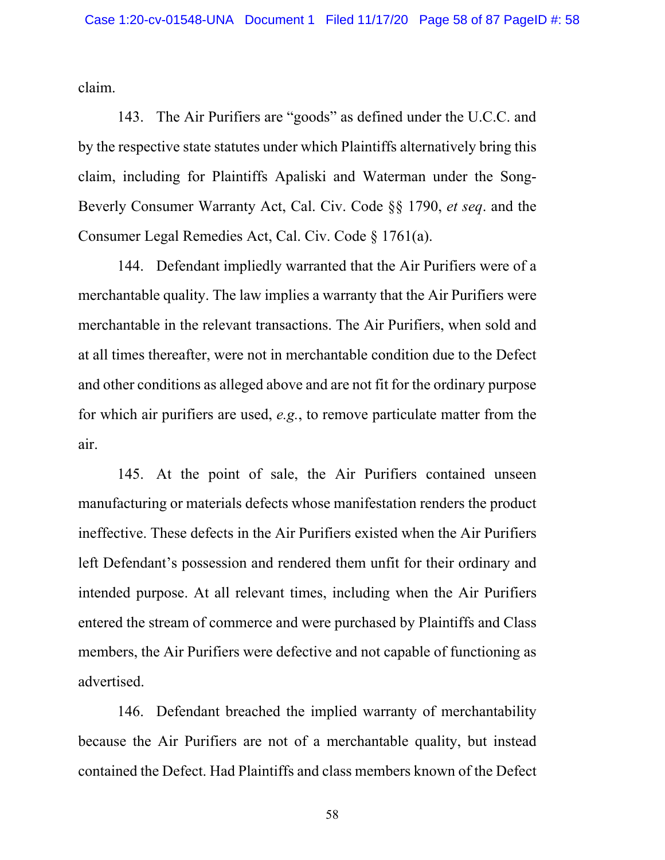claim.

143. The Air Purifiers are "goods" as defined under the U.C.C. and by the respective state statutes under which Plaintiffs alternatively bring this claim, including for Plaintiffs Apaliski and Waterman under the Song-Beverly Consumer Warranty Act, [Cal. Civ. Code §§ 1790,](http://www.google.com/search?q=ca+civil+s+1790) *et seq*. and the Consumer Legal Remedies Act, [Cal. Civ. Code § 1761\(a\)](http://www.google.com/search?q=ca+civil+s+1761(a)).

144. Defendant impliedly warranted that the Air Purifiers were of a merchantable quality. The law implies a warranty that the Air Purifiers were merchantable in the relevant transactions. The Air Purifiers, when sold and at all times thereafter, were not in merchantable condition due to the Defect and other conditions as alleged above and are not fit for the ordinary purpose for which air purifiers are used, *e.g.*, to remove particulate matter from the air.

145. At the point of sale, the Air Purifiers contained unseen manufacturing or materials defects whose manifestation renders the product ineffective. These defects in the Air Purifiers existed when the Air Purifiers left Defendant's possession and rendered them unfit for their ordinary and intended purpose. At all relevant times, including when the Air Purifiers entered the stream of commerce and were purchased by Plaintiffs and Class members, the Air Purifiers were defective and not capable of functioning as advertised.

146. Defendant breached the implied warranty of merchantability because the Air Purifiers are not of a merchantable quality, but instead contained the Defect. Had Plaintiffs and class members known of the Defect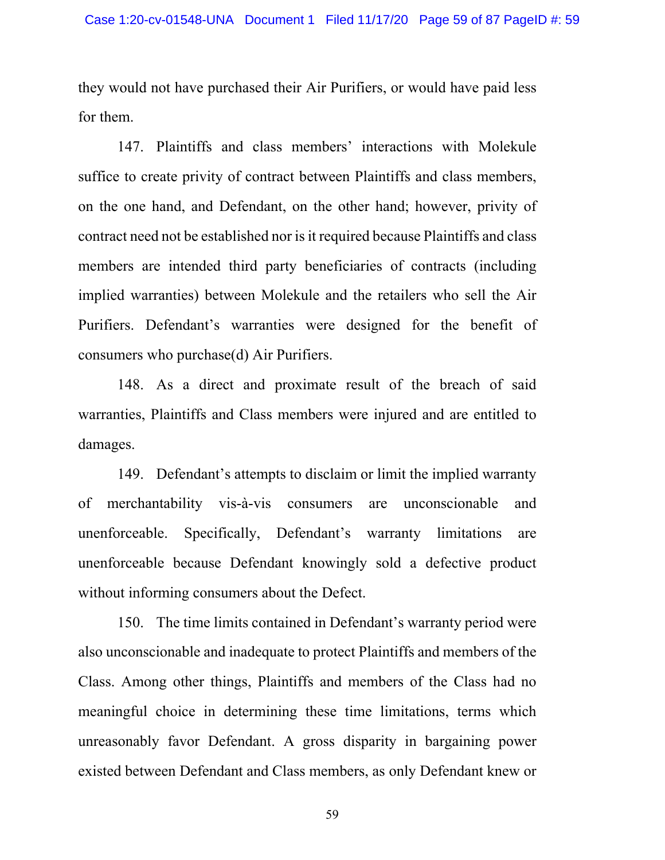they would not have purchased their Air Purifiers, or would have paid less for them.

147. Plaintiffs and class members' interactions with Molekule suffice to create privity of contract between Plaintiffs and class members, on the one hand, and Defendant, on the other hand; however, privity of contract need not be established nor is it required because Plaintiffs and class members are intended third party beneficiaries of contracts (including implied warranties) between Molekule and the retailers who sell the Air Purifiers. Defendant's warranties were designed for the benefit of consumers who purchase(d) Air Purifiers.

148. As a direct and proximate result of the breach of said warranties, Plaintiffs and Class members were injured and are entitled to damages.

149. Defendant's attempts to disclaim or limit the implied warranty of merchantability vis-à-vis consumers are unconscionable and unenforceable. Specifically, Defendant's warranty limitations are unenforceable because Defendant knowingly sold a defective product without informing consumers about the Defect.

150. The time limits contained in Defendant's warranty period were also unconscionable and inadequate to protect Plaintiffs and members of the Class. Among other things, Plaintiffs and members of the Class had no meaningful choice in determining these time limitations, terms which unreasonably favor Defendant. A gross disparity in bargaining power existed between Defendant and Class members, as only Defendant knew or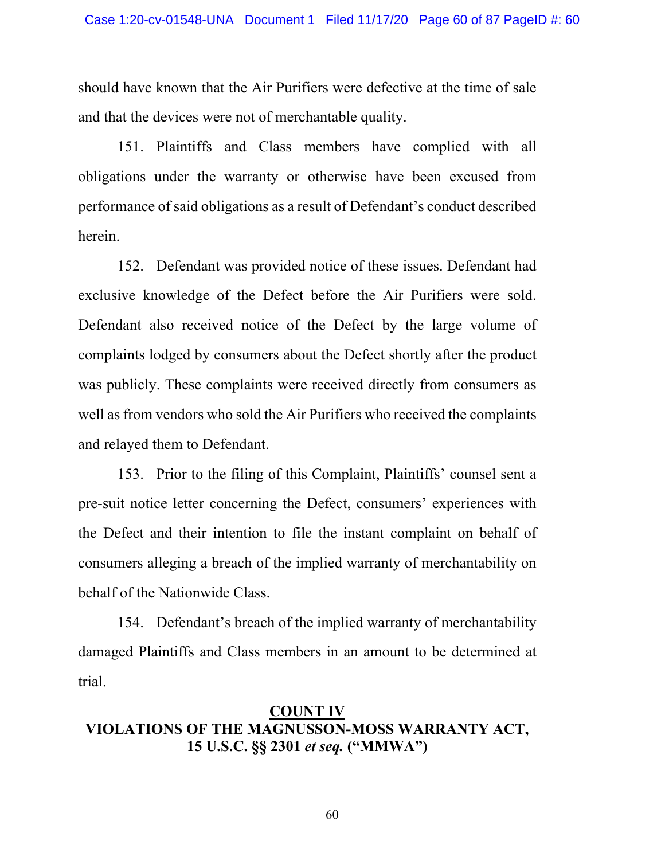should have known that the Air Purifiers were defective at the time of sale and that the devices were not of merchantable quality.

151. Plaintiffs and Class members have complied with all obligations under the warranty or otherwise have been excused from performance of said obligations as a result of Defendant's conduct described herein.

152. Defendant was provided notice of these issues. Defendant had exclusive knowledge of the Defect before the Air Purifiers were sold. Defendant also received notice of the Defect by the large volume of complaints lodged by consumers about the Defect shortly after the product was publicly. These complaints were received directly from consumers as well as from vendors who sold the Air Purifiers who received the complaints and relayed them to Defendant.

153. Prior to the filing of this Complaint, Plaintiffs' counsel sent a pre-suit notice letter concerning the Defect, consumers' experiences with the Defect and their intention to file the instant complaint on behalf of consumers alleging a breach of the implied warranty of merchantability on behalf of the Nationwide Class.

154. Defendant's breach of the implied warranty of merchantability damaged Plaintiffs and Class members in an amount to be determined at trial.

# **COUNT IV VIOLATIONS OF THE MAGNUSSON-MOSS WARRANTY ACT, [15 U.S.C. §§ 2301](http://www.google.com/search?q=15++u.s.c.++++2301)** *et seq.* **("MMWA")**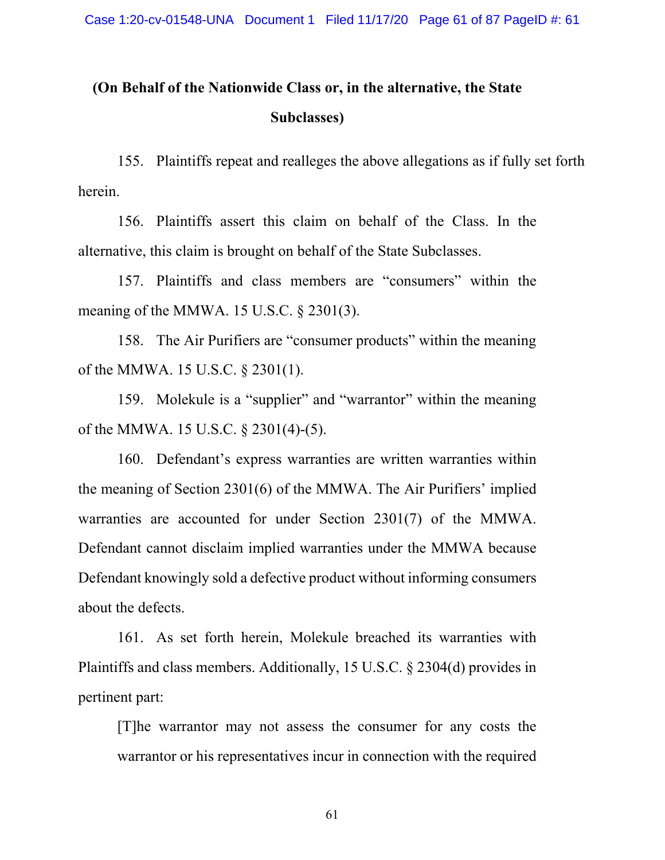# **(On Behalf of the Nationwide Class or, in the alternative, the State Subclasses)**

155. Plaintiffs repeat and realleges the above allegations as if fully set forth herein.

156. Plaintiffs assert this claim on behalf of the Class. In the alternative, this claim is brought on behalf of the State Subclasses.

157. Plaintiffs and class members are "consumers" within the meaning of the MMWA. [15 U.S.C. § 2301\(3\)](http://www.google.com/search?q=15++u.s.c.++++2301(3)).

158. The Air Purifiers are "consumer products" within the meaning of the MMWA. [15 U.S.C. § 2301\(1\)](http://www.google.com/search?q=15++u.s.c.++++2301(1)).

159. Molekule is a "supplier" and "warrantor" within the meaning of the MMWA. [15 U.S.C. § 2301\(4\)-\(5\)](http://www.google.com/search?q=15++u.s.c.++++2301(4)).

160. Defendant's express warranties are written warranties within the meaning of Section 2301(6) of the MMWA. The Air Purifiers' implied warranties are accounted for under Section 2301(7) of the MMWA. Defendant cannot disclaim implied warranties under the MMWA because Defendant knowingly sold a defective product without informing consumers about the defects.

161. As set forth herein, Molekule breached its warranties with Plaintiffs and class members. Additionally, [15 U.S.C. § 2304\(d\)](http://www.google.com/search?q=15++u.s.c.++++2304(d)) provides in pertinent part:

[T]he warrantor may not assess the consumer for any costs the warrantor or his representatives incur in connection with the required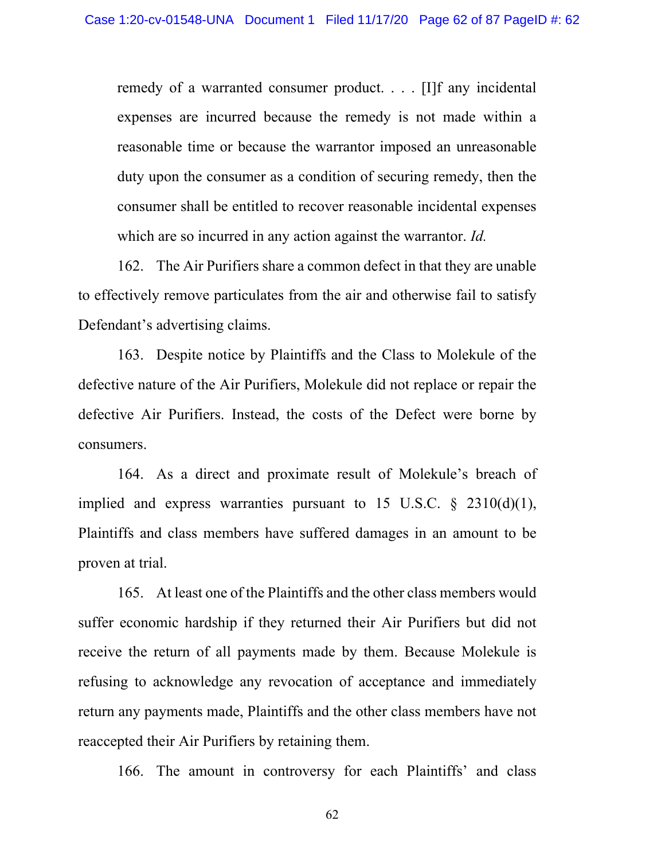remedy of a warranted consumer product. . . . [I]f any incidental expenses are incurred because the remedy is not made within a reasonable time or because the warrantor imposed an unreasonable duty upon the consumer as a condition of securing remedy, then the consumer shall be entitled to recover reasonable incidental expenses which are so incurred in any action against the warrantor. *Id.*

162. The Air Purifiers share a common defect in that they are unable to effectively remove particulates from the air and otherwise fail to satisfy Defendant's advertising claims.

163. Despite notice by Plaintiffs and the Class to Molekule of the defective nature of the Air Purifiers, Molekule did not replace or repair the defective Air Purifiers. Instead, the costs of the Defect were borne by consumers.

164. As a direct and proximate result of Molekule's breach of implied and express warranties pursuant to 15 U.S.C.  $\S$  2310(d)(1), Plaintiffs and class members have suffered damages in an amount to be proven at trial.

165. At least one of the Plaintiffs and the other class members would suffer economic hardship if they returned their Air Purifiers but did not receive the return of all payments made by them. Because Molekule is refusing to acknowledge any revocation of acceptance and immediately return any payments made, Plaintiffs and the other class members have not reaccepted their Air Purifiers by retaining them.

166. The amount in controversy for each Plaintiffs' and class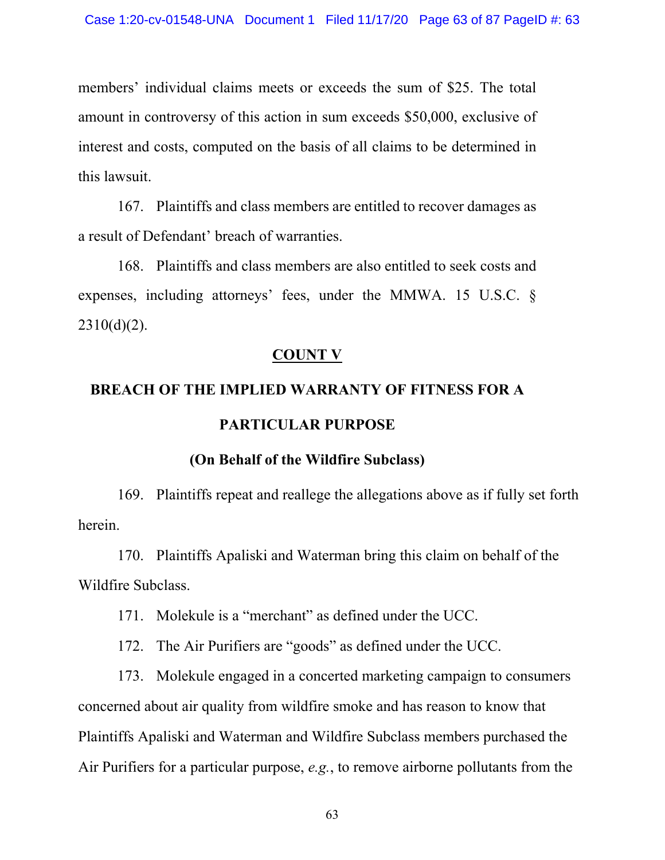members' individual claims meets or exceeds the sum of \$25. The total amount in controversy of this action in sum exceeds \$50,000, exclusive of interest and costs, computed on the basis of all claims to be determined in this lawsuit.

167. Plaintiffs and class members are entitled to recover damages as a result of Defendant' breach of warranties.

168. Plaintiffs and class members are also entitled to seek costs and expenses, including attorneys' fees, under the MMWA. [15 U.S.C. §](http://www.google.com/search?q=15++u.s.c.+++2310(d)(2))  $2310(d)(2)$ .

# **COUNT V**

# **BREACH OF THE IMPLIED WARRANTY OF FITNESS FOR A PARTICULAR PURPOSE**

### **(On Behalf of the Wildfire Subclass)**

169. Plaintiffs repeat and reallege the allegations above as if fully set forth herein.

170. Plaintiffs Apaliski and Waterman bring this claim on behalf of the Wildfire Subclass.

171. Molekule is a "merchant" as defined under the UCC.

172. The Air Purifiers are "goods" as defined under the UCC.

173. Molekule engaged in a concerted marketing campaign to consumers concerned about air quality from wildfire smoke and has reason to know that Plaintiffs Apaliski and Waterman and Wildfire Subclass members purchased the Air Purifiers for a particular purpose, *e.g.*, to remove airborne pollutants from the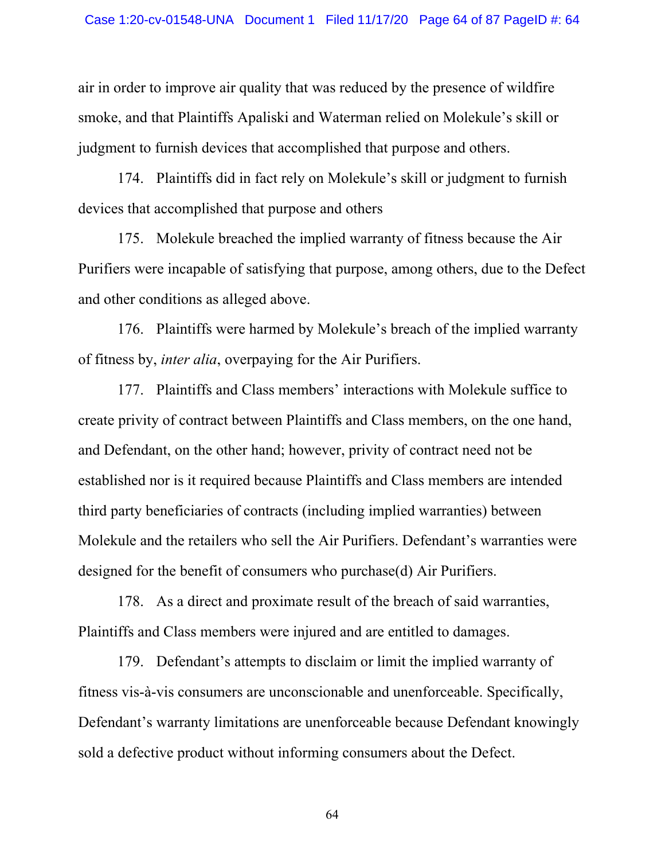air in order to improve air quality that was reduced by the presence of wildfire smoke, and that Plaintiffs Apaliski and Waterman relied on Molekule's skill or judgment to furnish devices that accomplished that purpose and others.

174. Plaintiffs did in fact rely on Molekule's skill or judgment to furnish devices that accomplished that purpose and others

175. Molekule breached the implied warranty of fitness because the Air Purifiers were incapable of satisfying that purpose, among others, due to the Defect and other conditions as alleged above.

176. Plaintiffs were harmed by Molekule's breach of the implied warranty of fitness by, *inter alia*, overpaying for the Air Purifiers.

177. Plaintiffs and Class members' interactions with Molekule suffice to create privity of contract between Plaintiffs and Class members, on the one hand, and Defendant, on the other hand; however, privity of contract need not be established nor is it required because Plaintiffs and Class members are intended third party beneficiaries of contracts (including implied warranties) between Molekule and the retailers who sell the Air Purifiers. Defendant's warranties were designed for the benefit of consumers who purchase(d) Air Purifiers.

178. As a direct and proximate result of the breach of said warranties, Plaintiffs and Class members were injured and are entitled to damages.

179. Defendant's attempts to disclaim or limit the implied warranty of fitness vis-à-vis consumers are unconscionable and unenforceable. Specifically, Defendant's warranty limitations are unenforceable because Defendant knowingly sold a defective product without informing consumers about the Defect.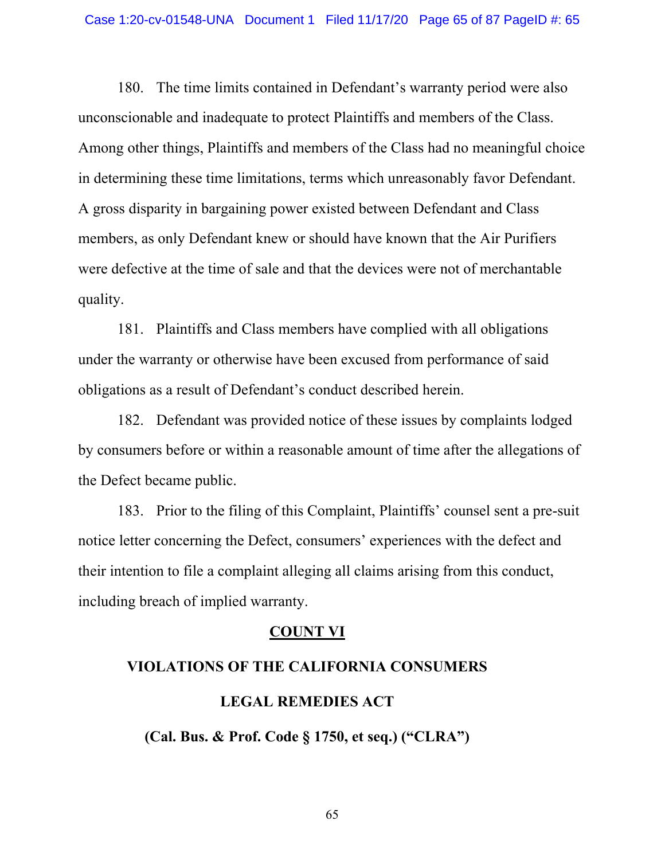180. The time limits contained in Defendant's warranty period were also unconscionable and inadequate to protect Plaintiffs and members of the Class. Among other things, Plaintiffs and members of the Class had no meaningful choice in determining these time limitations, terms which unreasonably favor Defendant. A gross disparity in bargaining power existed between Defendant and Class members, as only Defendant knew or should have known that the Air Purifiers were defective at the time of sale and that the devices were not of merchantable quality.

181. Plaintiffs and Class members have complied with all obligations under the warranty or otherwise have been excused from performance of said obligations as a result of Defendant's conduct described herein.

182. Defendant was provided notice of these issues by complaints lodged by consumers before or within a reasonable amount of time after the allegations of the Defect became pub[lic.](http://www.google.com/search?q=ic.+++183)

[183](http://www.google.com/search?q=ic.+++183). Prior to the filing of this Complaint, Plaintiffs' counsel sent a pre-suit notice letter concerning the Defect, consumers' experiences with the defect and their intention to file a complaint alleging all claims arising from this conduct, including breach of implied warranty.

### **COUNT VI**

# **VIOLATIONS OF THE CALIFORNIA CONSUMERS LEGAL REMEDIES ACT**

**([Cal. Bus. & Prof. Code § 1750](http://www.google.com/search?q=ca+bus++prof+s+1750), et seq.) ("CLRA")**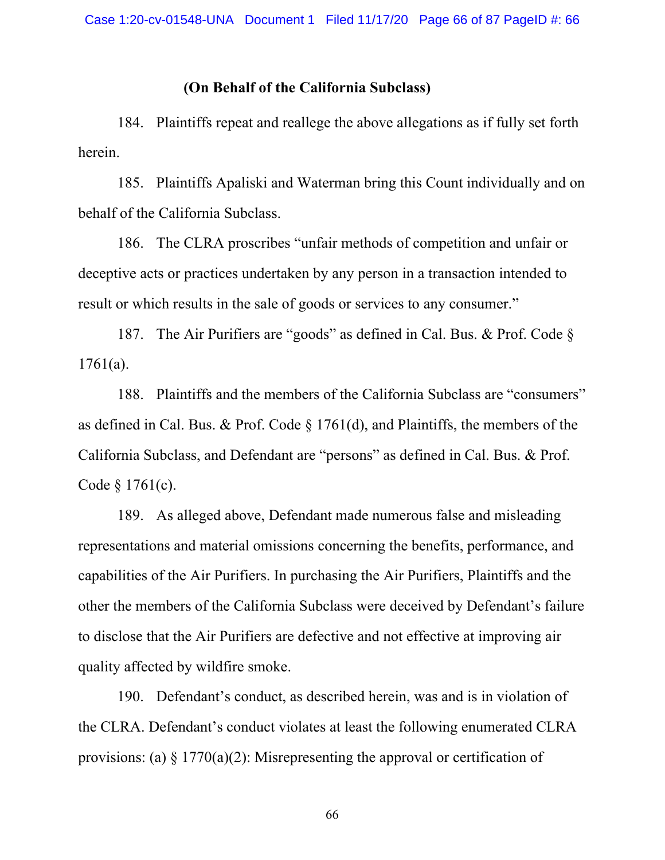#### **(On Behalf of the California Subclass)**

184. Plaintiffs repeat and reallege the above allegations as if fully set forth herein.

185. Plaintiffs Apaliski and Waterman bring this Count individually and on behalf of the California Subclass.

186. The CLRA proscribes "unfair methods of competition and unfair or deceptive acts or practices undertaken by any person in a transaction intended to result or which results in the sale of goods or services to any consumer."

187. The Air Purifiers are "goods" as defined in [Cal. Bus. & Prof. Code](http://www.google.com/search?q=ca+bus++prof+s+1761(a)) § [1761\(a\).](http://www.google.com/search?q=ca+bus++prof+s+1761(a))

188. Plaintiffs and the members of the California Subclass are "consumers" as defined in [Cal. Bus. & Prof. Code](http://www.google.com/search?q=ca+bus++prof+s+1761(d)) § 1761(d), and Plaintiffs, the members of the California Subclass, and Defendant are "persons" as defined in [Cal. Bus. & Prof.](http://www.google.com/search?q=ca+bus++prof+s+1761(c)) Code [§ 1761\(c\)](http://www.google.com/search?q=ca+bus++prof+s+1761(c)).

189. As alleged above, Defendant made numerous false and misleading representations and material omissions concerning the benefits, performance, and capabilities of the Air Purifiers. In purchasing the Air Purifiers, Plaintiffs and the other the members of the California Subclass were deceived by Defendant's failure to disclose that the Air Purifiers are defective and not effective at improving air quality affected by wildfire smoke.

190. Defendant's conduct, as described herein, was and is in violation of the CLRA. Defendant's conduct violates at least the following enumerated CLRA provisions: (a)  $\S 1770(a)(2)$ : Misrepresenting the approval or certification of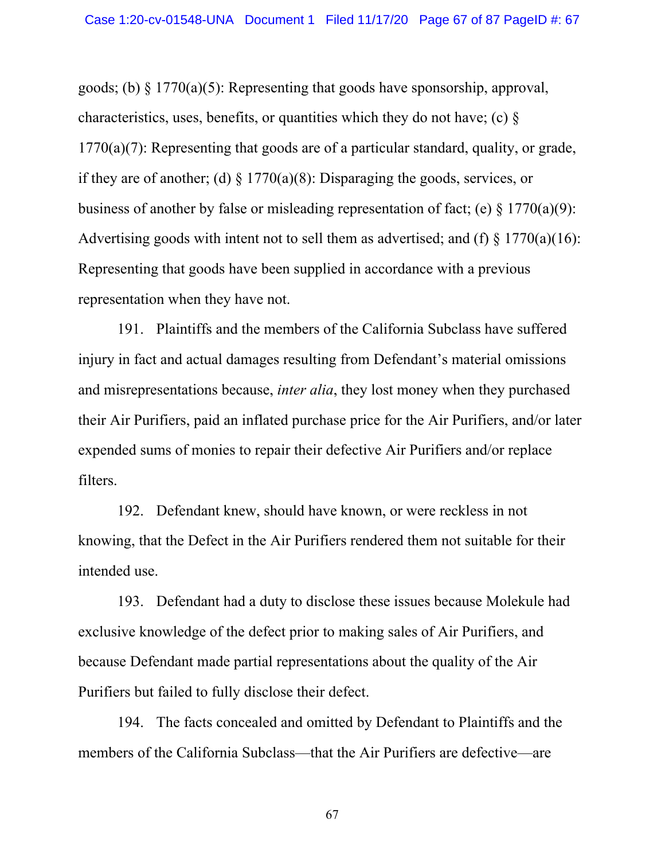goods; (b)  $\S 1770(a)(5)$ : Representing that goods have sponsorship, approval, characteristics, uses, benefits, or quantities which they do not have; (c) § 1770(a)(7): Representing that goods are of a particular standard, quality, or grade, if they are of another; (d)  $\S 1770(a)(8)$ : Disparaging the goods, services, or business of another by false or misleading representation of fact; (e)  $\S 1770(a)(9)$ : Advertising goods with intent not to sell them as advertised; and (f)  $\frac{1770(a)(16)}{2}$ : Representing that goods have been supplied in accordance with a previous representation when they have not.

191. Plaintiffs and the members of the California Subclass have suffered injury in fact and actual damages resulting from Defendant's material omissions and misrepresentations because, *inter alia*, they lost money when they purchased their Air Purifiers, paid an inflated purchase price for the Air Purifiers, and/or later expended sums of monies to repair their defective Air Purifiers and/or replace filters.

192. Defendant knew, should have known, or were reckless in not knowing, that the Defect in the Air Purifiers rendered them not suitable for their intended use.

193. Defendant had a duty to disclose these issues because Molekule had exclusive knowledge of the defect prior to making sales of Air Purifiers, and because Defendant made partial representations about the quality of the Air Purifiers but failed to fully disclose their defect.

194. The facts concealed and omitted by Defendant to Plaintiffs and the members of the California Subclass—that the Air Purifiers are defective—are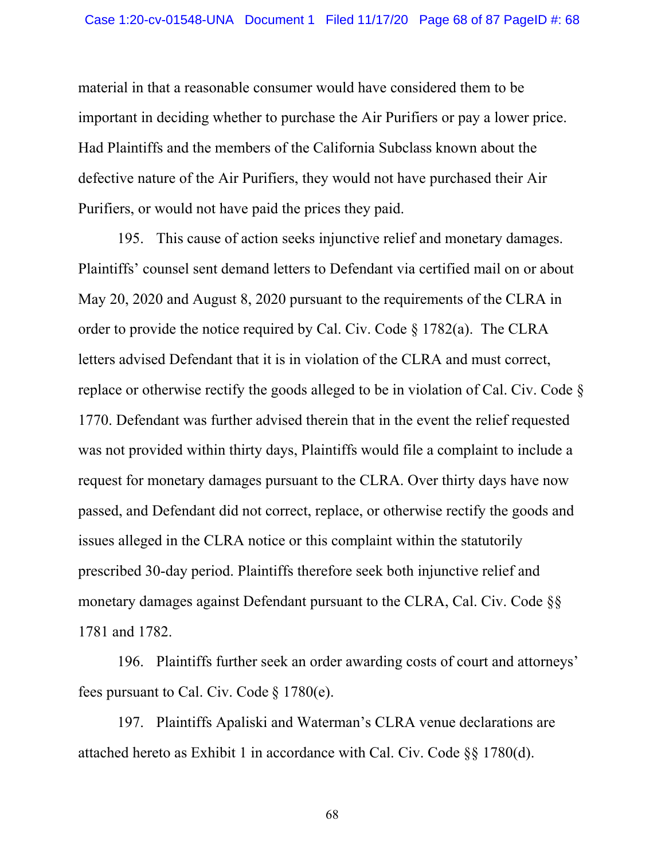material in that a reasonable consumer would have considered them to be important in deciding whether to purchase the Air Purifiers or pay a lower price. Had Plaintiffs and the members of the California Subclass known about the defective nature of the Air Purifiers, they would not have purchased their Air Purifiers, or would not have paid the prices they paid.

195. This cause of action seeks injunctive relief and monetary damages. Plaintiffs' counsel sent demand letters to Defendant via certified mail on or about May 20, 2020 and August 8, 2020 pursuant to the requirements of the CLRA in order to provide the notice required by [Cal. Civ. Code § 1782\(a\)](http://www.google.com/search?q=ca+civil+s+1782(a)). The CLRA letters advised Defendant that it is in violation of the CLRA and must correct, replace or otherwise rectify the goods alleged to be in violation of [Cal. Civ. Code §](http://www.google.com/search?q=ca+civil+s+1770) [1770](http://www.google.com/search?q=ca+civil+s+1770). Defendant was further advised therein that in the event the relief requested was not provided within thirty days, Plaintiffs would file a complaint to include a request for monetary damages pursuant to the CLRA. Over thirty days have now passed, and Defendant did not correct, replace, or otherwise rectify the goods and issues alleged in the CLRA notice or this complaint within the statutorily prescribed 30-day period. Plaintiffs therefore seek both injunctive relief and monetary damages against Defendant pursuant to the CLRA, [Cal. Civ. Code §§](http://www.google.com/search?q=ca+civil+s+1781)  [1781](http://www.google.com/search?q=ca+civil+s+1781) and [1782](http://www.google.com/search?q=cal.++civ.++code1782).

196. Plaintiffs further seek an order awarding costs of court and attorneys' fees pursuant to [Cal. Civ. Code](http://www.google.com/search?q=ca+civil+s+1780(e)) § 1780(e).

197. Plaintiffs Apaliski and Waterman's CLRA venue declarations are attached hereto as Exhibit 1 in accordance with [Cal. Civ. Code §§ 1780\(d\).](http://www.google.com/search?q=ca+civil+s+1780(d))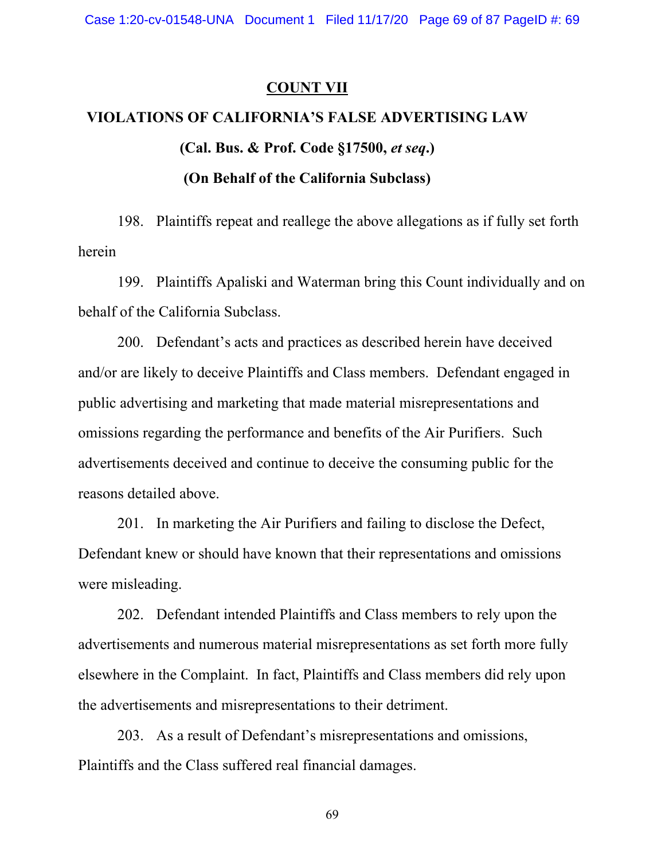### **COUNT VII**

# **VIOLATIONS OF CALIFORNIA'S FALSE ADVERTISING LAW [\(Cal. Bus. & Prof. Code §17500,](http://www.google.com/search?q=ca+bus++prof+s+17500)** *et seq***.) (On Behalf of the California Subclass)**

198. Plaintiffs repeat and reallege the above allegations as if fully set forth herein

199. Plaintiffs Apaliski and Waterman bring this Count individually and on behalf of the California Subclass.

200. Defendant's acts and practices as described herein have deceived and/or are likely to deceive Plaintiffs and Class members. Defendant engaged in public advertising and marketing that made material misrepresentations and omissions regarding the performance and benefits of the Air Purifiers. Such advertisements deceived and continue to deceive the consuming public for the reasons detailed above.

201. In marketing the Air Purifiers and failing to disclose the Defect, Defendant knew or should have known that their representations and omissions were misleading.

202. Defendant intended Plaintiffs and Class members to rely upon the advertisements and numerous material misrepresentations as set forth more fully elsewhere in the Complaint. In fact, Plaintiffs and Class members did rely upon the advertisements and misrepresentations to their detriment.

203. As a result of Defendant's misrepresentations and omissions, Plaintiffs and the Class suffered real financial damages.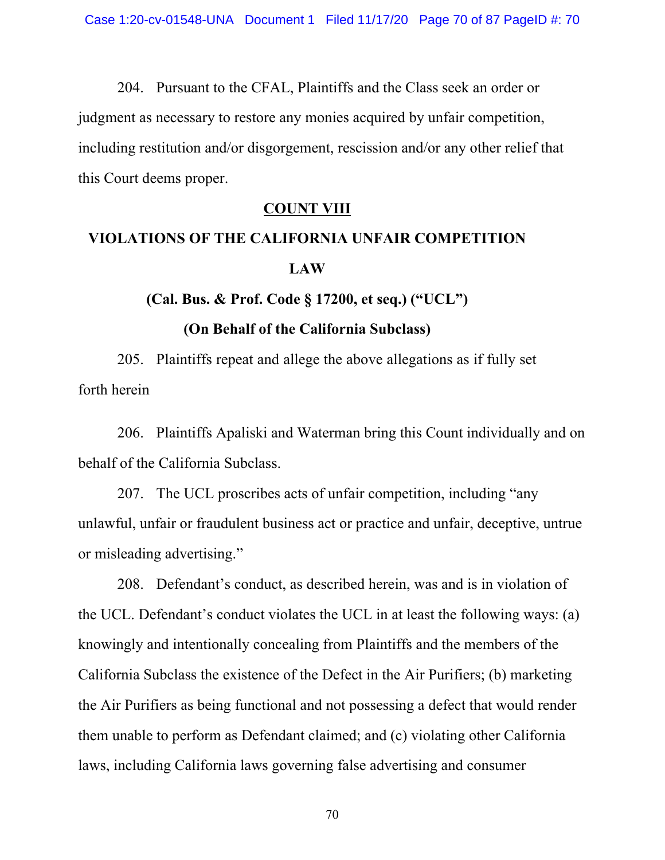204. Pursuant to the CFAL, Plaintiffs and the Class seek an order or judgment as necessary to restore any monies acquired by unfair competition, including restitution and/or disgorgement, rescission and/or any other relief that this Court deems proper.

### **COUNT VIII**

# **VIOLATIONS OF THE CALIFORNIA UNFAIR COMPETITION LAW**

**[\(Cal. Bus. & Prof. Code § 17200,](http://www.google.com/search?q=ca+bus++prof+s+17200) et seq.) ("UCL")** 

#### **(On Behalf of the California Subclass)**

205. Plaintiffs repeat and allege the above allegations as if fully set forth herein

206. Plaintiffs Apaliski and Waterman bring this Count individually and on behalf of the California Subclass.

207. The UCL proscribes acts of unfair competition, including "any unlawful, unfair or fraudulent business act or practice and unfair, deceptive, untrue or misleading advertising."

208. Defendant's conduct, as described herein, was and is in violation of the UCL. Defendant's conduct violates the UCL in at least the following ways: (a) knowingly and intentionally concealing from Plaintiffs and the members of the California Subclass the existence of the Defect in the Air Purifiers; (b) marketing the Air Purifiers as being functional and not possessing a defect that would render them unable to perform as Defendant claimed; and (c) violating other California laws, including California laws governing false advertising and consumer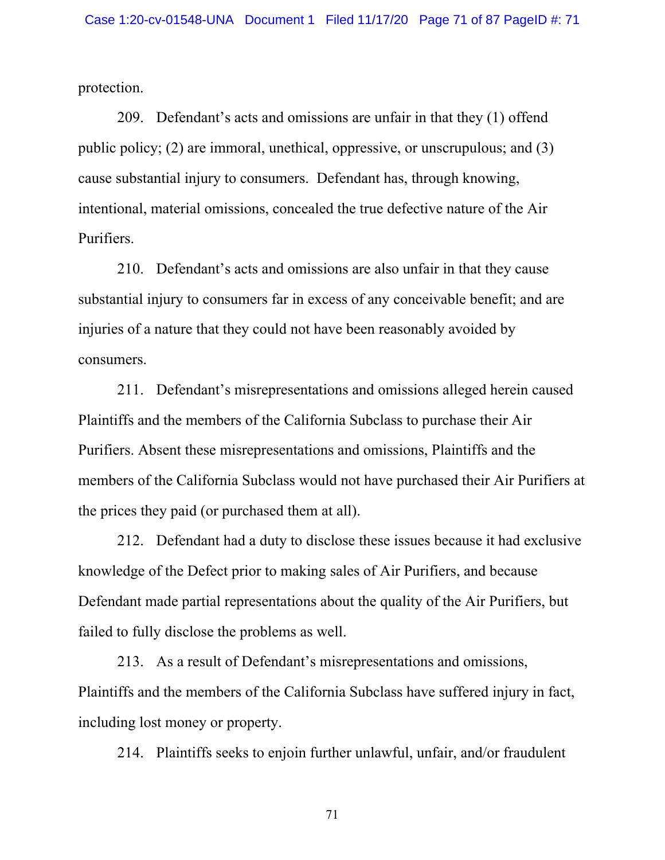protection.

209. Defendant's acts and omissions are unfair in that they (1) offend public policy; (2) are immoral, unethical, oppressive, or unscrupulous; and (3) cause substantial injury to consumers. Defendant has, through knowing, intentional, material omissions, concealed the true defective nature of the Air Purifiers.

210. Defendant's acts and omissions are also unfair in that they cause substantial injury to consumers far in excess of any conceivable benefit; and are injuries of a nature that they could not have been reasonably avoided by consumers.

211. Defendant's misrepresentations and omissions alleged herein caused Plaintiffs and the members of the California Subclass to purchase their Air Purifiers. Absent these misrepresentations and omissions, Plaintiffs and the members of the California Subclass would not have purchased their Air Purifiers at the prices they paid (or purchased them at all).

212. Defendant had a duty to disclose these issues because it had exclusive knowledge of the Defect prior to making sales of Air Purifiers, and because Defendant made partial representations about the quality of the Air Purifiers, but failed to fully disclose the problems as well.

213. As a result of Defendant's misrepresentations and omissions, Plaintiffs and the members of the California Subclass have suffered injury in fact, including lost money or property.

214. Plaintiffs seeks to enjoin further unlawful, unfair, and/or fraudulent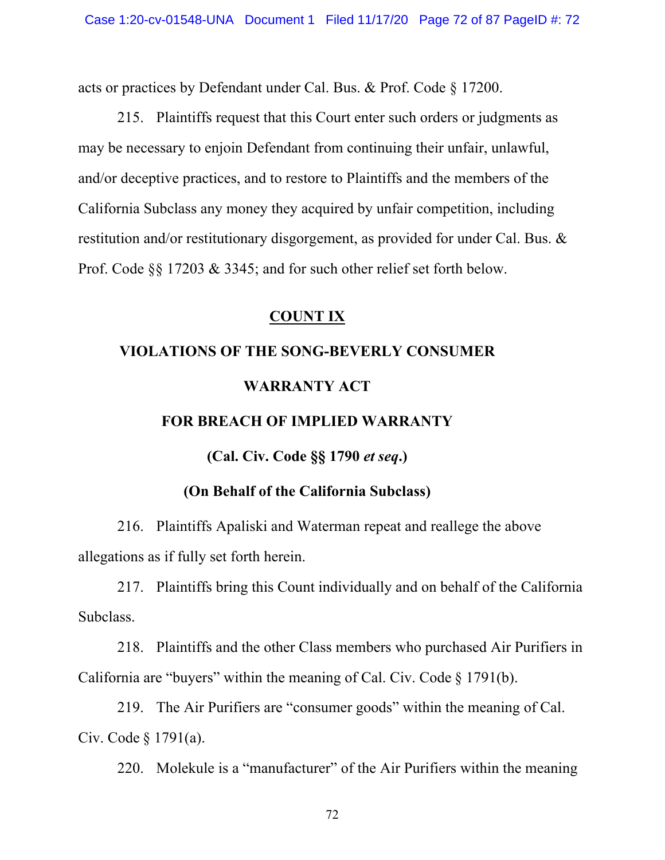acts or practices by Defendant under [Cal. Bus. & Prof. Code](http://www.google.com/search?q=ca+bus++prof+s+17200) § 17200.

215. Plaintiffs request that this Court enter such orders or judgments as may be necessary to enjoin Defendant from continuing their unfair, unlawful, and/or deceptive practices, and to restore to Plaintiffs and the members of the California Subclass any money they acquired by unfair competition, including restitution and/or restitutionary disgorgement, as provided for under [Cal. Bus. &](http://www.google.com/search?q=ca+bus++prof+s+17203)  [Prof. Code](http://www.google.com/search?q=ca+bus++prof+s+17203)  $\S$  17203 & [3345;](http://www.google.com/search?q=cal.++bus.+++prof.++code3345) and for such other relief set forth below.

## **COUNT IX**

# **VIOLATIONS OF THE SONG-BEVERLY CONSUMER WARRANTY ACT**

### **FOR BREACH OF IMPLIED WARRANTY**

**[\(Cal. Civ. Code §§ 1790](http://www.google.com/search?q=ca+civil+s+1790)** *et seq***.)** 

# **(On Behalf of the California Subclass)**

216. Plaintiffs Apaliski and Waterman repeat and reallege the above allegations as if fully set forth herein.

217. Plaintiffs bring this Count individually and on behalf of the California Subclass.

218. Plaintiffs and the other Class members who purchased Air Purifiers in California are "buyers" within the meaning of [Cal. Civ. Code](http://www.google.com/search?q=ca+civil+s+1791(b)) § 1791(b).

219. The Air Purifiers are "consumer goods" within the meaning of [Cal.](http://www.google.com/search?q=ca+civil+s+1791(a))  [Civ. Code](http://www.google.com/search?q=ca+civil+s+1791(a)) § 1791(a).

220. Molekule is a "manufacturer" of the Air Purifiers within the meaning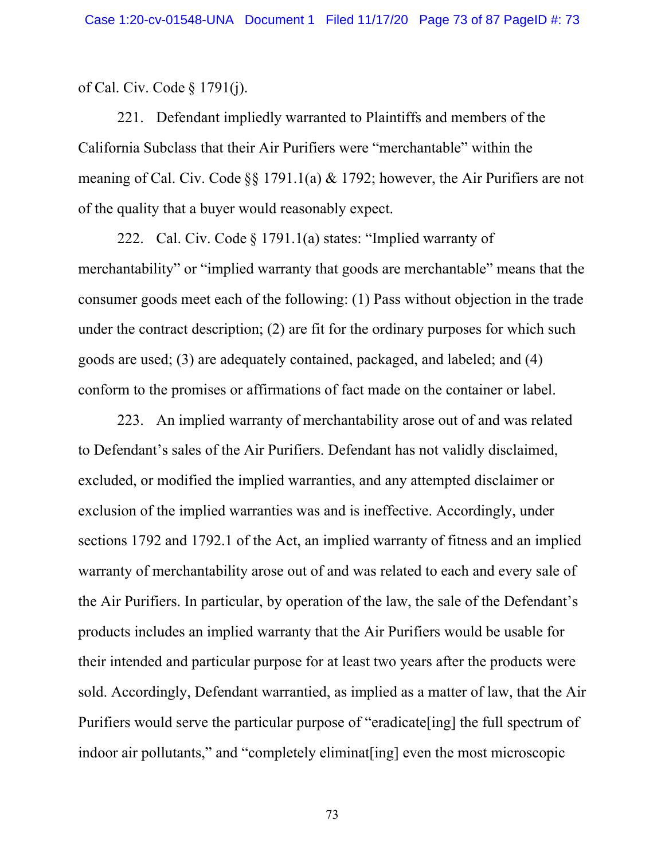of [Cal. Civ. Code](http://www.google.com/search?q=ca+civil+s+1791(j)) § 1791(j).

221. Defendant impliedly warranted to Plaintiffs and members of the California Subclass that their Air Purifiers were "merchantable" within the meaning of [Cal. Civ. Code](http://www.google.com/search?q=ca+civil+s+1791.1(a)) §§ 1791.1(a) & [1792](http://www.google.com/search?q=cal.++civ.++code1792); however, the Air Purifiers are not of the quality that a buyer would reasonably expect.

222. [Cal. Civ. Code](http://www.google.com/search?q=ca+civil+s+1791.1(a)) § 1791.1(a) states: "Implied warranty of merchantability" or "implied warranty that goods are merchantable" means that the consumer goods meet each of the following: (1) Pass without objection in the trade under the contract description; (2) are fit for the ordinary purposes for which such goods are used; (3) are adequately contained, packaged, and labeled; and (4) conform to the promises or affirmations of fact made on the container or label.

223. An implied warranty of merchantability arose out of and was related to Defendant's sales of the Air Purifiers. Defendant has not validly disclaimed, excluded, or modified the implied warranties, and any attempted disclaimer or exclusion of the implied warranties was and is ineffective. Accordingly, under sections 1792 and 1792.1 of the Act, an implied warranty of fitness and an implied warranty of merchantability arose out of and was related to each and every sale of the Air Purifiers. In particular, by operation of the law, the sale of the Defendant's products includes an implied warranty that the Air Purifiers would be usable for their intended and particular purpose for at least two years after the products were sold. Accordingly, Defendant warrantied, as implied as a matter of law, that the Air Purifiers would serve the particular purpose of "eradicate[ing] the full spectrum of indoor air pollutants," and "completely eliminat [ing] even the most microscopic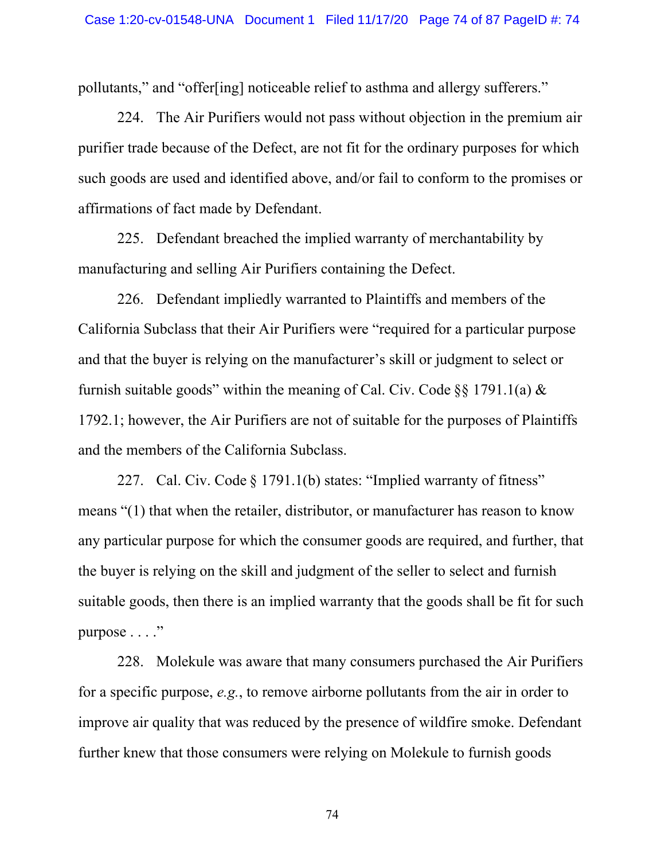pollutants," and "offer[ing] noticeable relief to asthma and allergy sufferers."

224. The Air Purifiers would not pass without objection in the premium air purifier trade because of the Defect, are not fit for the ordinary purposes for which such goods are used and identified above, and/or fail to conform to the promises or affirmations of fact made by Defendant.

225. Defendant breached the implied warranty of merchantability by manufacturing and selling Air Purifiers containing the Defect.

226. Defendant impliedly warranted to Plaintiffs and members of the California Subclass that their Air Purifiers were "required for a particular purpose and that the buyer is relying on the manufacturer's skill or judgment to select or furnish suitable goods" within the meaning of [Cal. Civ. Code](http://www.google.com/search?q=ca+civil+s+1791.1(a))  $\S$ § 1791.1(a) & [1792.1;](http://www.google.com/search?q=cal.++civ.++code1792.1) however, the Air Purifiers are not of suitable for the purposes of Plaintiffs and the members of the California Subclass.

227. [Cal. Civ. Code](http://www.google.com/search?q=ca+civil+s+1791.1(b)) § 1791.1(b) states: "Implied warranty of fitness" means "(1) that when the retailer, distributor, or manufacturer has reason to know any particular purpose for which the consumer goods are required, and further, that the buyer is relying on the skill and judgment of the seller to select and furnish suitable goods, then there is an implied warranty that the goods shall be fit for such purpose . . . ."

228. Molekule was aware that many consumers purchased the Air Purifiers for a specific purpose, *e.g.*, to remove airborne pollutants from the air in order to improve air quality that was reduced by the presence of wildfire smoke. Defendant further knew that those consumers were relying on Molekule to furnish goods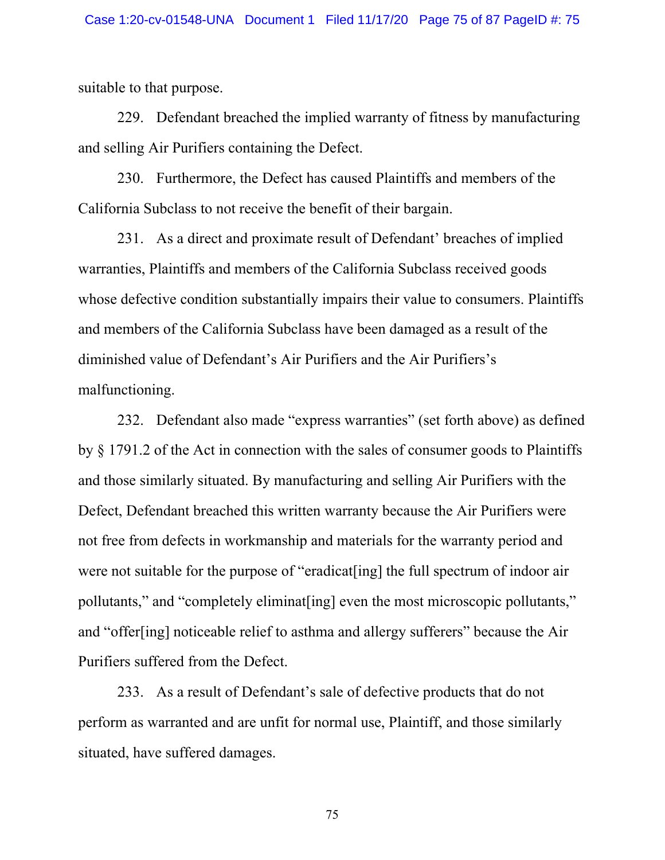suitable to that purpose.

229. Defendant breached the implied warranty of fitness by manufacturing and selling Air Purifiers containing the Defect.

230. Furthermore, the Defect has caused Plaintiffs and members of the California Subclass to not receive the benefit of their bargain.

231. As a direct and proximate result of Defendant' breaches of implied warranties, Plaintiffs and members of the California Subclass received goods whose defective condition substantially impairs their value to consumers. Plaintiffs and members of the California Subclass have been damaged as a result of the diminished value of Defendant's Air Purifiers and the Air Purifiers's malfunctioning.

232. Defendant also made "express warranties" (set forth above) as defined by § 1791.2 of the Act in connection with the sales of consumer goods to Plaintiffs and those similarly situated. By manufacturing and selling Air Purifiers with the Defect, Defendant breached this written warranty because the Air Purifiers were not free from defects in workmanship and materials for the warranty period and were not suitable for the purpose of "eradicat<sup>[ing]</sup> the full spectrum of indoor air pollutants," and "completely eliminat[ing] even the most microscopic pollutants," and "offer[ing] noticeable relief to asthma and allergy sufferers" because the Air Purifiers suffered from the Defect.

233. As a result of Defendant's sale of defective products that do not perform as warranted and are unfit for normal use, Plaintiff, and those similarly situated, have suffered damages.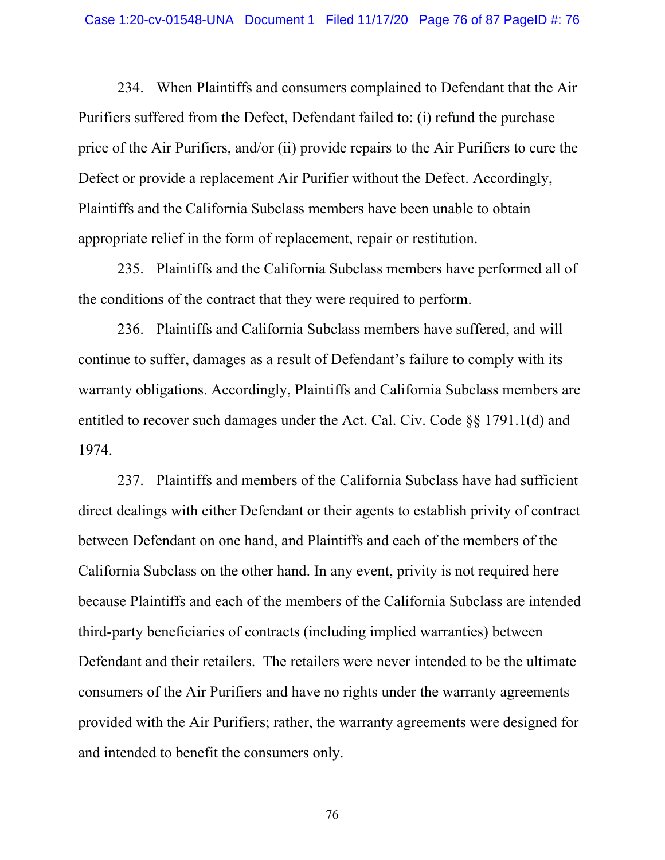234. When Plaintiffs and consumers complained to Defendant that the Air Purifiers suffered from the Defect, Defendant failed to: (i) refund the purchase price of the Air Purifiers, and/or (ii) provide repairs to the Air Purifiers to cure the Defect or provide a replacement Air Purifier without the Defect. Accordingly, Plaintiffs and the California Subclass members have been unable to obtain appropriate relief in the form of replacement, repair or restitution.

235. Plaintiffs and the California Subclass members have performed all of the conditions of the contract that they were required to perform.

236. Plaintiffs and California Subclass members have suffered, and will continue to suffer, damages as a result of Defendant's failure to comply with its warranty obligations. Accordingly, Plaintiffs and California Subclass members are entitled to recover such damages under the Act. [Cal. Civ. Code §§ 1791.1\(d\)](http://www.google.com/search?q=ca+civil+s+1791.1(d)) and [1974](http://www.google.com/search?q=cal.++civ.++code1974).

237. Plaintiffs and members of the California Subclass have had sufficient direct dealings with either Defendant or their agents to establish privity of contract between Defendant on one hand, and Plaintiffs and each of the members of the California Subclass on the other hand. In any event, privity is not required here because Plaintiffs and each of the members of the California Subclass are intended third-party beneficiaries of contracts (including implied warranties) between Defendant and their retailers. The retailers were never intended to be the ultimate consumers of the Air Purifiers and have no rights under the warranty agreements provided with the Air Purifiers; rather, the warranty agreements were designed for and intended to benefit the consumers only.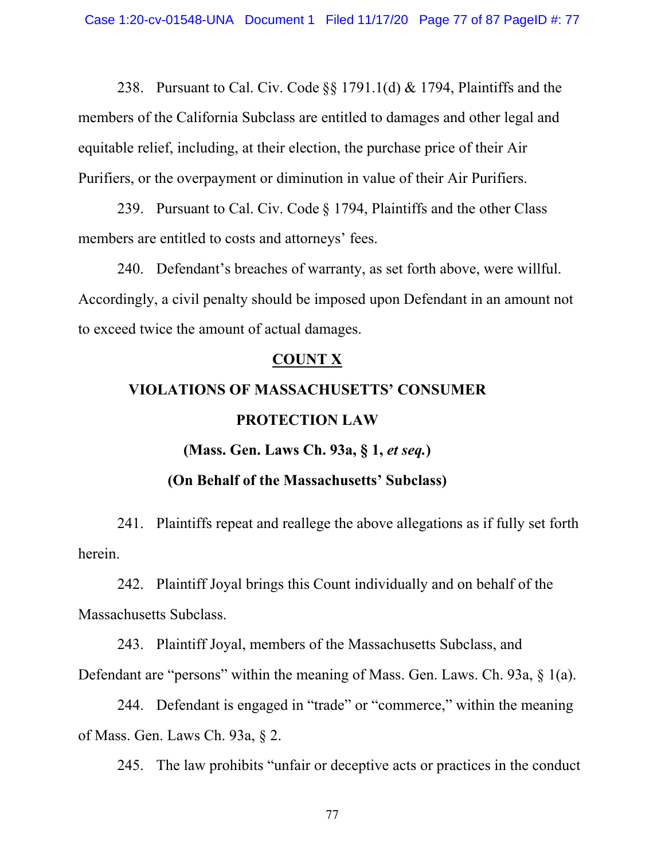238. Pursuant to [Cal. Civ. Code](http://www.google.com/search?q=ca+civil+s+1791.1(d))  $\S$ § 1791.1(d) & [1794,](http://www.google.com/search?q=cal.+civ.+code1794) Plaintiffs and the members of the California Subclass are entitled to damages and other legal and equitable relief, including, at their election, the purchase price of their Air Purifiers, or the overpayment or diminution in value of their Air Purifiers.

239. Pursuant to [Cal. Civ. Code](http://www.google.com/search?q=ca+civil+s+1794) § 1794, Plaintiffs and the other Class members are entitled to costs and attorneys' fees.

240. Defendant's breaches of warranty, as set forth above, were willful. Accordingly, a civil penalty should be imposed upon Defendant in an amount not to exceed twice the amount of actual damages.

#### **COUNT X**

# **VIOLATIONS OF MASSACHUSETTS' CONSUMER PROTECTION LAW**

#### **(Mass. Gen. Laws Ch. 93a, § 1,** *et seq.***)**

#### **(On Behalf of the Massachusetts' Subclass)**

241. Plaintiffs repeat and reallege the above allegations as if fully set forth herein.

242. Plaintiff Joyal brings this Count individually and on behalf of the Massachusetts Subclass.

243. Plaintiff Joyal, members of the Massachusetts Subclass, and Defendant are "persons" within the meaning of Mass. Gen. Laws. Ch. 93a, § 1(a).

244. Defendant is engaged in "trade" or "commerce," within the meaning of Mass. Gen. Laws Ch. 93a, § 2.

245. The law prohibits "unfair or deceptive acts or practices in the conduct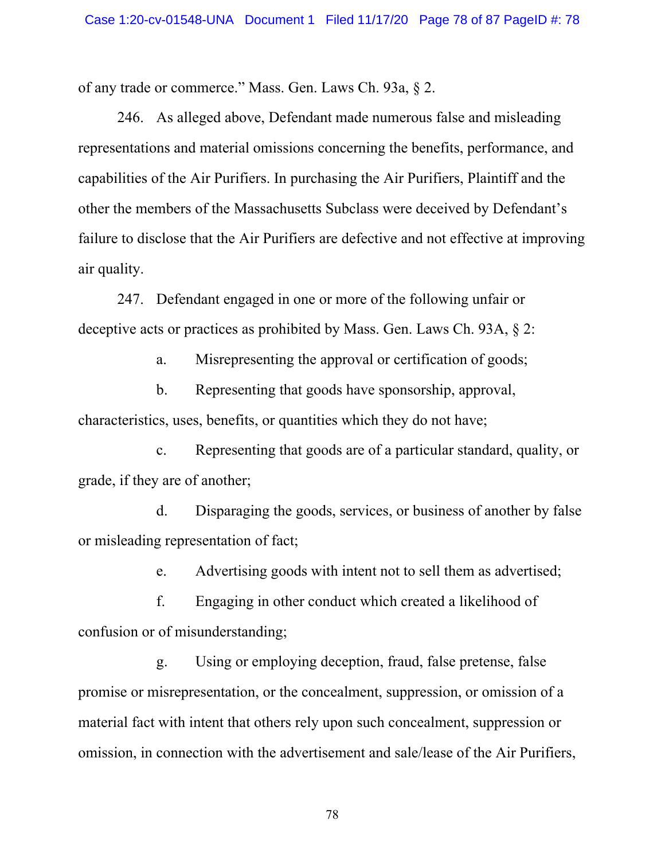of any trade or commerce." Mass. Gen. Laws Ch. 93a, § 2.

246. As alleged above, Defendant made numerous false and misleading representations and material omissions concerning the benefits, performance, and capabilities of the Air Purifiers. In purchasing the Air Purifiers, Plaintiff and the other the members of the Massachusetts Subclass were deceived by Defendant's failure to disclose that the Air Purifiers are defective and not effective at improving air quality.

247. Defendant engaged in one or more of the following unfair or deceptive acts or practices as prohibited by Mass. Gen. Laws Ch. 93A, § 2:

a. Misrepresenting the approval or certification of goods;

b. Representing that goods have sponsorship, approval, characteristics, uses, benefits, or quantities which they do not have;

c. Representing that goods are of a particular standard, quality, or grade, if they are of another;

d. Disparaging the goods, services, or business of another by false or misleading representation of fact;

e. Advertising goods with intent not to sell them as advertised;

f. Engaging in other conduct which created a likelihood of confusion or of misunderstanding;

g. Using or employing deception, fraud, false pretense, false promise or misrepresentation, or the concealment, suppression, or omission of a material fact with intent that others rely upon such concealment, suppression or omission, in connection with the advertisement and sale/lease of the Air Purifiers,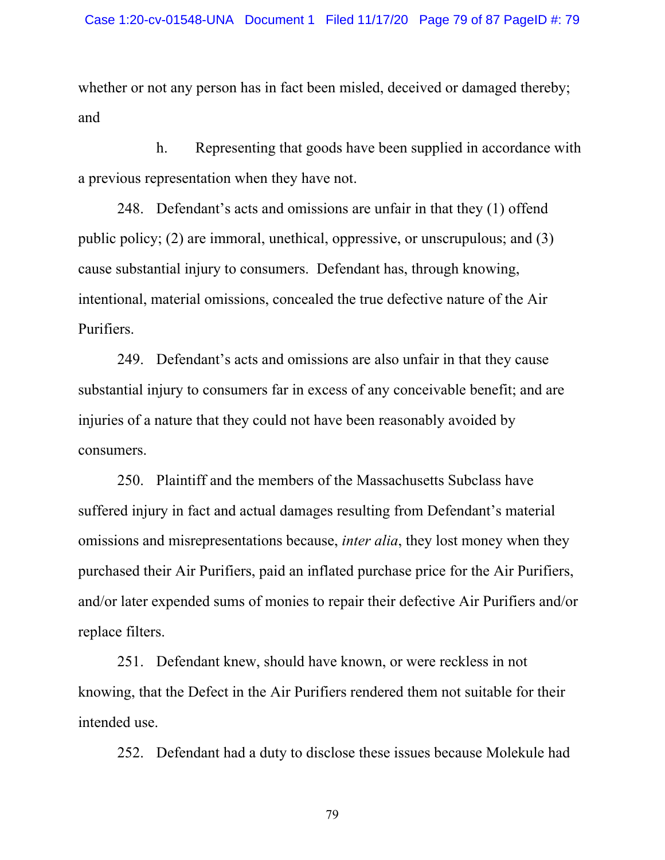whether or not any person has in fact been misled, deceived or damaged thereby; and

h. Representing that goods have been supplied in accordance with a previous representation when they have not.

248. Defendant's acts and omissions are unfair in that they (1) offend public policy; (2) are immoral, unethical, oppressive, or unscrupulous; and (3) cause substantial injury to consumers. Defendant has, through knowing, intentional, material omissions, concealed the true defective nature of the Air Purifiers.

249. Defendant's acts and omissions are also unfair in that they cause substantial injury to consumers far in excess of any conceivable benefit; and are injuries of a nature that they could not have been reasonably avoided by consumers.

250. Plaintiff and the members of the Massachusetts Subclass have suffered injury in fact and actual damages resulting from Defendant's material omissions and misrepresentations because, *inter alia*, they lost money when they purchased their Air Purifiers, paid an inflated purchase price for the Air Purifiers, and/or later expended sums of monies to repair their defective Air Purifiers and/or replace filters.

251. Defendant knew, should have known, or were reckless in not knowing, that the Defect in the Air Purifiers rendered them not suitable for their intended use.

252. Defendant had a duty to disclose these issues because Molekule had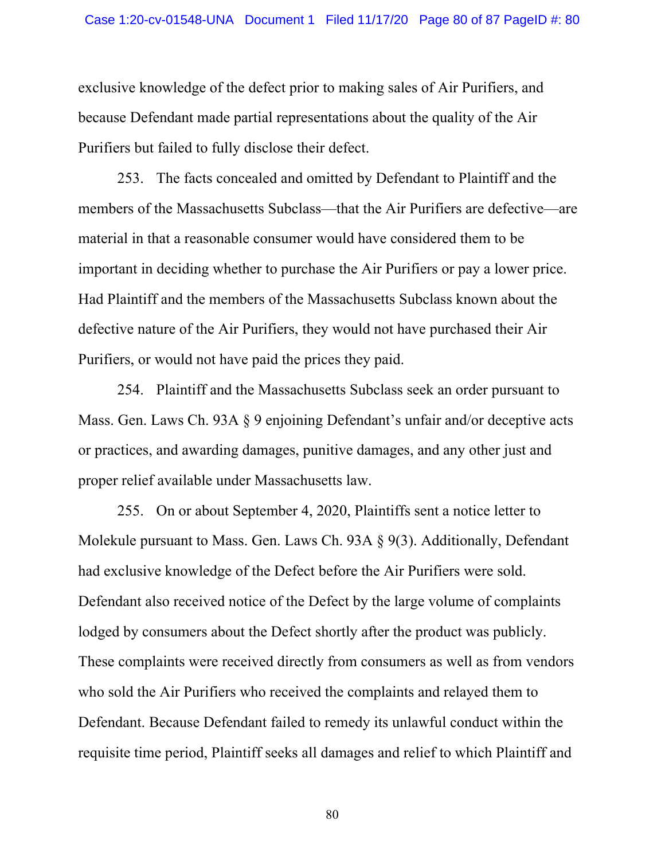exclusive knowledge of the defect prior to making sales of Air Purifiers, and because Defendant made partial representations about the quality of the Air Purifiers but failed to fully disclose their defect.

253. The facts concealed and omitted by Defendant to Plaintiff and the members of the Massachusetts Subclass—that the Air Purifiers are defective—are material in that a reasonable consumer would have considered them to be important in deciding whether to purchase the Air Purifiers or pay a lower price. Had Plaintiff and the members of the Massachusetts Subclass known about the defective nature of the Air Purifiers, they would not have purchased their Air Purifiers, or would not have paid the prices they paid.

254. Plaintiff and the Massachusetts Subclass seek an order pursuant to Mass. Gen. Laws Ch. 93A § 9 enjoining Defendant's unfair and/or deceptive acts or practices, and awarding damages, punitive damages, and any other just and proper relief available under Massachusetts law.

255. On or about September 4, 2020, Plaintiffs sent a notice letter to Molekule pursuant to Mass. Gen. Laws Ch. 93A § 9(3). Additionally, Defendant had exclusive knowledge of the Defect before the Air Purifiers were sold. Defendant also received notice of the Defect by the large volume of complaints lodged by consumers about the Defect shortly after the product was publicly. These complaints were received directly from consumers as well as from vendors who sold the Air Purifiers who received the complaints and relayed them to Defendant. Because Defendant failed to remedy its unlawful conduct within the requisite time period, Plaintiff seeks all damages and relief to which Plaintiff and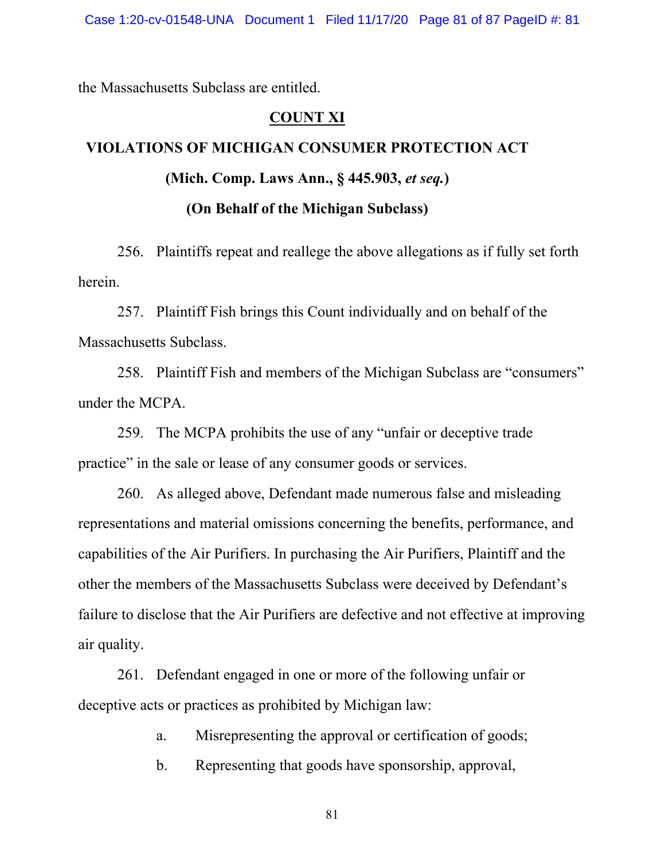the Massachusetts Subclass are entitled.

#### **COUNT XI**

## **VIOLATIONS OF MICHIGAN CONSUMER PROTECTION ACT (Mich. Comp. Laws Ann., § 445.903,** *et seq.***) (On Behalf of the Michigan Subclass)**

256. Plaintiffs repeat and reallege the above allegations as if fully set forth herein.

257. Plaintiff Fish brings this Count individually and on behalf of the Massachusetts Subclass.

258. Plaintiff Fish and members of the Michigan Subclass are "consumers" under the MCPA.

259. The MCPA prohibits the use of any "unfair or deceptive trade practice" in the sale or lease of any consumer goods or services.

260. As alleged above, Defendant made numerous false and misleading representations and material omissions concerning the benefits, performance, and capabilities of the Air Purifiers. In purchasing the Air Purifiers, Plaintiff and the other the members of the Massachusetts Subclass were deceived by Defendant's failure to disclose that the Air Purifiers are defective and not effective at improving air quality.

261. Defendant engaged in one or more of the following unfair or deceptive acts or practices as prohibited by Michigan law:

a. Misrepresenting the approval or certification of goods;

b. Representing that goods have sponsorship, approval,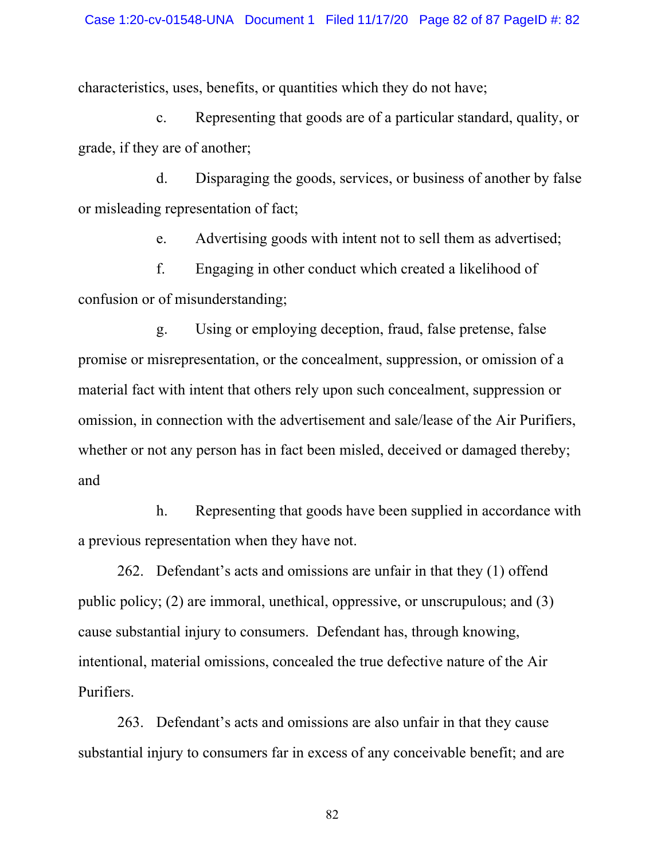characteristics, uses, benefits, or quantities which they do not have;

c. Representing that goods are of a particular standard, quality, or grade, if they are of another;

d. Disparaging the goods, services, or business of another by false or misleading representation of fact;

e. Advertising goods with intent not to sell them as advertised;

f. Engaging in other conduct which created a likelihood of confusion or of misunderstanding;

g. Using or employing deception, fraud, false pretense, false promise or misrepresentation, or the concealment, suppression, or omission of a material fact with intent that others rely upon such concealment, suppression or omission, in connection with the advertisement and sale/lease of the Air Purifiers, whether or not any person has in fact been misled, deceived or damaged thereby; and

h. Representing that goods have been supplied in accordance with a previous representation when they have not.

262. Defendant's acts and omissions are unfair in that they (1) offend public policy; (2) are immoral, unethical, oppressive, or unscrupulous; and (3) cause substantial injury to consumers. Defendant has, through knowing, intentional, material omissions, concealed the true defective nature of the Air Purifiers.

263. Defendant's acts and omissions are also unfair in that they cause substantial injury to consumers far in excess of any conceivable benefit; and are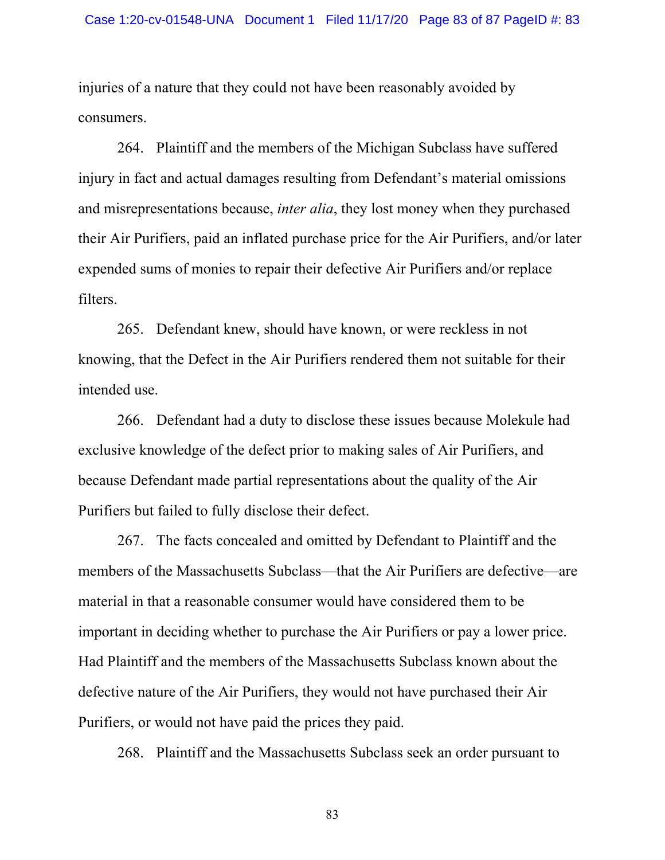injuries of a nature that they could not have been reasonably avoided by consumers.

264. Plaintiff and the members of the Michigan Subclass have suffered injury in fact and actual damages resulting from Defendant's material omissions and misrepresentations because, *inter alia*, they lost money when they purchased their Air Purifiers, paid an inflated purchase price for the Air Purifiers, and/or later expended sums of monies to repair their defective Air Purifiers and/or replace filters.

265. Defendant knew, should have known, or were reckless in not knowing, that the Defect in the Air Purifiers rendered them not suitable for their intended use.

266. Defendant had a duty to disclose these issues because Molekule had exclusive knowledge of the defect prior to making sales of Air Purifiers, and because Defendant made partial representations about the quality of the Air Purifiers but failed to fully disclose their defect.

267. The facts concealed and omitted by Defendant to Plaintiff and the members of the Massachusetts Subclass—that the Air Purifiers are defective—are material in that a reasonable consumer would have considered them to be important in deciding whether to purchase the Air Purifiers or pay a lower price. Had Plaintiff and the members of the Massachusetts Subclass known about the defective nature of the Air Purifiers, they would not have purchased their Air Purifiers, or would not have paid the prices they paid.

268. Plaintiff and the Massachusetts Subclass seek an order pursuant to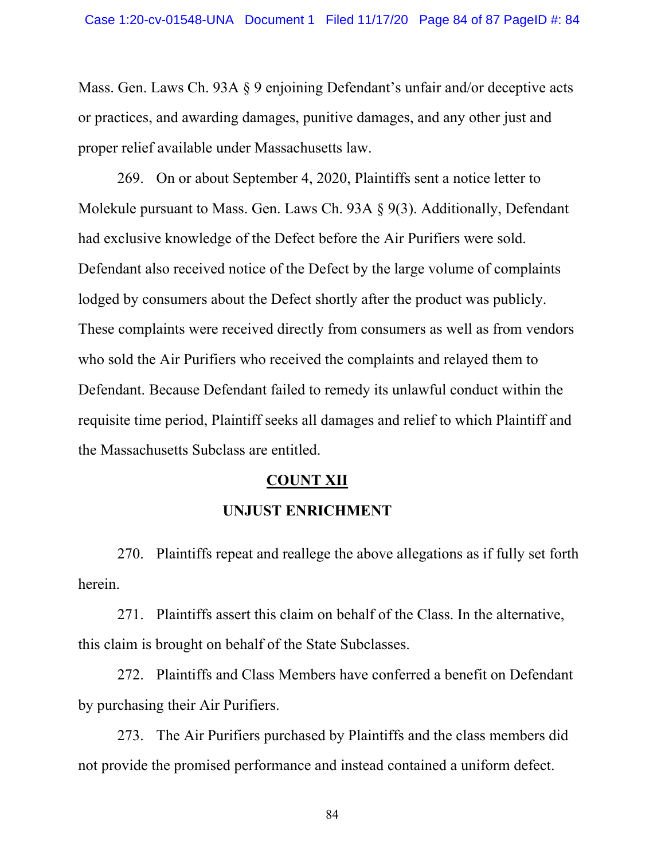Mass. Gen. Laws Ch. 93A § 9 enjoining Defendant's unfair and/or deceptive acts or practices, and awarding damages, punitive damages, and any other just and proper relief available under Massachusetts law.

269. On or about September 4, 2020, Plaintiffs sent a notice letter to Molekule pursuant to Mass. Gen. Laws Ch. 93A § 9(3). Additionally, Defendant had exclusive knowledge of the Defect before the Air Purifiers were sold. Defendant also received notice of the Defect by the large volume of complaints lodged by consumers about the Defect shortly after the product was publicly. These complaints were received directly from consumers as well as from vendors who sold the Air Purifiers who received the complaints and relayed them to Defendant. Because Defendant failed to remedy its unlawful conduct within the requisite time period, Plaintiff seeks all damages and relief to which Plaintiff and the Massachusetts Subclass are entitled.

#### **COUNT XII**

### **UNJUST ENRICHMENT**

270. Plaintiffs repeat and reallege the above allegations as if fully set forth herein.

271. Plaintiffs assert this claim on behalf of the Class. In the alternative, this claim is brought on behalf of the State Subclasses.

272. Plaintiffs and Class Members have conferred a benefit on Defendant by purchasing their Air Purifiers.

273. The Air Purifiers purchased by Plaintiffs and the class members did not provide the promised performance and instead contained a uniform defect.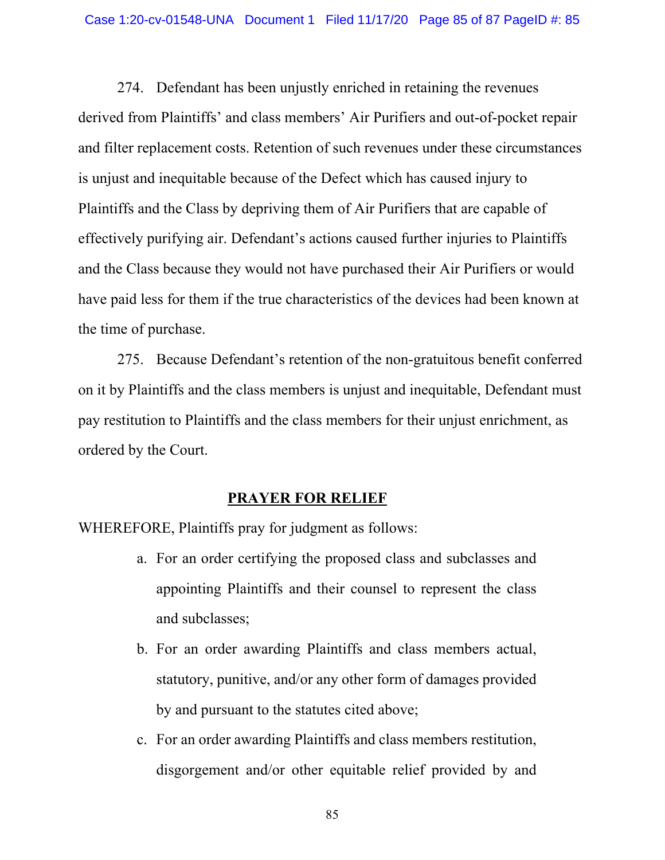274. Defendant has been unjustly enriched in retaining the revenues derived from Plaintiffs' and class members' Air Purifiers and out-of-pocket repair and filter replacement costs. Retention of such revenues under these circumstances is unjust and inequitable because of the Defect which has caused injury to Plaintiffs and the Class by depriving them of Air Purifiers that are capable of effectively purifying air. Defendant's actions caused further injuries to Plaintiffs and the Class because they would not have purchased their Air Purifiers or would have paid less for them if the true characteristics of the devices had been known at the time of purchase.

275. Because Defendant's retention of the non-gratuitous benefit conferred on it by Plaintiffs and the class members is unjust and inequitable, Defendant must pay restitution to Plaintiffs and the class members for their unjust enrichment, as ordered by the Court.

#### **PRAYER FOR RELIEF**

WHEREFORE, Plaintiffs pray for judgment as follows:

- a. For an order certifying the proposed class and subclasses and appointing Plaintiffs and their counsel to represent the class and subclasses;
- b. For an order awarding Plaintiffs and class members actual, statutory, punitive, and/or any other form of damages provided by and pursuant to the statutes cited above;
- c. For an order awarding Plaintiffs and class members restitution, disgorgement and/or other equitable relief provided by and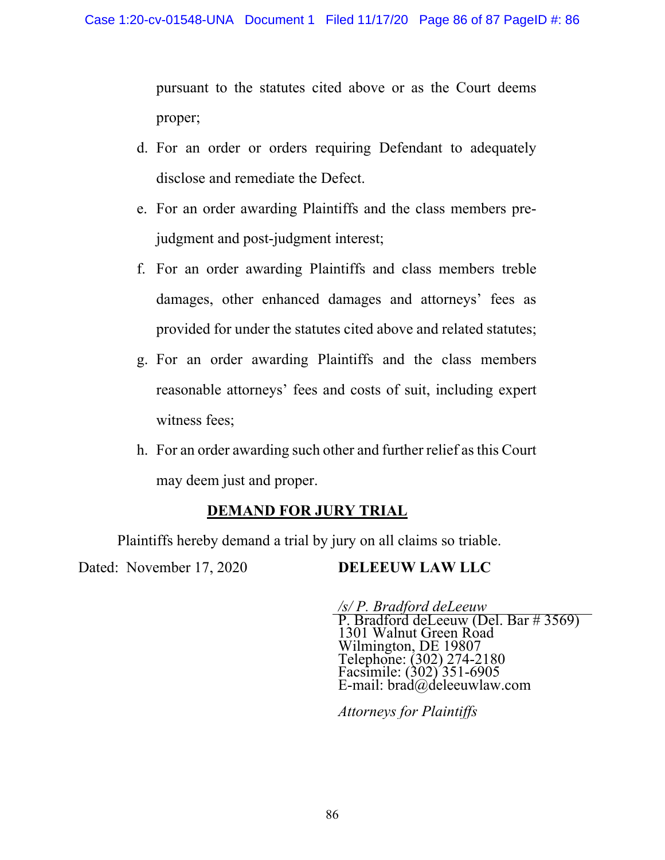pursuant to the statutes cited above or as the Court deems proper;

- d. For an order or orders requiring Defendant to adequately disclose and remediate the Defect.
- e. For an order awarding Plaintiffs and the class members prejudgment and post-judgment interest;
- f. For an order awarding Plaintiffs and class members treble damages, other enhanced damages and attorneys' fees as provided for under the statutes cited above and related statutes;
- g. For an order awarding Plaintiffs and the class members reasonable attorneys' fees and costs of suit, including expert witness fees;
- h. For an order awarding such other and further relief as this Court may deem just and proper.

## **DEMAND FOR JURY TRIAL**

Plaintiffs hereby demand a trial by jury on all claims so triable.

Dated: November 17, 2020 **DELEEUW LAW LLC** 

*/s/ P. Bradford deLeeuw*  P. Bradford deLeeuw (Del. Bar # 3569) 1301 Walnut Green Road Wilmington, DE 19807 Telephone: (302) 274-2180 Facsimile: (302) 351-6905 E-mail: brad@deleeuwlaw.com

*Attorneys for Plaintiffs*